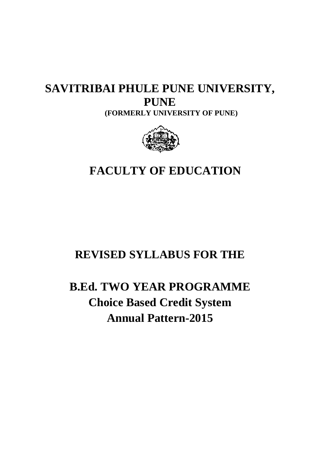# **SAVITRIBAI PHULE PUNE UNIVERSITY, (FORMERLY UNIVERSITY OF PUNE PUNE) PUNE**



# **FACULTY OF EDUCATION**

# **REVISED SYLLABUS FOR THE**

# **B.Ed. TWO YEAR PROGRAMME Choice Based Credit System Annual Pattern Pattern-2015**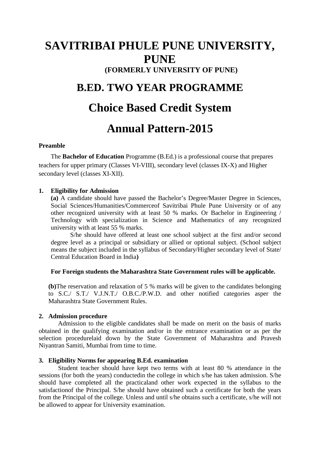# **SAVITRIBAI PHULE PUNE UNIVERSITY, PUNE (FORMERLY UNIVERSITY OF PUNE)**

# **B.ED. TWO YEAR PROGRAMME**

# **Choice Based Credit System**

# **Annual Pattern-2015**

# **Preamble**

The **Bachelor of Education** Programme (B.Ed.) is a professional course that prepares teachers for upper primary (Classes VI-VIII), secondary level (classes IX-X) and Higher secondary level (classes XI-XII).

#### **1. Eligibility for Admission**

**(a)** A candidate should have passed the Bachelor's Degree/Master Degree in Sciences, Social Sciences/Humanities/Commerceof Savitribai Phule Pune University or of any other recognized university with at least 50 % marks. Or Bachelor in Engineering / Technology with specialization in Science and Mathematics of any recognized university with at least 55 % marks.

S/he should have offered at least one school subject at the first and/or second degree level as a principal or subsidiary or allied or optional subject. (School subject means the subject included in the syllabus of Secondary/Higher secondary level of State/ Central Education Board in India**)**

### **For Foreign students the Maharashtra State Government rules will be applicable.**

**(b)**The reservation and relaxation of 5 % marks will be given to the candidates belonging to S.C./ S.T./ V.J.N.T./ O.B.C./P.W.D. and other notified categories asper the Maharashtra State Government Rules.

#### **2. Admission procedure**

Admission to the eligible candidates shall be made on merit on the basis of marks obtained in the qualifying examination and/or in the entrance examination or as per the selection procedurelaid down by the State Government of Maharashtra and Pravesh Niyantran Samiti, Mumbai from time to time.

#### **3. Eligibility Norms for appearing B.Ed. examination**

Student teacher should have kept two terms with at least 80 % attendance in the sessions (for both the years) conductedin the college in which s/he has taken admission. S/he should have completed all the practicaland other work expected in the syllabus to the satisfactionof the Principal. S/he should have obtained such a certificate for both the years from the Principal of the college. Unless and until s/he obtains such a certificate, s/he will not be allowed to appear for University examination.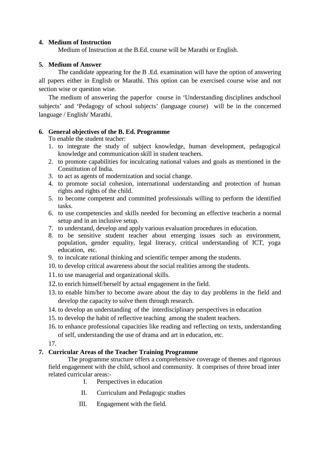# **4. Medium of Instruction**

Medium of Instruction at the B.Ed. course will be Marathi or English.

# **5. Medium of Answer**

The candidate appearing for the B .Ed. examination will have the option of answering all papers either in English or Marathi. This option can be exercised course wise and not section wise or question wise.

The medium of answering the paperfor course in 'Understanding disciplines andschool subjects' and 'Pedagogy of school subjects' (language course) will be in the concerned language / English/ Marathi.

# **6. General objectives of the B. Ed. Programme**

To enable the student teacher:

- 1. to integrate the study of subject knowledge, human development, pedagogical knowledge and communication skill in student teachers.
- 2. to promote capabilities for inculcating national values and goals as mentioned in the Constitution of India.
- 3. to act as agents of modernization and social change.
- 4. to promote social cohesion, international understanding and protection of human rights and rights of the child.
- 5. to become competent and committed professionals willing to perform the identified tasks.
- 6. to use competencies and skills needed for becoming an effective teacherin a normal setup and in an inclusive setup.
- 7. to understand, develop and apply various evaluation procedures in education.
- 8. to be sensitive student teacher about emerging issues such as environment, population, gender equality, legal literacy, critical understanding of ICT, yoga education, etc.
- 9. to inculcate rational thinking and scientific temper among the students.
- 10. to develop critical awareness about the social realities among the students.
- 11. to use managerial and organizational skills.
- 12. to enrich himself/herself by actual engagement in the field.
- 13. to enable him/her to become aware about the day to day problems in the field and develop the capacity to solve them through research.
- 14. to develop an understanding of the interdisciplinary perspectives in education
- 15. to develop the habit of reflective teaching among the student teachers.
- 16. to enhance professional capacities like reading and reflecting on texts, understanding of self, understanding the use of drama and art in education, etc.

17.

# **7. Curricular Areas of the Teacher Training Programme**

The programme structure offers a comprehensive coverage of themes and rigorous field engagement with the child, school and community. It comprises of three broad inter related curricular areas:-

- I. Perspectives in education
- II. Curriculum and Pedagogic studies
- III. Engagement with the field.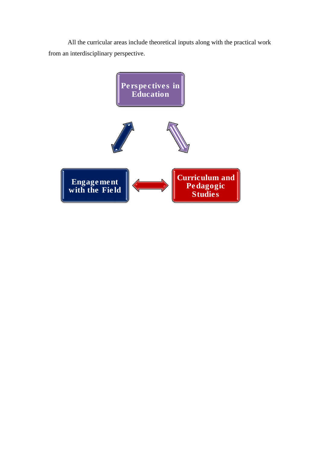All the curricular areas include theoretical inputs along with the practical work from an interdisciplinary perspective.

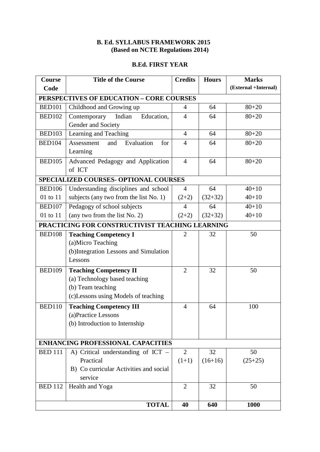# **B. Ed. SYLLABUS FRAMEWORK 2015 (Based on NCTE Regulations 2014)**

# **B.Ed. FIRST YEAR**

| Course                                   | <b>Title of the Course</b><br><b>Credits</b>               |                | <b>Hours</b> | <b>Marks</b>         |
|------------------------------------------|------------------------------------------------------------|----------------|--------------|----------------------|
| Code                                     |                                                            |                |              | (External +Internal) |
|                                          | PERSPECTIVES OF EDUCATION - CORE COURSES                   |                |              |                      |
| <b>BED101</b>                            | Childhood and Growing up                                   | $\overline{4}$ | 64           | $80 + 20$            |
| <b>BED102</b>                            | Education,<br>Indian<br>Contemporary<br>Gender and Society | $\overline{4}$ | 64           | $80 + 20$            |
| <b>BED103</b>                            | Learning and Teaching                                      | $\overline{4}$ | 64           | $80 + 20$            |
| <b>BED104</b>                            | Evaluation<br>Assessment<br>and<br>for<br>Learning         | $\overline{4}$ | 64           | $80 + 20$            |
| <b>BED105</b>                            | Advanced Pedagogy and Application<br>of ICT                | $\overline{4}$ | 64           | $80 + 20$            |
|                                          | SPECIALIZED COURSES- OPTIONAL COURSES                      |                |              |                      |
| <b>BED106</b>                            | Understanding disciplines and school                       | $\overline{4}$ | 64           | $40 + 10$            |
| 01 to 11                                 | subjects (any two from the list No. 1)                     | $(2+2)$        | $(32+32)$    | $40 + 10$            |
| <b>BED107</b>                            | Pedagogy of school subjects                                | 4              | 64           | $40 + 10$            |
| 01 to 11                                 | (any two from the list No. 2)                              | $(2+2)$        | $(32+32)$    | $40 + 10$            |
|                                          | PRACTICING FOR CONSTRUCTIVIST TEACHING LEARNING            |                |              |                      |
| <b>BED108</b>                            | <b>Teaching Competency I</b>                               | $\overline{2}$ | 32           | 50                   |
|                                          | (a)Micro Teaching                                          |                |              |                      |
|                                          | (b)Integration Lessons and Simulation                      |                |              |                      |
|                                          | Lessons                                                    |                |              |                      |
| <b>BED109</b>                            | <b>Teaching Competency II</b>                              | $\overline{2}$ | 32           | 50                   |
|                                          | (a) Technology based teaching                              |                |              |                      |
|                                          | (b) Team teaching                                          |                |              |                      |
|                                          | (c)Lessons using Models of teaching                        |                |              |                      |
| <b>BED110</b>                            | <b>Teaching Competency III</b>                             | 4              | 64           | 100                  |
|                                          | (a)Practice Lessons                                        |                |              |                      |
|                                          | (b) Introduction to Internship                             |                |              |                      |
|                                          |                                                            |                |              |                      |
| <b>ENHANCING PROFESSIONAL CAPACITIES</b> |                                                            |                |              |                      |
| <b>BED 111</b>                           | A) Critical understanding of $ICT$ –                       | 2              | 32           | 50                   |
|                                          | Practical                                                  | $(1+1)$        | $(16+16)$    | $(25+25)$            |
|                                          | B) Co curricular Activities and social                     |                |              |                      |
|                                          | service                                                    |                |              |                      |
| <b>BED 112</b>                           | Health and Yoga                                            | $\overline{2}$ | 32           | 50                   |
|                                          | <b>TOTAL</b>                                               | 40             | 640          | 1000                 |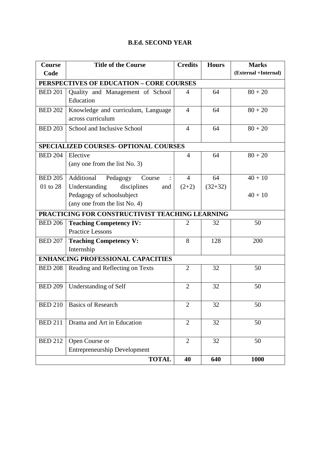# **B.Ed. SECOND YEAR**

| Course         | <b>Title of the Course</b>                      | <b>Credits</b><br><b>Hours</b> |           | <b>Marks</b>         |
|----------------|-------------------------------------------------|--------------------------------|-----------|----------------------|
| Code           |                                                 |                                |           | (External +Internal) |
|                | PERSPECTIVES OF EDUCATION - CORE COURSES        |                                |           |                      |
| <b>BED 201</b> | Quality and Management of School                | 4                              | 64        | $80 + 20$            |
|                | Education                                       |                                |           |                      |
| <b>BED 202</b> | Knowledge and curriculum, Language              | $\overline{4}$                 | 64        | $80 + 20$            |
|                | across curriculum                               |                                |           |                      |
| <b>BED 203</b> | School and Inclusive School                     | $\overline{4}$                 | 64        | $80 + 20$            |
|                |                                                 |                                |           |                      |
|                | SPECIALIZED COURSES- OPTIONAL COURSES           |                                |           |                      |
| <b>BED 204</b> | Elective                                        | $\overline{4}$                 | 64        | $80 + 20$            |
|                | (any one from the list No. 3)                   |                                |           |                      |
| <b>BED 205</b> | Additional<br>Pedagogy<br>Course                | $\overline{4}$                 | 64        | $40 + 10$            |
| 01 to 28       | Understanding<br>disciplines<br>and             | $(2+2)$                        | $(32+32)$ |                      |
|                | Pedagogy of schoolsubject                       |                                |           | $40 + 10$            |
|                | (any one from the list No. 4)                   |                                |           |                      |
|                | PRACTICING FOR CONSTRUCTIVIST TEACHING LEARNING |                                |           |                      |
| <b>BED 206</b> | <b>Teaching Competency IV:</b>                  | $\mathcal{D}_{\mathcal{L}}$    | 32        | 50                   |
|                | <b>Practice Lessons</b>                         |                                |           |                      |
| <b>BED 207</b> | <b>Teaching Competency V:</b>                   | 8                              | 128       | 200                  |
|                | Internship                                      |                                |           |                      |
|                | <b>ENHANCING PROFESSIONAL CAPACITIES</b>        |                                |           |                      |
| <b>BED 208</b> | Reading and Reflecting on Texts                 | $\overline{2}$                 | 32        | 50                   |
|                |                                                 |                                |           |                      |
| <b>BED 209</b> | Understanding of Self                           | $\overline{2}$                 | 32        | 50                   |
|                |                                                 |                                |           |                      |
| <b>BED 210</b> | <b>Basics of Research</b>                       | $\overline{2}$                 | 32        | 50                   |
|                |                                                 |                                |           |                      |
| <b>BED 211</b> | Drama and Art in Education                      | $\overline{2}$                 | 32        | 50                   |
|                |                                                 |                                |           |                      |
| <b>BED 212</b> | Open Course or                                  | $\overline{2}$                 | 32        | 50                   |
|                | <b>Entrepreneurship Development</b>             |                                |           |                      |
|                | <b>TOTAL</b>                                    | 40                             | 640       | 1000                 |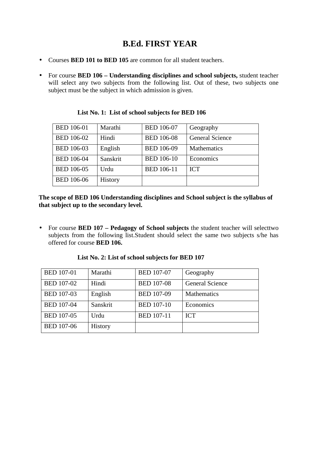# **B.Ed. FIRST YEAR**

- Courses **BED 101 to BED 105** are common for all student teachers.
- For course **BED 106 Understanding disciplines and school subjects,** student teacher will select any two subjects from the following list. Out of these, two subjects one subject must be the subject in which admission is given.

| <b>BED 106-01</b> | Marathi  | <b>BED 106-07</b> | Geography              |
|-------------------|----------|-------------------|------------------------|
| <b>BED 106-02</b> | Hindi    | <b>BED 106-08</b> | <b>General Science</b> |
| <b>BED 106-03</b> | English  | <b>BED 106-09</b> | Mathematics            |
| <b>BED 106-04</b> | Sanskrit | <b>BED 106-10</b> | Economics              |
| <b>BED 106-05</b> | Urdu     | <b>BED 106-11</b> | <b>ICT</b>             |
| <b>BED 106-06</b> | History  |                   |                        |

**List No. 1: List of school subjects for BED 106** 

**The scope of BED 106 Understanding disciplines and School subject is the syllabus of that subject up to the secondary level.** 

• For course **BED 107 – Pedagogy of School subjects** the student teacher will selecttwo subjects from the following list.Student should select the same two subjects s/he has offered for course **BED 106.**

| <b>BED 107-01</b> | Marathi  | <b>BED 107-07</b> | Geography              |
|-------------------|----------|-------------------|------------------------|
| <b>BED 107-02</b> | Hindi    | <b>BED 107-08</b> | <b>General Science</b> |
| <b>BED 107-03</b> | English  | <b>BED 107-09</b> | <b>Mathematics</b>     |
| <b>BED 107-04</b> | Sanskrit | <b>BED 107-10</b> | Economics              |
| <b>BED 107-05</b> | Urdu     | <b>BED 107-11</b> | <b>ICT</b>             |
| <b>BED 107-06</b> | History  |                   |                        |

**List No. 2: List of school subjects for BED 107**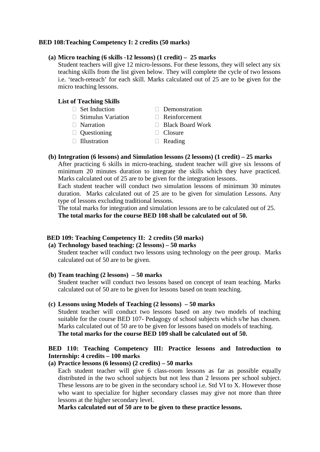#### **BED 108:Teaching Competency I: 2 credits (50 marks)**

#### **(a) Micro teaching (6 skills -12 lessons) (1 credit) – 25 marks**

Student teachers will give 12 micro-lessons. For these lessons, they will select any six teaching skills from the list given below. They will complete the cycle of two lessons i.e. 'teach-reteach' for each skill. Marks calculated out of 25 are to be given for the micro teaching lessons.

#### **List of Teaching Skills**

| Set Induction             | Demonstration           |
|---------------------------|-------------------------|
| <b>Stimulus Variation</b> | Reinforcement           |
| Narration                 | <b>Black Board Work</b> |
| Questioning               | Closure                 |
| Illustration              | Reading                 |
|                           |                         |

#### **(b) Integration (6 lessons) and Simulation lessons (2 lessons) (1 credit) – 25 marks**

After practicing 6 skills in micro-teaching, student teacher will give six lessons of minimum 20 minutes duration to integrate the skills which they have practiced. Marks calculated out of 25 are to be given for the integration lessons.

Each student teacher will conduct two simulation lessons of minimum 30 minutes duration. Marks calculated out of 25 are to be given for simulation Lessons. Any type of lessons excluding traditional lessons.

The total marks for integration and simulation lessons are to be calculated out of 25. **The total marks for the course BED 108 shall be calculated out of 50.**

#### **BED 109: Teaching Competency II: 2 credits (50 marks)**

# **(a) Technology based teaching: (2 lessons) – 50 marks**

Student teacher will conduct two lessons using technology on the peer group. Marks calculated out of 50 are to be given.

#### **(b) Team teaching (2 lessons) – 50 marks**

Student teacher will conduct two lessons based on concept of team teaching. Marks calculated out of 50 are to be given for lessons based on team teaching.

#### **(c) Lessons using Models of Teaching (2 lessons) – 50 marks**

Student teacher will conduct two lessons based on any two models of teaching suitable for the course BED 107- Pedagogy of school subjects which s/he has chosen. Marks calculated out of 50 are to be given for lessons based on models of teaching. **The total marks for the course BED 109 shall be calculated out of 50.**

### **BED 110: Teaching Competency III: Practice lessons and Introduction to Internship: 4 credits – 100 marks**

### **(a) Practice lessons (6 lessons) (2 credits) – 50 marks**

Each student teacher will give 6 class-room lessons as far as possible equally distributed in the two school subjects but not less than 2 lessons per school subject. These lessons are to be given in the secondary school i.e. Std VI to X. However those who want to specialize for higher secondary classes may give not more than three lessons at the higher secondary level.

**Marks calculated out of 50 are to be given to these practice lessons.**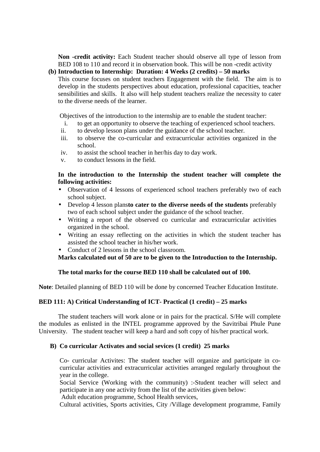**Non -credit activity:** Each Student teacher should observe all type of lesson from BED 108 to 110 and record it in observation book. This will be non -credit activity

# **(b) Introduction to Internship: Duration: 4 Weeks (2 credits) – 50 marks**

This course focuses on student teachers Engagement with the field. The aim is to develop in the students perspectives about education, professional capacities, teacher sensibilities and skills. It also will help student teachers realize the necessity to cater to the diverse needs of the learner.

Objectives of the introduction to the internship are to enable the student teacher:

- i. to get an opportunity to observe the teaching of experienced school teachers.
- ii. to develop lesson plans under the guidance of the school teacher.
- iii. to observe the co-curricular and extracurricular activities organized in the school.
- iv. to assist the school teacher in her/his day to day work.
- v. to conduct lessons in the field.

# **In the introduction to the Internship the student teacher will complete the following activities:**

- Observation of 4 lessons of experienced school teachers preferably two of each school subject.
- Develop 4 lesson plans**to cater to the diverse needs of the students** preferably two of each school subject under the guidance of the school teacher.
- Writing a report of the observed co curricular and extracurricular activities organized in the school.
- Writing an essay reflecting on the activities in which the student teacher has assisted the school teacher in his/her work.
- Conduct of 2 lessons in the school classroom.

# **Marks calculated out of 50 are to be given to the Introduction to the Internship.**

# **The total marks for the course BED 110 shall be calculated out of 100.**

**Note**: Detailed planning of BED 110 will be done by concerned Teacher Education Institute.

# **BED 111: A) Critical Understanding of ICT- Practical (1 credit) – 25 marks**

The student teachers will work alone or in pairs for the practical. S/He will complete the modules as enlisted in the INTEL programme approved by the Savitribai Phule Pune University. The student teacher will keep a hard and soft copy of his/her practical work.

# **B) Co curricular Activates and social sevices (1 credit) 25 marks**

Co- curricular Activites: The student teacher will organize and participate in cocurricular activities and extracurricular activities arranged regularly throughout the year in the college.

Social Service (Working with the community) :-Student teacher will select and participate in any one activity from the list of the activities given below:

Adult education programme, School Health services,

Cultural activities, Sports activities, City /Village development programme, Family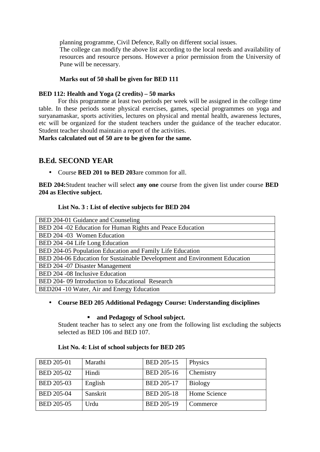planning programme, Civil Defence, Rally on different social issues.

The college can modify the above list according to the local needs and availability of resources and resource persons. However a prior permission from the University of Pune will be necessary.

### **Marks out of 50 shall be given for BED 111**

### **BED 112: Health and Yoga (2 credits) – 50 marks**

For this programme at least two periods per week will be assigned in the college time table. In these periods some physical exercises, games, special programmes on yoga and suryanamaskar, sports activities, lectures on physical and mental health, awareness lectures, etc will be organized for the student teachers under the guidance of the teacher educator. Student teacher should maintain a report of the activities.

**Marks calculated out of 50 are to be given for the same.** 

# **B.Ed. SECOND YEAR**

• Course **BED 201 to BED 203**are common for all.

**BED 204:**Student teacher will select **any one** course from the given list under course **BED 204 as Elective subject.** 

# **List No. 3 : List of elective subjects for BED 204**

| BED 204-01 Guidance and Counseling                                         |
|----------------------------------------------------------------------------|
| BED 204 -02 Education for Human Rights and Peace Education                 |
| BED 204 -03 Women Education                                                |
| BED 204 -04 Life Long Education                                            |
| BED 204-05 Population Education and Family Life Education                  |
| BED 204-06 Education for Sustainable Development and Environment Education |
| BED 204 -07 Disaster Management                                            |
| BED 204 -08 Inclusive Education                                            |
| BED 204-09 Introduction to Educational Research                            |
| BED204 -10 Water, Air and Energy Education                                 |

### • **Course BED 205 Additional Pedagogy Course: Understanding disciplines**

### **and Pedagogy of School subject.**

Student teacher has to select any one from the following list excluding the subjects selected as BED 106 and BED 107.

### **List No. 4: List of school subjects for BED 205**

| <b>BED 205-01</b> | Marathi  | <b>BED 205-15</b> | Physics        |
|-------------------|----------|-------------------|----------------|
| <b>BED 205-02</b> | Hindi    | <b>BED 205-16</b> | Chemistry      |
| <b>BED 205-03</b> | English  | <b>BED 205-17</b> | <b>Biology</b> |
| <b>BED 205-04</b> | Sanskrit | <b>BED 205-18</b> | Home Science   |
| <b>BED 205-05</b> | Urdu     | <b>BED 205-19</b> | Commerce       |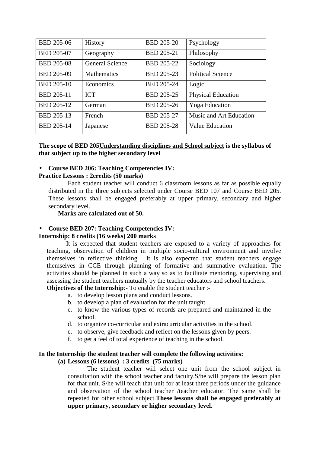| <b>BED 205-06</b> | History                | <b>BED 205-20</b> | Psychology                |
|-------------------|------------------------|-------------------|---------------------------|
| <b>BED 205-07</b> | Geography              | <b>BED 205-21</b> | Philosophy                |
| <b>BED 205-08</b> | <b>General Science</b> | <b>BED 205-22</b> | Sociology                 |
| <b>BED 205-09</b> | Mathematics            | <b>BED 205-23</b> | <b>Political Science</b>  |
| <b>BED 205-10</b> | Economics              | <b>BED 205-24</b> | Logic                     |
| <b>BED 205-11</b> | <b>ICT</b>             | <b>BED 205-25</b> | <b>Physical Education</b> |
| <b>BED 205-12</b> | German                 | <b>BED 205-26</b> | <b>Yoga</b> Education     |
| <b>BED 205-13</b> | French                 | <b>BED 205-27</b> | Music and Art Education   |
| <b>BED 205-14</b> | Japanese               | <b>BED 205-28</b> | <b>Value Education</b>    |

**The scope of BED 205Understanding disciplines and School subject is the syllabus of that subject up to the higher secondary level** 

#### • **Course BED 206: Teaching Competencies IV:**

#### **Practice Lessons : 2credits (50 marks)**

Each student teacher will conduct 6 classroom lessons as far as possible equally distributed in the three subjects selected under Course BED 107 and Course BED 205. These lessons shall be engaged preferably at upper primary, secondary and higher secondary level.

**Marks are calculated out of 50.** 

#### • **Course BED 207: Teaching Competencies IV:**

#### **Internship: 8 credits (16 weeks) 200 marks**

It is expected that student teachers are exposed to a variety of approaches for teaching, observation of children in multiple socio-cultural environment and involve themselves in reflective thinking. It is also expected that student teachers engage themselves in CCE through planning of formative and summative evaluation. The activities should be planned in such a way so as to facilitate mentoring, supervising and assessing the student teachers mutually by the teacher educators and school teachers**.** 

**Objectives of the Internship**:- To enable the student teacher :-

- a. to develop lesson plans and conduct lessons.
- b. to develop a plan of evaluation for the unit taught.
- c. to know the various types of records are prepared and maintained in the school.
- d. to organize co-curricular and extracurricular activities in the school.
- e. to observe, give feedback and reflect on the lessons given by peers.
- f. to get a feel of total experience of teaching in the school.

#### **In the Internship the student teacher will complete the following activities:**

#### **(a) Lessons (6 lessons) : 3 credits (75 marks)**

The student teacher will select one unit from the school subject in consultation with the school teacher and faculty.S/he will prepare the lesson plan for that unit. S/he will teach that unit for at least three periods under the guidance and observation of the school teacher /teacher educator. The same shall be repeated for other school subject.**These lessons shall be engaged preferably at upper primary, secondary or higher secondary level.**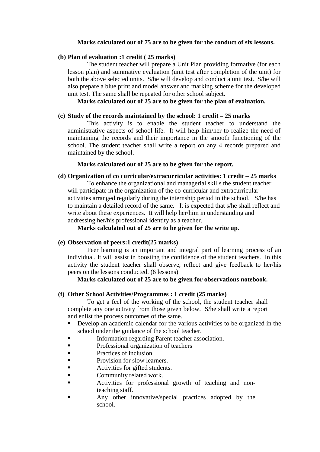#### **Marks calculated out of 75 are to be given for the conduct of six lessons.**

#### **(b) Plan of evaluation :1 credit ( 25 marks)**

The student teacher will prepare a Unit Plan providing formative (for each lesson plan) and summative evaluation (unit test after completion of the unit) for both the above selected units. S/he will develop and conduct a unit test. S/he will also prepare a blue print and model answer and marking scheme for the developed unit test. The same shall be repeated for other school subject.

### **Marks calculated out of 25 are to be given for the plan of evaluation.**

#### **(c) Study of the records maintained by the school: 1 credit – 25 marks**

This activity is to enable the student teacher to understand the administrative aspects of school life. It will help him/her to realize the need of maintaining the records and their importance in the smooth functioning of the school. The student teacher shall write a report on any 4 records prepared and maintained by the school.

#### **Marks calculated out of 25 are to be given for the report.**

#### **(d) Organization of co curricular/extracurricular activities: 1 credit – 25 marks**

To enhance the organizational and managerial skills the student teacher will participate in the organization of the co-curricular and extracurricular activities arranged regularly during the internship period in the school. S/he has to maintain a detailed record of the same. It is expected that s/he shall reflect and write about these experiences. It will help her/him in understanding and addressing her/his professional identity as a teacher.

**Marks calculated out of 25 are to be given for the write up.** 

#### **(e) Observation of peers:1 credit(25 marks)**

Peer learning is an important and integral part of learning process of an individual. It will assist in boosting the confidence of the student teachers. In this activity the student teacher shall observe, reflect and give feedback to her/his peers on the lessons conducted. (6 lessons)

### **Marks calculated out of 25 are to be given for observations notebook.**

#### **(f) Other School Activities/Programmes : 1 credit (25 marks)**

To get a feel of the working of the school, the student teacher shall complete any one activity from those given below. S/he shall write a report and enlist the process outcomes of the same.

- Develop an academic calendar for the various activities to be organized in the school under the guidance of the school teacher.
- Information regarding Parent teacher association.
- **Professional organization of teachers**
- **Practices of inclusion.**
- **Provision for slow learners.**
- Activities for gifted students.
- **Community related work.**
- **Exercise** Activities for professional growth of teaching and nonteaching staff.
- **Example 1** Any other innovative/special practices adopted by the school.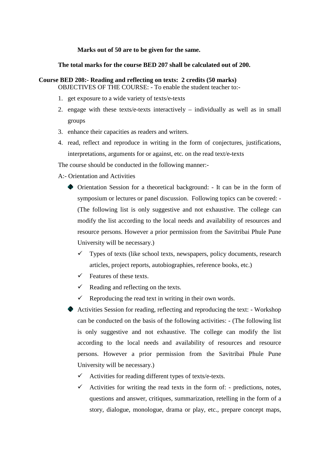#### **Marks out of 50 are to be given for the same.**

#### **The total marks for the course BED 207 shall be calculated out of 200.**

#### **Course BED 208:- Reading and reflecting on texts: 2 credits (50 marks)**  OBJECTIVES OF THE COURSE: - To enable the student teacher to:-

- 1. get exposure to a wide variety of texts/e-texts
- 2. engage with these texts/e-texts interactively individually as well as in small groups
- 3. enhance their capacities as readers and writers.
- 4. read, reflect and reproduce in writing in the form of conjectures, justifications, interpretations, arguments for or against, etc. on the read text/e-texts

The course should be conducted in the following manner:-

#### A:- Orientation and Activities

- Orientation Session for a theoretical background: It can be in the form of symposium or lectures or panel discussion. Following topics can be covered: - (The following list is only suggestive and not exhaustive. The college can modify the list according to the local needs and availability of resources and resource persons. However a prior permission from the Savitribai Phule Pune University will be necessary.)
	- $\checkmark$  Types of texts (like school texts, newspapers, policy documents, research articles, project reports, autobiographies, reference books, etc.)
	- $\checkmark$  Features of these texts.
	- $\checkmark$ Reading and reflecting on the texts.
	- $\checkmark$ Reproducing the read text in writing in their own words.
- Activities Session for reading, reflecting and reproducing the text: Workshop can be conducted on the basis of the following activities: - (The following list is only suggestive and not exhaustive. The college can modify the list according to the local needs and availability of resources and resource persons. However a prior permission from the Savitribai Phule Pune University will be necessary.)
	- $\checkmark$ Activities for reading different types of texts/e-texts.
	- $\checkmark$  Activities for writing the read texts in the form of: predictions, notes, questions and answer, critiques, summarization, retelling in the form of a story, dialogue, monologue, drama or play, etc., prepare concept maps,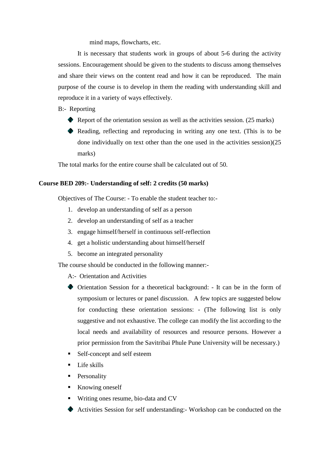mind maps, flowcharts, etc.

It is necessary that students work in groups of about 5-6 during the activity sessions. Encouragement should be given to the students to discuss among themselves and share their views on the content read and how it can be reproduced. The main purpose of the course is to develop in them the reading with understanding skill and reproduce it in a variety of ways effectively.

B:- Reporting

- $\bullet$  Report of the orientation session as well as the activities session. (25 marks)
- Reading, reflecting and reproducing in writing any one text. (This is to be done individually on text other than the one used in the activities session)(25 marks)

The total marks for the entire course shall be calculated out of 50.

#### **Course BED 209:- Understanding of self: 2 credits (50 marks)**

Objectives of The Course: - To enable the student teacher to:-

- 1. develop an understanding of self as a person
- 2. develop an understanding of self as a teacher
- 3. engage himself/herself in continuous self-reflection
- 4. get a holistic understanding about himself/herself
- 5. become an integrated personality

The course should be conducted in the following manner:-

A:- Orientation and Activities

- Orientation Session for a theoretical background: It can be in the form of symposium or lectures or panel discussion. A few topics are suggested below for conducting these orientation sessions: - (The following list is only suggestive and not exhaustive. The college can modify the list according to the local needs and availability of resources and resource persons. However a prior permission from the Savitribai Phule Pune University will be necessary.)
- Self-concept and self esteem
- Life skills
- Personality
- Knowing oneself
- Writing ones resume, bio-data and CV
- Activities Session for self understanding:- Workshop can be conducted on the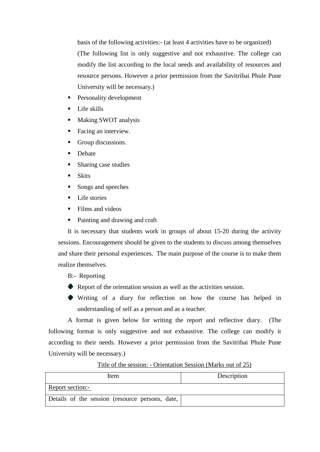basis of the following activities:- (at least 4 activities have to be organized) (The following list is only suggestive and not exhaustive. The college can modify the list according to the local needs and availability of resources and resource persons. However a prior permission from the Savitribai Phule Pune University will be necessary.)

- Personality development
- Life skills
- Making SWOT analysis
- Facing an interview.
- Group discussions.
- **Debate**
- Sharing case studies
- Skits
- Songs and speeches
- Life stories
- Films and videos
- Painting and drawing and craft

It is necessary that students work in groups of about 15-20 during the activity sessions. Encouragement should be given to the students to discuss among themselves and share their personal experiences. The main purpose of the course is to make them realize themselves.

B:- Reporting

- Report of the orientation session as well as the activities session.
- Writing of a diary for reflection on how the course has helped in understanding of self as a person and as a teacher.

A format is given below for writing the report and reflective diary. (The following format is only suggestive and not exhaustive. The college can modify it according to their needs. However a prior permission from the Savitribai Phule Pune University will be necessary.)

Title of the session: - Orientation Session (Marks out of 25)

| Item                                            | Description |
|-------------------------------------------------|-------------|
| Report section:-                                |             |
| Details of the session (resource persons, date, |             |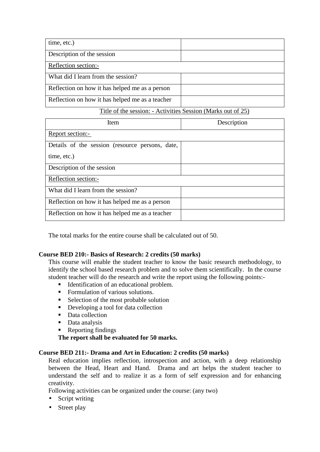| time, etc.)                                     |  |
|-------------------------------------------------|--|
| Description of the session                      |  |
| Reflection section:-                            |  |
| What did I learn from the session?              |  |
| Reflection on how it has helped me as a person  |  |
| Reflection on how it has helped me as a teacher |  |

Title of the session: - Activities Session (Marks out of 25)

| Item                                            | Description |
|-------------------------------------------------|-------------|
| Report section:-                                |             |
| Details of the session (resource persons, date, |             |
| time, etc.)                                     |             |
| Description of the session                      |             |
| Reflection section:-                            |             |
| What did I learn from the session?              |             |
| Reflection on how it has helped me as a person  |             |
| Reflection on how it has helped me as a teacher |             |

The total marks for the entire course shall be calculated out of 50.

# **Course BED 210:- Basics of Research: 2 credits (50 marks)**

This course will enable the student teacher to know the basic research methodology, to identify the school based research problem and to solve them scientifically. In the course student teacher will do the research and write the report using the following points:-

- Identification of an educational problem.
- Formulation of various solutions.
- Selection of the most probable solution
- Developing a tool for data collection
- Data collection
- Data analysis
- Reporting findings

**The report shall be evaluated for 50 marks.** 

### **Course BED 211:- Drama and Art in Education: 2 credits (50 marks)**

Real education implies reflection, introspection and action, with a deep relationship between the Head, Heart and Hand. Drama and art helps the student teacher to understand the self and to realize it as a form of self expression and for enhancing creativity.

Following activities can be organized under the course: (any two)

- Script writing
- Street play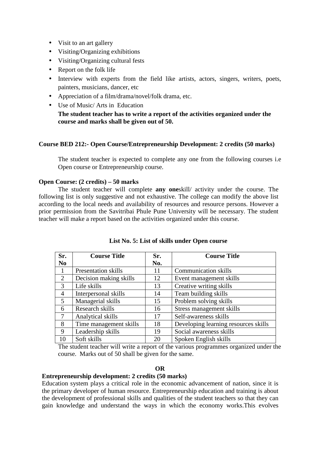- Visit to an art gallery
- Visiting/Organizing exhibitions
- Visiting/Organizing cultural fests
- Report on the folk life
- Interview with experts from the field like artists, actors, singers, writers, poets, painters, musicians, dancer, etc
- Appreciation of a film/drama/novel/folk drama, etc.
- Use of Music/ Arts in Education

**The student teacher has to write a report of the activities organized under the course and marks shall be given out of 50.** 

# **Course BED 212:- Open Course/Entrepreneurship Development: 2 credits (50 marks)**

The student teacher is expected to complete any one from the following courses i.e Open course or Entrepreneurship course.

# **Open Course: (2 credits) – 50 marks**

The student teacher will complete **any one**skill/ activity under the course. The following list is only suggestive and not exhaustive. The college can modify the above list according to the local needs and availability of resources and resource persons. However a prior permission from the Savitribai Phule Pune University will be necessary. The student teacher will make a report based on the activities organized under this course.

| Sr.             | <b>Course Title</b>    | Sr. | <b>Course Title</b>                  |
|-----------------|------------------------|-----|--------------------------------------|
| N <sub>0</sub>  |                        | No. |                                      |
|                 | Presentation skills    | 11  | <b>Communication skills</b>          |
| 2               | Decision making skills | 12  | Event management skills              |
| 3               | Life skills            | 13  | Creative writing skills              |
| $\overline{4}$  | Interpersonal skills   | 14  | Team building skills                 |
| $5\overline{)}$ | Managerial skills      | 15  | Problem solving skills               |
| 6               | Research skills        | 16  | Stress management skills             |
| $\tau$          | Analytical skills      | 17  | Self-awareness skills                |
| 8               | Time management skills | 18  | Developing learning resources skills |
| 9               | Leadership skills      | 19  | Social awareness skills              |
| 10              | Soft skills            | 20  | Spoken English skills                |

|  |  |  |  |  | List No. 5: List of skills under Open course |
|--|--|--|--|--|----------------------------------------------|
|--|--|--|--|--|----------------------------------------------|

The student teacher will write a report of the various programmes organized under the course. Marks out of 50 shall be given for the same.

#### **OR**

# **Entrepreneurship development: 2 credits (50 marks)**

Education system plays a critical role in the economic advancement of nation, since it is the primary developer of human resource. Entrepreneurship education and training is about the development of professional skills and qualities of the student teachers so that they can gain knowledge and understand the ways in which the economy works.This evolves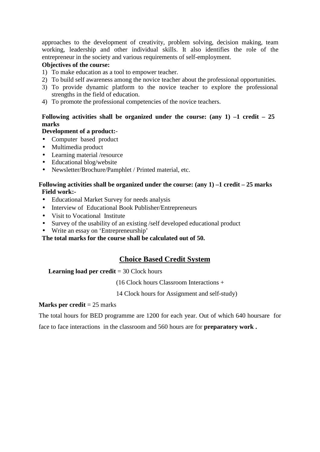approaches to the development of creativity, problem solving, decision making, team working, leadership and other individual skills. It also identifies the role of the entrepreneur in the society and various requirements of self-employment.

# **Objectives of the course:**

- 1) To make education as a tool to empower teacher.
- 2) To build self awareness among the novice teacher about the professional opportunities.
- 3) To provide dynamic platform to the novice teacher to explore the professional strengths in the field of education.
- 4) To promote the professional competencies of the novice teachers.

# **Following activities shall be organized under the course: (any 1) –1 credit – 25 marks**

# **Development of a product:**-

- Computer based product
- Multimedia product
- Learning material /resource
- Educational blog/website
- Newsletter/Brochure/Pamphlet / Printed material, etc.

### **Following activities shall be organized under the course: (any 1) –1 credit – 25 marks Field work:-**

- Educational Market Survey for needs analysis
- Interview of Educational Book Publisher/Entrepreneurs
- Visit to Vocational Institute
- Survey of the usability of an existing /self developed educational product
- Write an essay on 'Entrepreneurship'

**The total marks for the course shall be calculated out of 50.** 

# **Choice Based Credit System**

### **Learning load per credit** = 30 Clock hours

(16 Clock hours Classroom Interactions +

14 Clock hours for Assignment and self-study)

### **Marks per credit** = 25 marks

The total hours for BED programme are 1200 for each year. Out of which 640 hoursare for

face to face interactions in the classroom and 560 hours are for **preparatory work .**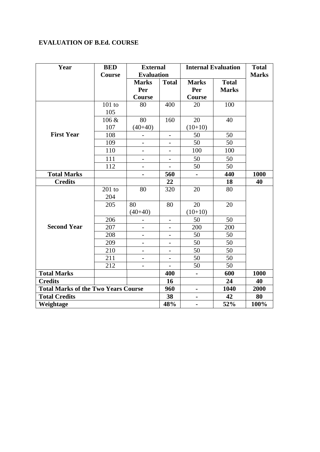# **EVALUATION OF B.Ed. COURSE**

| Year                 | <b>BED</b>                                 | <b>External</b>          |                          |                | <b>Internal Evaluation</b> | <b>Total</b> |
|----------------------|--------------------------------------------|--------------------------|--------------------------|----------------|----------------------------|--------------|
|                      | Course                                     | <b>Evaluation</b>        |                          |                |                            | <b>Marks</b> |
|                      |                                            | <b>Marks</b>             | <b>Total</b>             | <b>Marks</b>   | <b>Total</b>               |              |
|                      |                                            | Per                      |                          | Per            | <b>Marks</b>               |              |
|                      |                                            | Course                   |                          | Course         |                            |              |
|                      | $101$ to                                   | 80                       | 400                      | 20             | 100                        |              |
|                      | 105                                        |                          |                          |                |                            |              |
|                      | 106 &                                      | 80                       | 160                      | 20             | 40                         |              |
|                      | 107                                        | $(40+40)$                |                          | $(10+10)$      |                            |              |
| <b>First Year</b>    | 108                                        |                          | $\qquad \qquad -$        | 50             | 50                         |              |
|                      | 109                                        |                          | $\overline{\phantom{0}}$ | 50             | 50                         |              |
|                      | 110                                        |                          |                          | 100            | 100                        |              |
|                      | 111                                        | $\overline{\phantom{0}}$ | $\overline{\phantom{a}}$ | 50             | 50                         |              |
|                      | 112                                        |                          |                          | 50             | 50                         |              |
| <b>Total Marks</b>   |                                            |                          | 560                      |                | 440                        | 1000         |
| <b>Credits</b>       |                                            |                          | 22                       |                | 18                         | 40           |
|                      | $201$ to                                   | 80                       | 320                      | 20             | 80                         |              |
|                      | 204                                        |                          |                          |                |                            |              |
|                      | 205                                        | 80                       | 80                       | 20             | 20                         |              |
|                      |                                            | $(40+40)$                |                          | $(10+10)$      |                            |              |
|                      | 206                                        |                          | $\overline{\phantom{a}}$ | 50             | 50                         |              |
| <b>Second Year</b>   | 207                                        |                          | $\overline{\phantom{0}}$ | 200            | 200                        |              |
|                      | 208                                        |                          | $\overline{\phantom{0}}$ | 50             | 50                         |              |
|                      | 209                                        |                          |                          | 50             | 50                         |              |
|                      | 210                                        |                          |                          | 50             | 50                         |              |
|                      | 211                                        |                          | $\overline{\phantom{a}}$ | 50             | 50                         |              |
|                      | 212                                        |                          |                          | 50             | 50                         |              |
| <b>Total Marks</b>   |                                            |                          | 400                      | $\blacksquare$ | 600                        | 1000         |
| <b>Credits</b>       |                                            |                          | 16                       |                | 24                         | 40           |
|                      | <b>Total Marks of the Two Years Course</b> |                          |                          | $\blacksquare$ | 1040                       | 2000         |
| <b>Total Credits</b> |                                            |                          | 38                       |                | 42                         | 80           |
| Weightage            |                                            |                          | 48%                      | $\blacksquare$ | 52%                        | 100%         |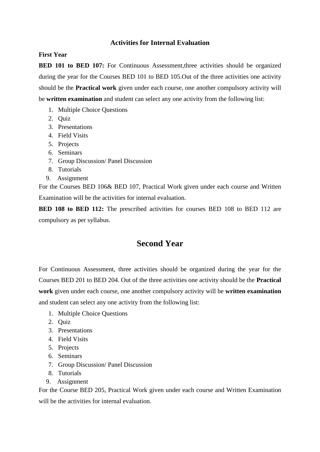# **Activities for Internal Evaluation**

# **First Year**

**BED 101 to BED 107:** For Continuous Assessment, three activities should be organized during the year for the Courses BED 101 to BED 105.Out of the three activities one activity should be the **Practical work** given under each course, one another compulsory activity will be **written examination** and student can select any one activity from the following list:

- 1. Multiple Choice Questions
- 2. Quiz
- 3. Presentations
- 4. Field Visits
- 5. Projects
- 6. Seminars
- 7. Group Discussion/ Panel Discussion
- 8. Tutorials
- 9. Assignment

For the Courses BED 106& BED 107, Practical Work given under each course and Written Examination will be the activities for internal evaluation.

**BED 108 to BED 112:** The prescribed activities for courses BED 108 to BED 112 are compulsory as per syllabus.

# **Second Year**

For Continuous Assessment, three activities should be organized during the year for the Courses BED 201 to BED 204. Out of the three activities one activity should be the **Practical work** given under each course, one another compulsory activity will be **written examination** and student can select any one activity from the following list:

- 1. Multiple Choice Questions
- 2. Quiz
- 3. Presentations
- 4. Field Visits
- 5. Projects
- 6. Seminars
- 7. Group Discussion/ Panel Discussion
- 8. Tutorials
- 9. Assignment

For the Course BED 205, Practical Work given under each course and Written Examination will be the activities for internal evaluation.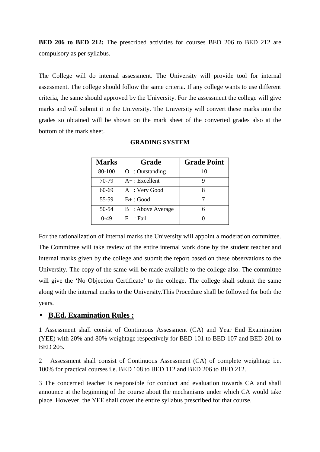**BED 206 to BED 212:** The prescribed activities for courses BED 206 to BED 212 are compulsory as per syllabus.

The College will do internal assessment. The University will provide tool for internal assessment. The college should follow the same criteria. If any college wants to use different criteria, the same should approved by the University. For the assessment the college will give marks and will submit it to the University. The University will convert these marks into the grades so obtained will be shown on the mark sheet of the converted grades also at the bottom of the mark sheet.

| <b>Marks</b> | Grade                    | <b>Grade Point</b> |
|--------------|--------------------------|--------------------|
| 80-100       | $O:$ Outstanding         | 10                 |
| 70-79        | $A+$ : Excellent         |                    |
| 60-69        | A : Very Good            |                    |
| 55-59        | $B+$ : Good              |                    |
| 50-54        | <b>B</b> : Above Average |                    |
| $0-49$       | F<br>: Fail              |                    |

#### **GRADING SYSTEM**

For the rationalization of internal marks the University will appoint a moderation committee. The Committee will take review of the entire internal work done by the student teacher and internal marks given by the college and submit the report based on these observations to the University. The copy of the same will be made available to the college also. The committee will give the 'No Objection Certificate' to the college. The college shall submit the same along with the internal marks to the University.This Procedure shall be followed for both the years.

# • **B.Ed. Examination Rules :**

1 Assessment shall consist of Continuous Assessment (CA) and Year End Examination (YEE) with 20% and 80% weightage respectively for BED 101 to BED 107 and BED 201 to BED 205.

2 Assessment shall consist of Continuous Assessment (CA) of complete weightage i.e. 100% for practical courses i.e. BED 108 to BED 112 and BED 206 to BED 212.

3 The concerned teacher is responsible for conduct and evaluation towards CA and shall announce at the beginning of the course about the mechanisms under which CA would take place. However, the YEE shall cover the entire syllabus prescribed for that course.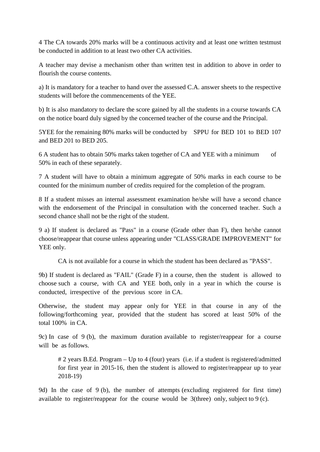4 The CA towards 20% marks will be a continuous activity and at least one written testmust be conducted in addition to at least two other CA activities.

A teacher may devise a mechanism other than written test in addition to above in order to flourish the course contents.

a) It is mandatory for a teacher to hand over the assessed C.A. answer sheets to the respective students will before the commencements of the YEE.

b) It is also mandatory to declare the score gained by all the students in a course towards CA on the notice board duly signed by the concerned teacher of the course and the Principal.

5YEE for the remaining 80% marks will be conducted by SPPU for BED 101 to BED 107 and BED 201 to BED 205.

6 A student has to obtain 50% marks taken together of CA and YEE with a minimum of 50% in each of these separately.

7 A student will have to obtain a minimum aggregate of 50% marks in each course to be counted for the minimum number of credits required for the completion of the program.

8 If a student misses an internal assessment examination he/she will have a second chance with the endorsement of the Principal in consultation with the concerned teacher. Such a second chance shall not be the right of the student.

9 a) If student is declared as "Pass" in a course (Grade other than F), then he/she cannot choose/reappear that course unless appearing under "CLASS/GRADE IMPROVEMENT" for YEE only.

CA is not available for a course in which the student has been declared as "PASS".

9b) If student is declared as "FAIL" (Grade F) in a course, then the student is allowed to choose such a course, with CA and YEE both, only in a year in which the course is conducted, irrespective of the previous score in CA.

Otherwise, the student may appear only for YEE in that course in any of the following/forthcoming year, provided that the student has scored at least 50% of the total 100% in CA.

9c) In case of 9 (b), the maximum duration available to register/reappear for a course will be as follows.

# 2 years B.Ed. Program – Up to 4 (four) years (i.e. if a student is registered/admitted for first year in 2015-16, then the student is allowed to register/reappear up to year 2018-19)

9d) In the case of 9 (b), the number of attempts (excluding registered for first time) available to register/reappear for the course would be 3(three) only, subject to 9 (c).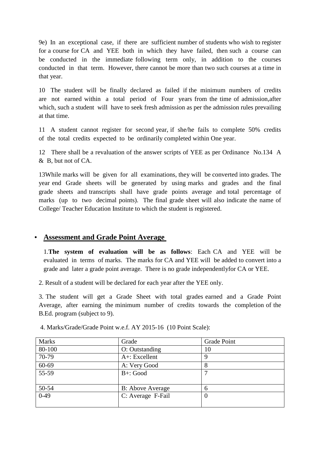9e) In an exceptional case, if there are sufficient number of students who wish to register for a course for CA and YEE both in which they have failed, then such a course can be conducted in the immediate following term only, in addition to the courses conducted in that term. However, there cannot be more than two such courses at a time in that year.

10 The student will be finally declared as failed if the minimum numbers of credits are not earned within a total period of Four years from the time of admission,after which, such a student will have to seek fresh admission as per the admission rules prevailing at that time.

11 A student cannot register for second year, if she/he fails to complete 50% credits of the total credits expected to be ordinarily completed within One year.

12 There shall be a revaluation of the answer scripts of YEE as per Ordinance No.134 A & B, but not of CA.

13While marks will be given for all examinations, they will be converted into grades. The year end Grade sheets will be generated by using marks and grades and the final grade sheets and transcripts shall have grade points average and total percentage of marks (up to two decimal points). The final grade sheet will also indicate the name of College/ Teacher Education Institute to which the student is registered.

# • **Assessment and Grade Point Average**

1.**The system of evaluation will be as follows**: Each CA and YEE will be evaluated in terms of marks. The marks for CA and YEE will be added to convert into a grade and later a grade point average. There is no grade independentlyfor CA or YEE.

2. Result of a student will be declared for each year after the YEE only.

3. The student will get a Grade Sheet with total grades earned and a Grade Point Average, after earning the minimum number of credits towards the completion of the B.Ed. program (subject to 9).

| <b>Marks</b> | Grade                   | <b>Grade Point</b> |
|--------------|-------------------------|--------------------|
| 80-100       | O: Outstanding          | 10                 |
| 70-79        | $A$ +: Excellent        | 9                  |
| 60-69        | A: Very Good            |                    |
| 55-59        | $B+$ : Good             |                    |
| 50-54        | <b>B:</b> Above Average | 6                  |
| $0-49$       | C: Average F-Fail       | $\theta$           |

4. Marks/Grade/Grade Point w.e.f. AY 2015-16 (10 Point Scale):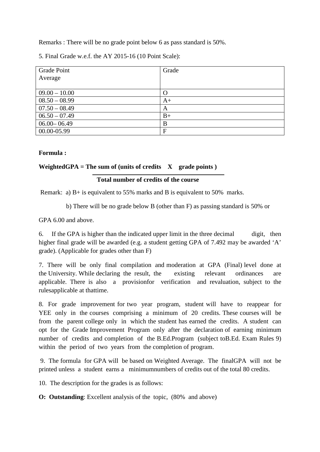Remarks : There will be no grade point below 6 as pass standard is 50%.

| <b>Grade Point</b> | Grade |
|--------------------|-------|
| Average            |       |
|                    |       |
| $09.00 - 10.00$    |       |
| $08.50 - 08.99$    | $A+$  |
| $07.50 - 08.49$    | A     |
| $06.50 - 07.49$    | $B+$  |
| $06.00 - 06.49$    | B     |
| 00.00-05.99        | F     |

5. Final Grade w.e.f. the AY 2015-16 (10 Point Scale):

# **Formula :**

# **WeightedGPA** = The sum of (units of credits  $X$  grade points)

# **Total number of credits of the course**

Remark: a) B+ is equivalent to 55% marks and B is equivalent to 50% marks.

b) There will be no grade below B (other than F) as passing standard is 50% or

GPA 6.00 and above.

6. If the GPA is higher than the indicated upper limit in the three decimal digit, then higher final grade will be awarded (e.g. a student getting GPA of 7.492 may be awarded 'A' grade). (Applicable for grades other than F)

7. There will be only final compilation and moderation at GPA (Final) level done at the University. While declaring the result, the existing relevant ordinances are applicable. There is also a provisionfor verification and revaluation, subject to the rulesapplicable at thattime.

8. For grade improvement for two year program, student will have to reappear for YEE only in the courses comprising a minimum of 20 credits. These courses will be from the parent college only in which the student has earned the credits. A student can opt for the Grade Improvement Program only after the declaration of earning minimum number of credits and completion of the B.Ed.Program (subject toB.Ed. Exam Rules 9) within the period of two years from the completion of program.

 9. The formula for GPA will be based on Weighted Average. The finalGPA will not be printed unless a student earns a minimumnumbers of credits out of the total 80 credits.

10. The description for the grades is as follows:

**O: Outstanding:** Excellent analysis of the topic, (80% and above)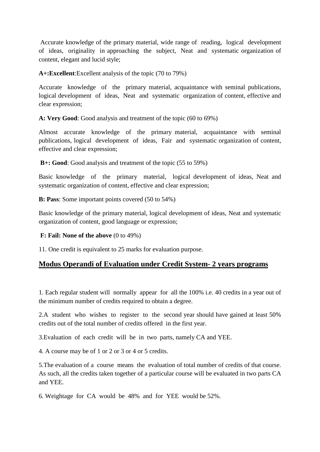Accurate knowledge of the primary material, wide range of reading, logical development of ideas, originality in approaching the subject, Neat and systematic organization of content, elegant and lucid style;

**A+:Excellent**:Excellent analysis of the topic (70 to 79%)

Accurate knowledge of the primary material, acquaintance with seminal publications, logical development of ideas, Neat and systematic organization of content, effective and clear expression;

**A: Very Good**: Good analysis and treatment of the topic (60 to 69%)

Almost accurate knowledge of the primary material, acquaintance with seminal publications, logical development of ideas, Fair and systematic organization of content, effective and clear expression;

 **B+: Good**: Good analysis and treatment of the topic (55 to 59%)

Basic knowledge of the primary material, logical development of ideas, Neat and systematic organization of content, effective and clear expression;

**B: Pass**: Some important points covered (50 to 54%)

Basic knowledge of the primary material, logical development of ideas, Neat and systematic organization of content, good language or expression;

**F: Fail: None of the above** (0 to 49%)

11. One credit is equivalent to 25 marks for evaluation purpose.

# **Modus Operandi of Evaluation under Credit System- 2 years programs**

1. Each regular student will normally appear for all the 100% i.e. 40 credits in a year out of the minimum number of credits required to obtain a degree.

2.A student who wishes to register to the second year should have gained at least 50% credits out of the total number of credits offered in the first year.

3.Evaluation of each credit will be in two parts, namely CA and YEE.

4. A course may be of 1 or 2 or 3 or 4 or 5 credits.

5.The evaluation of a course means the evaluation of total number of credits of that course. As such, all the credits taken together of a particular course will be evaluated in two parts CA and YEE.

6. Weightage for CA would be 48% and for YEE would be 52%.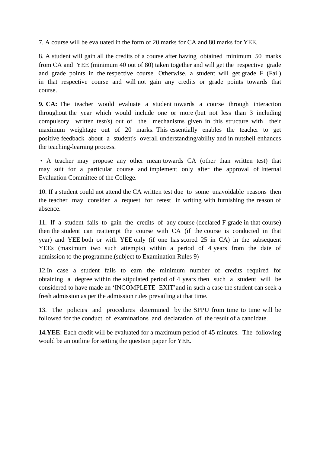7. A course will be evaluated in the form of 20 marks for CA and 80 marks for YEE.

8. A student will gain all the credits of a course after having obtained minimum 50 marks from CA and YEE (minimum 40 out of 80) taken together and will get the respective grade and grade points in the respective course. Otherwise, a student will get grade F (Fail) in that respective course and will not gain any credits or grade points towards that course.

**9. CA:** The teacher would evaluate a student towards a course through interaction throughout the year which would include one or more (but not less than 3 including compulsory written test/s) out of the mechanisms given in this structure with their maximum weightage out of 20 marks. This essentially enables the teacher to get positive feedback about a student's overall understanding/ability and in nutshell enhances the teaching-learning process.

 • A teacher may propose any other mean towards CA (other than written test) that may suit for a particular course and implement only after the approval of Internal Evaluation Committee of the College.

10. If a student could not attend the CA written test due to some unavoidable reasons then the teacher may consider a request for retest in writing with furnishing the reason of absence.

11. If a student fails to gain the credits of any course (declared F grade in that course) then the student can reattempt the course with CA (if the course is conducted in that year) and YEE both or with YEE only (if one has scored 25 in CA) in the subsequent YEEs (maximum two such attempts) within a period of 4 years from the date of admission to the programme.(subject to Examination Rules 9)

12.In case a student fails to earn the minimum number of credits required for obtaining a degree within the stipulated period of 4 years then such a student will be considered to have made an 'INCOMPLETE EXIT'and in such a case the student can seek a fresh admission as per the admission rules prevailing at that time.

13. The policies and procedures determined by the SPPU from time to time will be followed for the conduct of examinations and declaration of the result of a candidate.

**14.YEE**: Each credit will be evaluated for a maximum period of 45 minutes. The following would be an outline for setting the question paper for YEE.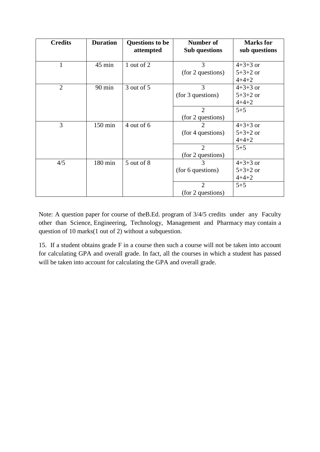| <b>Credits</b> | <b>Duration</b> | <b>Questions to be</b> | Number of            | <b>Marks</b> for |
|----------------|-----------------|------------------------|----------------------|------------------|
|                |                 | attempted              | <b>Sub</b> questions | sub questions    |
|                |                 |                        |                      |                  |
| 1              | 45 min          | 1 out of 2             | 3                    | $4+3+3$ or       |
|                |                 |                        | (for 2 questions)    | $5+3+2$ or       |
|                |                 |                        |                      | $4 + 4 + 2$      |
| $\overline{2}$ | 90 min          | 3 out of 5             | 3                    | $4+3+3$ or       |
|                |                 |                        | (for 3 questions)    | $5+3+2$ or       |
|                |                 |                        |                      | $4 + 4 + 2$      |
|                |                 |                        | $\overline{2}$       | $5 + 5$          |
|                |                 |                        | (for 2 questions)    |                  |
| 3              | 150 min         | 4 out of 6             | 2                    | $4+3+3$ or       |
|                |                 |                        | (for 4 questions)    | $5+3+2$ or       |
|                |                 |                        |                      | $4 + 4 + 2$      |
|                |                 |                        | $\overline{2}$       | $5 + 5$          |
|                |                 |                        | (for 2 questions)    |                  |
| 4/5            | 180 min         | 5 out of 8             | 3                    | $4+3+3$ or       |
|                |                 |                        | (for 6 questions)    | $5+3+2$ or       |
|                |                 |                        |                      | $4 + 4 + 2$      |
|                |                 |                        | $\overline{2}$       | $5 + 5$          |
|                |                 |                        | (for 2 questions)    |                  |

Note: A question paper for course of theB.Ed. program of 3/4/5 credits under any Faculty other than Science, Engineering, Technology, Management and Pharmacy may contain a question of 10 marks(1 out of 2) without a subquestion.

15. If a student obtains grade F in a course then such a course will not be taken into account for calculating GPA and overall grade. In fact, all the courses in which a student has passed will be taken into account for calculating the GPA and overall grade.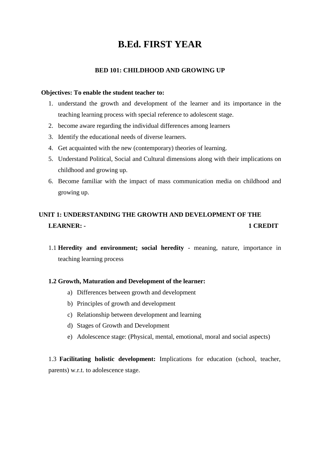# **B.Ed. FIRST YEAR**

# **BED 101: CHILDHOOD AND GROWING UP**

#### **Objectives: To enable the student teacher to:**

- 1. understand the growth and development of the learner and its importance in the teaching learning process with special reference to adolescent stage.
- 2. become aware regarding the individual differences among learners
- 3. Identify the educational needs of diverse learners.
- 4. Get acquainted with the new (contemporary) theories of learning.
- 5. Understand Political, Social and Cultural dimensions along with their implications on childhood and growing up.
- 6. Become familiar with the impact of mass communication media on childhood and growing up.

# **UNIT 1: UNDERSTANDING THE GROWTH AND DEVELOPMENT OF THE LEARNER: - 1 CREDIT**

1.1 **Heredity and environment; social heredity** - meaning, nature, importance in teaching learning process

### **1.2 Growth, Maturation and Development of the learner:**

- a) Differences between growth and development
- b) Principles of growth and development
- c) Relationship between development and learning
- d) Stages of Growth and Development
- e) Adolescence stage: (Physical, mental, emotional, moral and social aspects)

1.3 **Facilitating holistic development:** Implications for education (school, teacher, parents) w.r.t. to adolescence stage.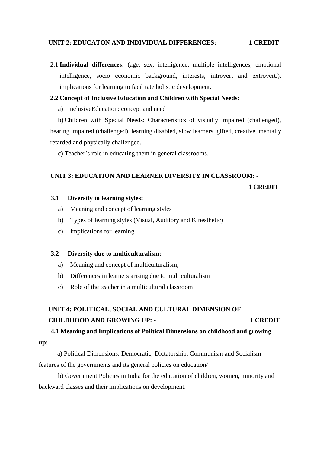### **UNIT 2: EDUCATON AND INDIVIDUAL DIFFERENCES: - 1 CREDIT**

2.1 **Individual differences:** (age, sex, intelligence, multiple intelligences, emotional intelligence, socio economic background, interests, introvert and extrovert.), implications for learning to facilitate holistic development.

### **2.2 Concept of Inclusive Education and Children with Special Needs:**

a) InclusiveEducation: concept and need

b) Children with Special Needs: Characteristics of visually impaired (challenged), hearing impaired (challenged), learning disabled, slow learners, gifted, creative, mentally retarded and physically challenged.

c) Teacher's role in educating them in general classrooms**.**

### **UNIT 3: EDUCATION AND LEARNER DIVERSITY IN CLASSROOM: -**

### **1 CREDIT**

# **3.1 Diversity in learning styles:**

- a) Meaning and concept of learning styles
- b) Types of learning styles (Visual, Auditory and Kinesthetic)
- c) Implications for learning

### **3.2 Diversity due to multiculturalism:**

- a) Meaning and concept of multiculturalism,
- b) Differences in learners arising due to multiculturalism
- c) Role of the teacher in a multicultural classroom

# **UNIT 4: POLITICAL, SOCIAL AND CULTURAL DIMENSION OF CHILDHOOD AND GROWING UP: - 1 CREDIT**

# **4.1 Meaning and Implications of Political Dimensions on childhood and growing**

# **up:**

 a) Political Dimensions: Democratic, Dictatorship, Communism and Socialism – features of the governments and its general policies on education/

b) Government Policies in India for the education of children, women, minority and backward classes and their implications on development.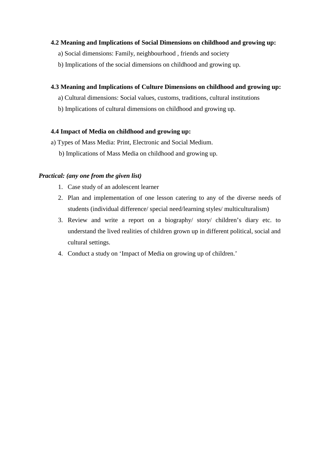# **4.2 Meaning and Implications of Social Dimensions on childhood and growing up:**

- a) Social dimensions: Family, neighbourhood , friends and society
- b) Implications of the social dimensions on childhood and growing up.

# **4.3 Meaning and Implications of Culture Dimensions on childhood and growing up:**

- a) Cultural dimensions: Social values, customs, traditions, cultural institutions
- b) Implications of cultural dimensions on childhood and growing up.

### **4.4 Impact of Media on childhood and growing up:**

- a) Types of Mass Media: Print, Electronic and Social Medium.
	- b) Implications of Mass Media on childhood and growing up.

# *Practical: (any one from the given list)*

- 1. Case study of an adolescent learner
- 2. Plan and implementation of one lesson catering to any of the diverse needs of students (individual difference/ special need/learning styles/ multiculturalism)
- 3. Review and write a report on a biography/ story/ children's diary etc. to understand the lived realities of children grown up in different political, social and cultural settings.
- 4. Conduct a study on 'Impact of Media on growing up of children.'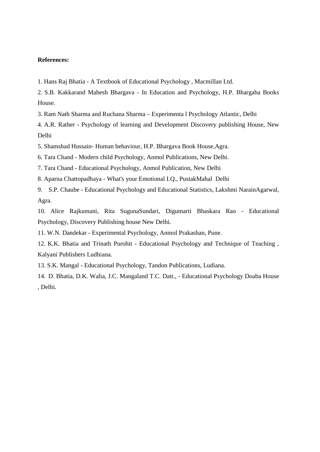#### **References:**

- 1. Hans Raj Bhatia A Textbook of Educational Psychology , Macmillan Ltd.
- 2. S.B. Kakkarand Mahesh Bhargava In Education and Psychology, H.P. Bhargaba Books House.
- 3. Ram Nath Sharma and Ruchana Sharma Experimenta l Psychology Atlantic, Delhi
- 4. A.R. Rather Psychology of learning and Development Discovery publishing House, New Delhi
- 5. Shamshad Hussain- Human behaviour, H.P. Bhargava Book House,Agra.
- 6. Tara Chand Modern child Psychology, Anmol Publications, New Delhi.
- 7. Tara Chand Educational Psychology, Anmol Publication, New Delhi
- 8. Aparna Chattopadhaya What's your Emotional I.Q., PustakMahal Delhi
- 9. S.P. Chaube Educational Psychology and Educational Statistics, Lakshmi NarainAgarwal, Agra.
- 10. Alice Rajkumani, Rita SugunaSundari, Digumarti Bhaskara Rao Educational Psychology, Discovery Publishing house New Delhi.
- 11. W.N. Dandekar Experimental Psychology, Anmol Prakashan, Pune.
- 12. K.K. Bhatia and Trinath Purohit Educational Psychology and Technique of Teaching , Kalyani Publishers Ludhiana.
- 13. S.K. Mangal Educational Psychology, Tandon Publications, Ludiana.
- 14. D. Bhatia, D.K. Walia, J.C. Mangaland T.C. Datt., Educational Psychology Doaba House , Delhi.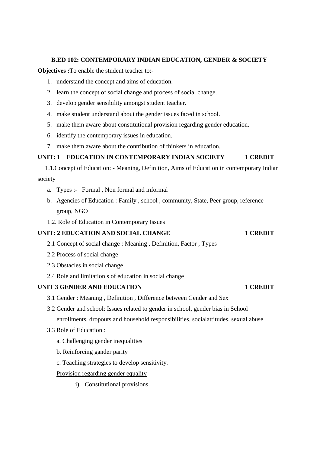#### **B.ED 102: CONTEMPORARY INDIAN EDUCATION, GENDER & SOCIETY**

**Objectives :**To enable the student teacher to:-

- 1. understand the concept and aims of education.
- 2. learn the concept of social change and process of social change.
- 3. develop gender sensibility amongst student teacher.
- 4. make student understand about the gender issues faced in school.
- 5. make them aware about constitutional provision regarding gender education.
- 6. identify the contemporary issues in education.
- 7. make them aware about the contribution of thinkers in education.

# **UNIT: 1 EDUCATION IN CONTEMPORARY INDIAN SOCIETY 1 CREDIT**

1.1.Concept of Education: - Meaning, Definition, Aims of Education in contemporary Indian society

- a. Types :- Formal , Non formal and informal
- b. Agencies of Education : Family , school , community, State, Peer group, reference group, NGO
- 1.2. Role of Education in Contemporary Issues

### **UNIT: 2 EDUCATION AND SOCIAL CHANGE 1 CREDIT**

- 2.1 Concept of social change : Meaning , Definition, Factor , Types
- 2.2 Process of social change
- 2.3 Obstacles in social change
- 2.4 Role and limitation s of education in social change

#### **UNIT 3 GENDER AND EDUCATION 1 CREDIT**

- 3.1 Gender : Meaning , Definition , Difference between Gender and Sex
- 3.2 Gender and school: Issues related to gender in school, gender bias in School

enrollments, dropouts and household responsibilities, socialattitudes, sexual abuse

- 3.3 Role of Education :
	- a. Challenging gender inequalities
	- b. Reinforcing gander parity
	- c. Teaching strategies to develop sensitivity.

#### Provision regarding gender equality

i) Constitutional provisions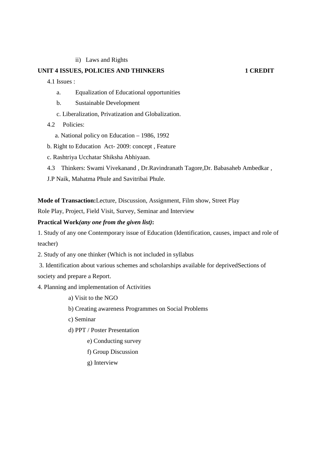ii) Laws and Rights

#### **UNIT 4 ISSUES, POLICIES AND THINKERS**  1 **CREDIT**

4.1 Issues :

- a. Equalization of Educational opportunities
- b. Sustainable Development
- c. Liberalization, Privatization and Globalization.
- 4.2 Policies:
	- a. National policy on Education 1986, 1992
- b. Right to Education Act- 2009: concept , Feature
- c. Rashtriya Ucchatar Shiksha Abhiyaan.
- 4.3 Thinkers: Swami Vivekanand , Dr.Ravindranath Tagore,Dr. Babasaheb Ambedkar ,
- J.P Naik, Mahatma Phule and Savitribai Phule.

**Mode of Transaction:**Lecture, Discussion, Assignment, Film show, Street Play

Role Play, Project, Field Visit, Survey, Seminar and Interview

# **Practical Work***(any one from the given list)***:**

1. Study of any one Contemporary issue of Education (Identification, causes, impact and role of teacher)

2. Study of any one thinker (Which is not included in syllabus

 3. Identification about various schemes and scholarships available for deprivedSections of society and prepare a Report.

#### 4. Planning and implementation of Activities

- a) Visit to the NGO
- b) Creating awareness Programmes on Social Problems
- c) Seminar
- d) PPT / Poster Presentation
	- e) Conducting survey
	- f) Group Discussion
	- g) Interview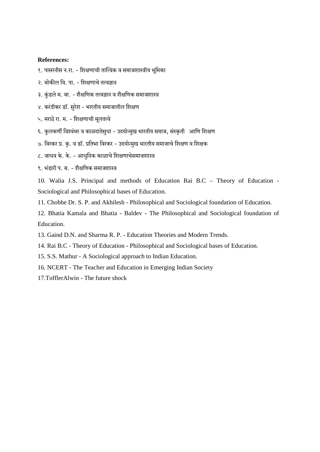#### **References:**

१. पासरनीस न.रा. - शिक्षणाची तात्विक व समाजशास्त्रीय भूमिका

- २. बोकील वि. पा. शिक्षणाचे तत्वज्ञान
- ३. कुंडले म. बा. शैक्षणिक तत्वज्ञान व शैक्षणिक समाजशास्त्र
- $\times$ . करंदीकर डॉ. सुरेश भारतीय समाजातील शिक्षण
- ५. मराठे रा. म. शिक्षणाची मूलतत्वे
- ६. कुलकर्णी विश्वंभर व काळदातेसुधा उदयोन्मुख भारतीय समाज, संस्कृती आणि शिक्षण
- ७. विरकर प्र. कृ. व डॉ. प्रतिभा विरकर उदयोन्मुख भारतीय समाजाचे शिक्षण व शिक्षक
- $\epsilon$ . जाधव के. के. आधुनिक काळाचे शिक्षणाचेसमाजशास्त्र
- ९ भंदारी प**ूब** शैक्षणिक समाजशास्त्र

10. Walia J.S. Principal and methods of Education Rai B.C – Theory of Education - Sociological and Philosophical bases of Education.

11. Chobhe Dr. S. P. and Akhilesh - Philosophical and Sociological foundation of Education.

12. Bhatia Kamala and Bhatia - Baldev - The Philosophical and Sociological foundation of Education.

- 13. Gaind D.N. and Sharma R. P. Education Theories and Modern Trends.
- 14. Rai B.C Theory of Education Philosophical and Sociological bases of Education.
- 15. S.S. Mathur A Sociological approach to Indian Education.
- 16. NCERT The Teacher and Education in Emerging Indian Society
- 17.TofflerAlwin The future shock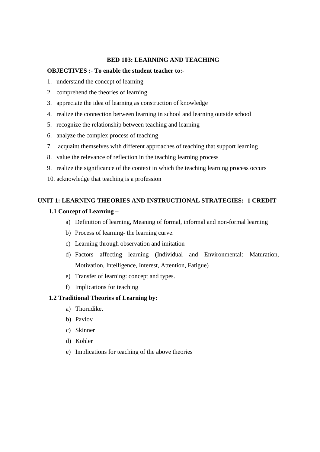#### **BED 103: LEARNING AND TEACHING**

#### **OBJECTIVES :- To enable the student teacher to:-**

- 1. understand the concept of learning
- 2. comprehend the theories of learning
- 3. appreciate the idea of learning as construction of knowledge
- 4. realize the connection between learning in school and learning outside school
- 5. recognize the relationship between teaching and learning
- 6. analyze the complex process of teaching
- 7. acquaint themselves with different approaches of teaching that support learning
- 8. value the relevance of reflection in the teaching learning process
- 9. realize the significance of the context in which the teaching learning process occurs
- 10. acknowledge that teaching is a profession

# **UNIT 1: LEARNING THEORIES AND INSTRUCTIONAL STRATEGIES: -1 CREDIT**

#### **1.1 Concept of Learning –**

- a) Definition of learning, Meaning of formal, informal and non-formal learning
- b) Process of learning- the learning curve.
- c) Learning through observation and imitation
- d) Factors affecting learning (Individual and Environmental: Maturation, Motivation, Intelligence, Interest, Attention, Fatigue)
- e) Transfer of learning: concept and types.
- f) Implications for teaching

#### **1.2 Traditional Theories of Learning by:**

- a) Thorndike,
- b) Pavlov
- c) Skinner
- d) Kohler
- e) Implications for teaching of the above theories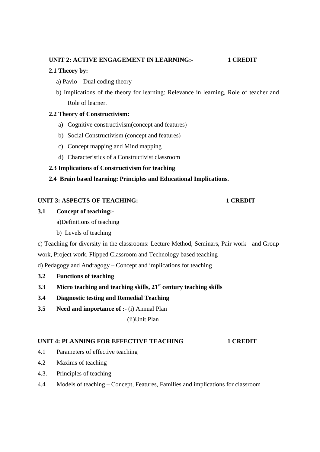# **UNIT 2: ACTIVE ENGAGEMENT IN LEARNING:- 1 CREDIT**

# **2.1 Theory by:**

- a) Pavio Dual coding theory
- b) Implications of the theory for learning: Relevance in learning, Role of teacher and Role of learner.

# **2.2 Theory of Constructivism:**

- a) Cognitive constructivism(concept and features)
- b) Social Constructivism (concept and features)
- c) Concept mapping and Mind mapping
- d) Characteristics of a Constructivist classroom
- **2.3 Implications of Constructivism for teaching**
- **2.4 Brain based learning: Principles and Educational Implications.**

# UNIT 3: ASPECTS OF TEACHING:- **1 CREDIT**

# **3.1 Concept of teaching:-**

a)Definitions of teaching

b) Levels of teaching

c) Teaching for diversity in the classrooms: Lecture Method, Seminars, Pair work and Group work, Project work, Flipped Classroom and Technology based teaching

d) Pedagogy and Andragogy – Concept and implications for teaching

- **3.2 Functions of teaching**
- **3.3 Micro teaching and teaching skills, 21st century teaching skills**
- **3.4 Diagnostic testing and Remedial Teaching**
- **3.5 Need and importance of :-** (i) Annual Plan

(ii)Unit Plan

### **UNIT 4: PLANNING FOR EFFECTIVE TEACHING 1 CREDIT**

- 4.1 Parameters of effective teaching
- 4.2 Maxims of teaching
- 4.3. Principles of teaching
- 4.4 Models of teaching Concept, Features, Families and implications for classroom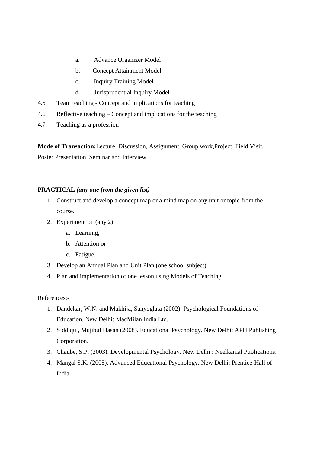- a. Advance Organizer Model
- b. Concept Attainment Model
- c. Inquiry Training Model
- d. Jurisprudential Inquiry Model
- 4.5 Team teaching Concept and implications for teaching
- 4.6 Reflective teaching Concept and implications for the teaching
- 4.7 Teaching as a profession

**Mode of Transaction:**Lecture, Discussion, Assignment, Group work,Project, Field Visit, Poster Presentation, Seminar and Interview

## **PRACTICAL** *(any one from the given list)*

- 1. Construct and develop a concept map or a mind map on any unit or topic from the course.
- 2. Experiment on (any 2)
	- a. Learning,
	- b. Attention or
	- c. Fatigue.
- 3. Develop an Annual Plan and Unit Plan (one school subject).
- 4. Plan and implementation of one lesson using Models of Teaching.

References:-

- 1. Dandekar, W.N. and Makhija, Sanyoglata (2002). Psychological Foundations of Education. New Delhi: MacMilan India Ltd.
- 2. Siddiqui, Mujibul Hasan (2008). Educational Psychology. New Delhi: APH Publishing Corporation.
- 3. Chaube, S.P. (2003). Developmental Psychology. New Delhi : Neelkamal Publications.
- 4. Mangal S.K. (2005). Advanced Educational Psychology. New Delhi: Prentice-Hall of India.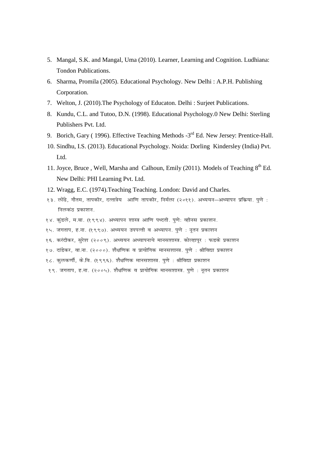- 5. Mangal, S.K. and Mangal, Uma (2010). Learner, Learning and Cognition. Ludhiana: Tondon Publications.
- 6. Sharma, Promila (2005). Educational Psychology. New Delhi : A.P.H. Publishing Corporation.
- 7. Welton, J. (2010).The Psychology of Educaton. Delhi : Surjeet Publications.
- 8. Kundu, C.L. and Tutoo, D.N. (1998). Educational Psychology.0 New Delhi: Sterling Publishers Pvt. Ltd.
- 9. Borich, Gary (1996). Effective Teaching Methods -3<sup>rd</sup> Ed. New Jersey: Prentice-Hall.
- 10. Sindhu, I.S. (2013). Educational Psychology. Noida: Dorling Kindersley (India) Pvt. Ltd.
- 11. Joyce, Bruce, Well, Marsha and Calhoun, Emily (2011). Models of Teaching 8<sup>th</sup> Ed. New Delhi: PHI Learning Pvt. Ltd.
- 12. Wragg, E.C. (1974).Teaching Teaching. London: David and Charles.
- *13- yk sa< s] xkSre] rkidhj] nRrk=s; vkf.k rkidhj] fueZyk ¼2011½- v/;;u&v/;kiu i zfd z;k- iq.k s % निलकं*त प्रकाशन
- १४. कुंडले, म.बा. (१९९४). अध्यापन शास्त्र आणि पध्दती. पुणे: व्हीनस प्रकाशन.
- १५. जगताप, ह.ना. (१९९७). अध्ययन उपपत्ती व अध्यापन. पुणे : नूतन प्रकाशन
- *16- djanhdj] lqjs'k ¼2009½- v/;;u v/;kiukps ekul'kkL=- dk sYgkiwj % QMd s i zdk'ku*
- १७. दांडेकर, वा.ना. (२०००). शैक्षणिक व प्रायोगिक मानसशास्त्र. पणे : श्रीविद्या प्रकाशन
- १८. कुलकर्णी, के.वि. (१९९६). शैक्षणिक मानसशास्त्र. पुणे : श्रीविद्या प्रकाशन
- १९. जगताप, ह.ना. (२००५). शैक्षणिक व प्रायोगिक मानसशास्त्र. पुणे : नूतन प्रकाशन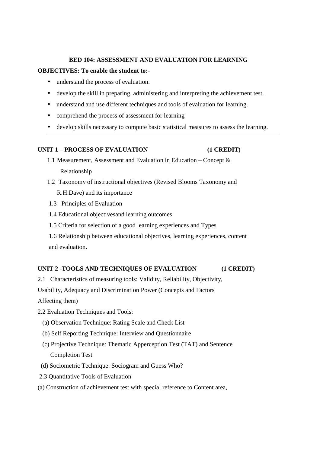#### **BED 104: ASSESSMENT AND EVALUATION FOR LEARNING**

#### **OBJECTIVES: To enable the student to:-**

- understand the process of evaluation.
- develop the skill in preparing, administering and interpreting the achievement test.
- understand and use different techniques and tools of evaluation for learning.
- comprehend the process of assessment for learning
- develop skills necessary to compute basic statistical measures to assess the learning.

## **UNIT 1 – PROCESS OF EVALUATION (1 CREDIT)**

- 1.1 Measurement, Assessment and Evaluation in Education Concept & Relationship
- 1.2 Taxonomy of instructional objectives (Revised Blooms Taxonomy and R.H.Dave) and its importance
- 1.3 Principles of Evaluation
- 1.4 Educational objectivesand learning outcomes
- 1.5 Criteria for selection of a good learning experiences and Types
- 1.6 Relationship between educational objectives, learning experiences, content and evaluation.

### **UNIT 2 -TOOLS AND TECHNIQUES OF EVALUATION (1 CREDIT)**

2.1 Characteristics of measuring tools: Validity, Reliability, Objectivity,

Usability, Adequacy and Discrimination Power (Concepts and Factors

Affecting them)

- 2.2 Evaluation Techniques and Tools:
	- (a) Observation Technique: Rating Scale and Check List
	- (b) Self Reporting Technique: Interview and Questionnaire
	- (c) Projective Technique: Thematic Apperception Test (TAT) and Sentence Completion Test
	- (d) Sociometric Technique: Sociogram and Guess Who?
- 2.3 Quantitative Tools of Evaluation
- (a) Construction of achievement test with special reference to Content area,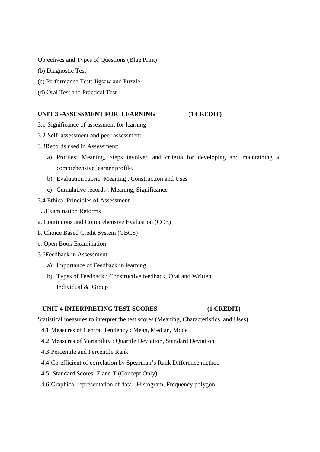Objectives and Types of Questions (Blue Print)

- (b) Diagnostic Test
- (c) Performance Test: Jigsaw and Puzzle
- (d) Oral Test and Practical Test

#### **UNIT 3 -ASSESSMENT FOR LEARNING** (**1 CREDIT)**

- 3.1 Significance of assessment for learning
- 3.2 Self assessment and peer assessment
- 3.3Records used in Assessment:
	- a) Profiles: Meaning, Steps involved and criteria for developing and maintaining a comprehensive learner profile.
	- b) Evaluation rubric: Meaning , Construction and Uses
	- c) Cumulative records : Meaning, Significance
- 3.4 Ethical Principles of Assessment
- 3.5Examination Reforms
- a. Continuous and Comprehensive Evaluation (CCE)
- b. Choice Based Credit System (CBCS)
- c. Open Book Examination
- 3.6Feedback in Assessment
	- a) Importance of Feedback in learning
	- b) Types of Feedback : Constructive feedback, Oral and Written, Individual & Group

#### **UNIT 4 INTERPRETING TEST SCORES (1 CREDIT)**

Statistical measures to interpret the test scores (Meaning, Characteristics, and Uses)

- 4.1 Measures of Central Tendency : Mean, Median, Mode
- 4.2 Measures of Variability : Quartile Deviation, Standard Deviation
- 4.3 Percentile and Percentile Rank
- 4.4 Co-efficient of correlation by Spearman's Rank Difference method
- 4.5 Standard Scores: Z and T (Concept Only)
- 4.6 Graphical representation of data : Histogram, Frequency polygon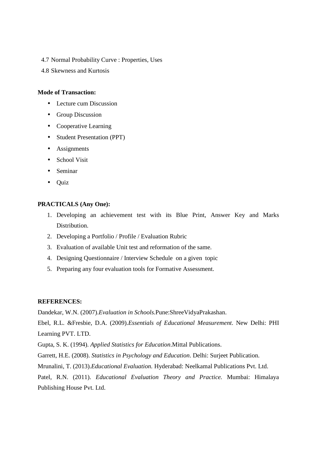- 4.7 Normal Probability Curve : Properties, Uses
- 4.8 Skewness and Kurtosis

#### **Mode of Transaction:**

- Lecture cum Discussion
- Group Discussion
- Cooperative Learning
- Student Presentation (PPT)
- Assignments
- School Visit
- Seminar
- Quiz

#### **PRACTICALS (Any One):**

- 1. Developing an achievement test with its Blue Print, Answer Key and Marks Distribution.
- 2. Developing a Portfolio / Profile / Evaluation Rubric
- 3. Evaluation of available Unit test and reformation of the same.
- 4. Designing Questionnaire / Interview Schedule on a given topic
- 5. Preparing any four evaluation tools for Formative Assessment.

#### **REFERENCES:**

Dandekar, W.N. (2007).*Evaluation in Schools.*Pune:ShreeVidyaPrakashan.

Ebel, R.L. &Fresbie, D.A. (2009).*Essentials of Educational Measurement*. New Delhi: PHI Learning PVT. LTD.

Gupta, S. K. (1994). *Applied Statistics for Education*.Mittal Publications.

Garrett, H.E. (2008). *Statistics in Psychology and Education*. Delhi: Surjeet Publication.

Mrunalini, T. (2013).*Educational Evaluation.* Hyderabad: Neelkamal Publications Pvt. Ltd.

Patel, R.N. (2011). *Educational Evaluation Theory and Practice.* Mumbai: Himalaya Publishing House Pvt. Ltd.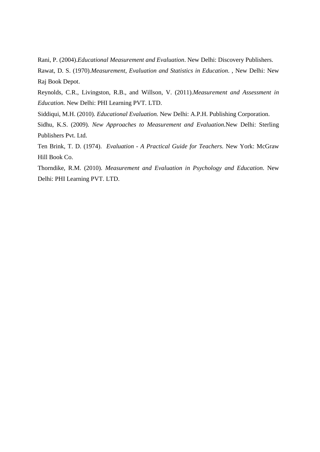Rani, P. (2004).*Educational Measurement and Evaluation*. New Delhi: Discovery Publishers.

Rawat, D. S. (1970).*Measurement, Evaluation and Statistics in Education*. , New Delhi: New Raj Book Depot.

Reynolds, C.R., Livingston, R.B., and Willson, V. (2011).*Measurement and Assessment in Education.* New Delhi: PHI Learning PVT. LTD.

Siddiqui, M.H. (2010). *Educational Evaluation.* New Delhi: A.P.H. Publishing Corporation.

Sidhu, K.S. (2009). *New Approaches to Measurement and Evaluation.*New Delhi: Sterling Publishers Pvt. Ltd.

Ten Brink, T. D. (1974). *Evaluation - A Practical Guide for Teachers.* New York: McGraw Hill Book Co.

Thorndike, R.M. (2010). *Measurement and Evaluation in Psychology and Education*. New Delhi: PHI Learning PVT. LTD.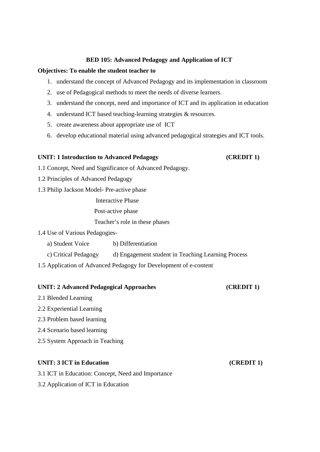#### **BED 105: Advanced Pedagogy and Application of ICT**

## **Objectives: To enable the student teacher to**

- 1. understand the concept of Advanced Pedagogy and its implementation in classroom
- 2. use of Pedagogical methods to meet the needs of diverse learners.
- 3. understand the concept, need and importance of ICT and its application in education
- 4. understand ICT based teaching-learning strategies & resources.
- 5. create awareness about appropriate use of ICT
- 6. develop educational material using advanced pedagogical strategies and ICT tools.

# **UNIT: 1 Introduction to Advanced Pedagogy (CREDIT 1)**

1.1 Concept, Need and Significance of Advanced Pedagogy.

- 1.2 Principles of Advanced Pedagogy
- 1.3 Philip Jackson Model- Pre-active phase

Interactive Phase

Post-active phase

Teacher's role in these phases

1.4 Use of Various Pedagogies-

a) Student Voice b) Differentiation

- c) Critical Pedagogy d) Engagement student in Teaching Learning Process
- 1.5 Application of Advanced Pedagogy for Development of e-content

#### **UNIT: 2 Advanced Pedagogical Approaches (CREDIT 1)**

- 2.1 Blended Learning
- 2.2 Experiential Learning
- 2.3 Problem based learning
- 2.4 Scenario based learning
- 2.5 System Approach in Teaching

## **UNIT: 3 ICT in Education** (**CREDIT 1**)

3.1 ICT in Education: Concept, Need and Importance

3.2 Application of ICT in Education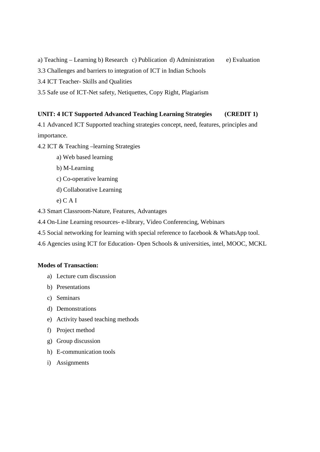a) Teaching – Learning b) Research c) Publication d) Administration e) Evaluation

3.3 Challenges and barriers to integration of ICT in Indian Schools

3.4 ICT Teacher- Skills and Qualities

3.5 Safe use of ICT-Net safety, Netiquettes, Copy Right, Plagiarism

## **UNIT: 4 ICT Supported Advanced Teaching Learning Strategies (CREDIT 1)**

4.1 Advanced ICT Supported teaching strategies concept, need, features, principles and importance.

4.2 ICT & Teaching –learning Strategies

- a) Web based learning
- b) M-Learning
- c) Co-operative learning
- d) Collaborative Learning
- e) C A I

4.3 Smart Classroom-Nature, Features, Advantages

4.4 On-Line Learning resources- e-library, Video Conferencing, Webinars

- 4.5 Social networking for learning with special reference to facebook & WhatsApp tool.
- 4.6 Agencies using ICT for Education- Open Schools & universities, intel, MOOC, MCKL

### **Modes of Transaction:**

- a) Lecture cum discussion
- b) Presentations
- c) Seminars
- d) Demonstrations
- e) Activity based teaching methods
- f) Project method
- g) Group discussion
- h) E-communication tools
- i) Assignments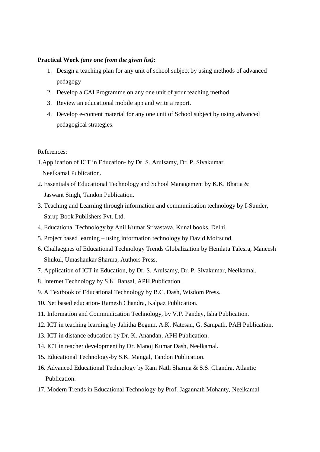#### **Practical Work** *(any one from the given list)***:**

- 1. Design a teaching plan for any unit of school subject by using methods of advanced pedagogy
- 2. Develop a CAI Programme on any one unit of your teaching method
- 3. Review an educational mobile app and write a report.
- 4. Develop e-content material for any one unit of School subject by using advanced pedagogical strategies.

#### References:

- 1.Application of ICT in Education- by Dr. S. Arulsamy, Dr. P. Sivakumar Neelkamal Publication.
- 2. Essentials of Educational Technology and School Management by K.K. Bhatia & Jaswant Singh, Tandon Publication.
- 3. Teaching and Learning through information and communication technology by I-Sunder, Sarup Book Publishers Pvt. Ltd.
- 4. Educational Technology by Anil Kumar Srivastava, Kunal books, Delhi.
- 5. Project based learning using information technology by David Moirsund.
- 6. Challaegnes of Educational Technology Trends Globalization by Hemlata Talesra, Maneesh Shukul, Umashankar Sharma, Authors Press.
- 7. Application of ICT in Education, by Dr. S. Arulsamy, Dr. P. Sivakumar, Neelkamal.
- 8. Internet Technology by S.K. Bansal, APH Publication.
- 9. A Textbook of Educational Technology by B.C. Dash, Wisdom Press.
- 10. Net based education- Ramesh Chandra, Kalpaz Publication.
- 11. Information and Communication Technology, by V.P. Pandey, Isha Publication.
- 12. ICT in teaching learning by Jahitha Begum, A.K. Natesan, G. Sampath, PAH Publication.
- 13. ICT in distance education by Dr. K. Anandan, APH Publication.
- 14. ICT in teacher development by Dr. Manoj Kumar Dash, Neelkamal.
- 15. Educational Technology-by S.K. Mangal, Tandon Publication.
- 16. Advanced Educational Technology by Ram Nath Sharma & S.S. Chandra, Atlantic Publication.
- 17. Modern Trends in Educational Technology-by Prof. Jagannath Mohanty, Neelkamal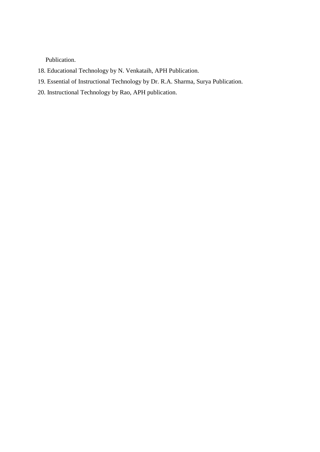Publication.

- 18. Educational Technology by N. Venkataih, APH Publication.
- 19. Essential of Instructional Technology by Dr. R.A. Sharma, Surya Publication.
- 20. Instructional Technology by Rao, APH publication.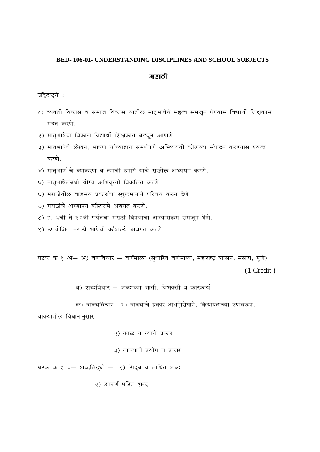#### **BED-106-01- UNDERSTANDING DISCIPLINES AND SCHOOL SUBJECTS**

#### मराठी

उद्दिष्ट्ये :

- १) व्यक्ती विकास व समाज विकास यातील मातृभाषेचे महत्व समजून घेण्यास विद्यार्थी शिक्षकास मदत करणे.
- २) मातृभाषेचा विकास विद्यार्थी शिक्षकात घडवून आणणे.
- ३) मातृभाषेचे लेखन, भाषण यांच्याद्वारा समर्थपणे अभ्व्यिक्ती कौशल्य संपादन करण्यास प्रवृत्त करणे.
- ४) मातृभाष`चे व्याकरण व त्याची उपांगे यांचे सखोल अध्ययन करणे.
- ५) मातृभाषेसंबंधी योग्य अभिवृत्ती विकसित करणे.
- ६) मराठीतील वाङमय प्रकारांचा स्थुलमानाने परिचय करुन देणे.
- ७) मराठीचे अध्यापन कौशल्ये अवगत करणे.
- ८) इ. ५ची ते १२वी पर्यंतचा मराठी विषयाचा अभ्यासकम समजून घेणे.
- ९) उपयोजित मराठी भाषेची कौशल्ये अवगत करणे.

घटक क १ अ— अ) वर्णविचार — वर्णमाला (सुधारित वर्णमाला, महाराष्ट्र शासन, मसाप, पुणे)

 $(1$  Credit)

ब) शब्दविचार – शब्दांच्या जाती, विभक्ती व कारकार्य

क) वाक्यविचार- १) वाक्याचे प्रकार अर्थानुरोधाने, कियापदाच्या रुपावरून,

वाक्यातील विधानानुसार

२) काळ व त्याचे प्रकार

३) वाक्याचे प्रयोग व प्रकार

घटक क १ ब- शब्दसिद्धी - १) सिद्ध व साधित शब्द

२) उपसर्ग घटित शब्द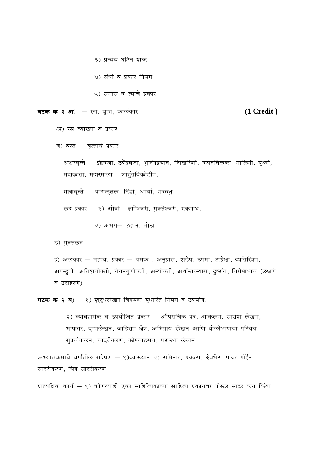- ३) प्रत्यय घटित शब्द
- ४) संधी व प्रकार नियम
- ५) समास व त्याचे प्रकार

```
घटक क २ अ) – रस, वृत्त, कालंकार
```
#### $(1 **C read t**)$

- अ) रस व्याख्या व प्रकार
- ब) वृत्त वृत्तांचे प्रकार

अक्षरवृत्ते — इंद्रवजा, उपेंद्रवजा, भुजंगप्रयात, शिखरिणी, वसंततिलका, मालिनी, पृथ्वी, मंदाकांता, मंदारमाला, शार्दुतविकीडीत.

मात्रावृत्ते — पादालुतल, दिंडी, आर्या, नववधु.

छंद प्रकार - १) ओवी- ज्ञानेश्वरी, मुक्तेश्वरी, एकनाथ.

२) अभंग— लहान, मोठा

ड) मुक्तछंद —

इ) अलंकार — महत्व, प्रकार — यमक), अनुप्रास, शढेष, उपमा, उत्प्रेक्षा, व्यतिरिक्त, अपन्हुती, अतिशयोक्ती, चेतनगुणोक्ती, अन्योक्ती, अर्थान्तरन्यास, दुष्टांत, विरोधाभास (लक्षणे व उदाहरणे)

**घटक क २ ब**) - १) शुद्धलेखन विषयक युधारित नियम व उपयोग.

२) व्यावहारीक व उपयोजित प्रकार – औपराचिक पत्र, आकलन, सारांश लेखन, भाषांतर, वृत्तलेखन, जाहिरात क्षेत्र, अभिप्राय लेखन आणि बोलीभाषांचा परिचय, सुत्रसंचालन, सादरीकरण, कोषवाडमय, पटकथा लेखन

अभ्यासकमाचे वर्गातील संप्रेषण – १)व्याख्यान २) संमिनार, प्रकल्प, क्षेत्रभेट, पॉवर पॉईंट सादरीकरण, चित्र सादरीकरण

प्रात्यक्षिक कार्य – १) कोणत्याही एका साहित्यिकाच्या साहित्य प्रकारावर पोस्टर सादर करा किंवा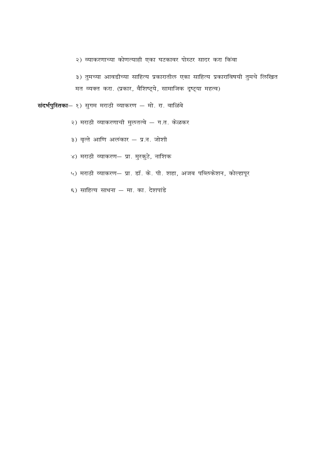२) व्याकरणाच्या कोणत्याही एका घटकावर पोस्टर सादर करा किंवा

३) तुमच्या आवडीच्या साहित्य प्रकारातील एका साहित्य प्रकाराविषयी तुमचे लिखित मत व्यक्त करा. (प्रकार, वैशिष्ट्ये, सामाजिक दृष्ट्या महत्व)

संदर्भपुस्तिका— १) सुगम मराठी व्याकरण — मो. रा. वाळिंबे

२) मराठी व्याकरणाची मुलतत्वे - ग.त. केळकर

३) वृत्ते आणि अलंकार – प्र.न. जोशी

- ४) मराठी व्याकरण- प्रा. मुरकुटे, नाशिक
- ५) मराठी व्याकरण- प्रा. डॉ. के. पी. शहा, अजब पब्लिकेशन, कोल्हापूर
- ६) साहित्य साधना मा. का. देशपांडे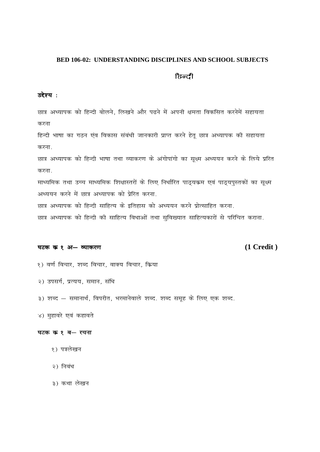#### **BED 106-02: UNDERSTANDING DISCIPLINES AND SCHOOL SUBJECTS**

## **हिन्दी**

## उद्देश्य:

छात्र अध्यापक को हिन्दी बोलने, लिखने और पढने में अपनी क्षमता विकसित करनेमें सहायता करना

हिन्दी भाषा का गठन एंव विकास संबंधी जानकारी प्राप्त करने हेतू छात्र अध्यापक की सहायता करना.

छात्र अध्यापक को हिन्दी भाषा तथा व्याकरण के अंगोपांगो का सुक्ष्म अध्ययन करने के लिये प्ररित करना.

माध्यमिक तथा उच्च माध्यमिक शिक्षास्तरों के लिए निर्धारित पाठ्यक्रम एवं पाठ्यपुस्तकों का सूक्ष्म अध्ययन करने में छात्र अध्यापक को प्रेरित करना.

छात्र अध्यापक को हिन्दी साहित्य के इतिहास को अध्ययन करने प्रोत्साहित करना.

छात्र अध्यापक को हिन्दी की साहित्य विधाओं तथा सुविख्यात साहित्यकारों से परिचित कराना.

#### घटक क १ अ- व्याकरण

## $(1 **C read i**)$

- १) वर्ण विचार, शब्द विचार, वाक्य विचार, क्रिया
- २) उपसर्ग, प्रत्यय, समान, संधि
- ३) शब्द समानार्थ, विपरीत, भरमानेवाले शब्द. शब्द समूह के लिए एक शब्द.
- ४) मुहावरे एवं कहावते

## घटक क १ ब- रचना

- १) पत्रलेखन
- २) निबंध
- ३) कथा लेखन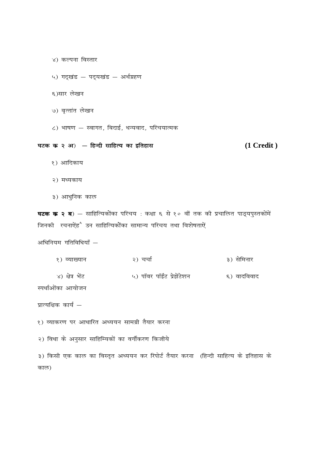- ४) कल्पना विस्तार
- ५) गद्खंड पद्यखंड अर्थग्रहण
- ६)सार लेखन
- ७) वृत्तांत लेखन
- ८) भाषण स्वागत, बिदाई, धन्यवाद, परिचयात्मक

#### घटक क २ अ) – हिन्दी साहित्य का इतिहास

#### $(1 **C read i**)$

- १) आदिकाय
- २) मध्यकाय
- ३) आधुनिक काल

**घटक क २ ब**) — साहित्यिकोंका परिचय : कक्षा ६ से १० वीं तक की प्रचालित पाठ्यपुस्तकोंमें जिनकी रचनाऐंहै उन साहित्यिकोंका सामान्य परिचय तथा विशेषताऐं

अधिनियम गतिविधियाँ -

१) व्याख्यान २) चर्चा ३) सेमिनार ४) क्षेत्र भेंट ५) पॉवर पॉईंट प्रेझेंटेशन ६) वादविवाद

स्पर्धाओंका आयोजन

प्रात्यक्षिक कार्य —

१) व्याकरण पर आधारित अध्ययन सामग्री तैयार करना

२) विधा के अनुसार साहिम्यिकों का वर्गीकरण किजीये

३) किसी एक काल का विस्तृत अध्ययन कर रिपोर्ट तैयार करना (हिन्दी साहित्य के इतिहास के काल)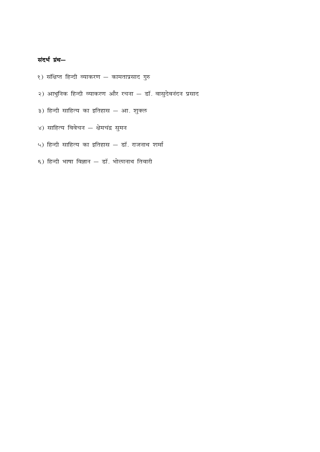# संदर्भ ग्रंथ-

- १) संक्षिप्त हिन्दी व्याकरण कामताप्रसाद गुरु
- २) आधुनिक हिन्दी व्याकरण और रचना डॉ. वासुदेवनंदन प्रसाद
- ३) हिन्दी साहित्य का इतिहास आ. शुक्ल
- ४) साहित्य विवेचन क्षेमचंद्र सुमन
- ५) हिन्दी साहित्य का इतिहास डॉ. राजनाथ शर्मा
- ६) हिन्दी भाषा विज्ञान डॉ. भोलानाथ तिवारी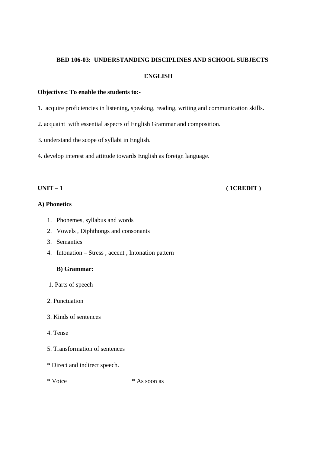#### **BED 106-03: UNDERSTANDING DISCIPLINES AND SCHOOL SUBJECTS**

### **ENGLISH**

#### **Objectives: To enable the students to:-**

- 1. acquire proficiencies in listening, speaking, reading, writing and communication skills.
- 2. acquaint with essential aspects of English Grammar and composition.
- 3. understand the scope of syllabi in English.
- 4. develop interest and attitude towards English as foreign language.

# **UNIT – 1** ( **1CREDIT** )

## **A) Phonetics**

- 1. Phonemes, syllabus and words
- 2. Vowels , Diphthongs and consonants
- 3. Semantics
- 4. Intonation Stress , accent , Intonation pattern

### **B) Grammar:**

- 1. Parts of speech
- 2. Punctuation
- 3. Kinds of sentences
- 4. Tense
- 5. Transformation of sentences
- \* Direct and indirect speech.
- 

\* Voice \* As soon as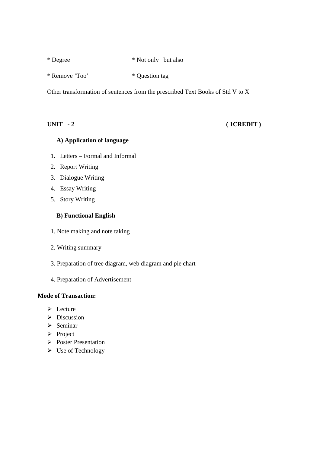| * Degree | * Not only but also |  |
|----------|---------------------|--|
|----------|---------------------|--|

\* Remove 'Too' \* Question tag

Other transformation of sentences from the prescribed Text Books of Std V to X

# **UNIT - 2** ( 1CREDIT )

## **A) Application of language**

- 1. Letters Formal and Informal
- 2. Report Writing
- 3. Dialogue Writing
- 4. Essay Writing
- 5. Story Writing

## **B) Functional English**

- 1. Note making and note taking
- 2. Writing summary
- 3. Preparation of tree diagram, web diagram and pie chart
- 4. Preparation of Advertisement

### **Mode of Transaction:**

- $\triangleright$  Lecture
- $\triangleright$  Discussion
- $\triangleright$  Seminar
- $\triangleright$  Project
- Poster Presentation
- $\triangleright$  Use of Technology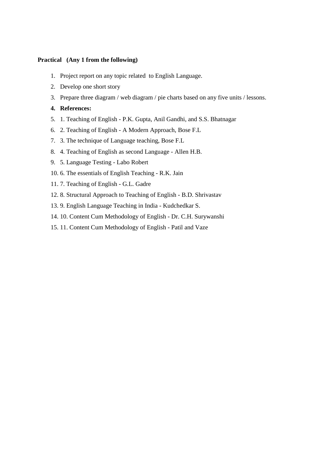#### **Practical (Any 1 from the following)**

- 1. Project report on any topic related to English Language.
- 2. Develop one short story
- 3. Prepare three diagram / web diagram / pie charts based on any five units / lessons.

#### **4. References:**

- 5. 1. Teaching of English P.K. Gupta, Anil Gandhi, and S.S. Bhatnagar
- 6. 2. Teaching of English A Modern Approach, Bose F.L
- 7. 3. The technique of Language teaching, Bose F.L
- 8. 4. Teaching of English as second Language Allen H.B.
- 9. 5. Language Testing Labo Robert
- 10. 6. The essentials of English Teaching R.K. Jain
- 11. 7. Teaching of English G.L. Gadre
- 12. 8. Structural Approach to Teaching of English B.D. Shrivastav
- 13. 9. English Language Teaching in India Kudchedkar S.
- 14. 10. Content Cum Methodology of English Dr. C.H. Surywanshi
- 15. 11. Content Cum Methodology of English Patil and Vaze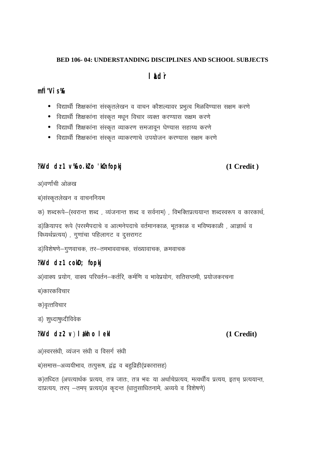#### **BED 106-04: UNDERSTANDING DISCIPLINES AND SCHOOL SUBJECTS**

# **I** idr

# mfl "Vî s %

- विद्यार्थी शिक्षकांना संस्कृतलेखन व वाचन कौशल्यावर प्रभुत्व मिळविण्यास सक्षम करणे
- विद्यार्थी शिक्षकांना संस्कृत मधून विचार व्यक्त करण्यास सक्षम करणे
- विद्यार्थी शिक्षकांना संस्कृत व्याकरण समजावून घेण्यास सहाय्य करणे
- विद्यार्थी शिक्षकांना संस्कृत व्याकरणाचे उपयोजन करण्यास सक्षम करणे

# $?kVd$  dz 1  $V\&o.kl$  o 'kCnfopkj

# $(1 **C read t**)$

अ)वर्णांची ओळख

ब)संस्कतलेखन व वाचननियम

क) शब्दरूपे-(स्वरान्त शब्द), व्यंजनान्त शब्द व सर्वनाम), विभक्तिप्रत्ययान्त शब्दस्वरूप व कारकार्थ,

ड)क्रियापद रूपे (परस्मैपदाचे व आत्मनेपदाचे वर्तमानकाळ, भूतकाळ व भविष्यकाळी , आज्ञार्थ व विध्यर्थप्रत्यय), गुणांचा पहिलागट व दुसरागट

ड)विशेषणे–गुणवाचक, तर–तमभाववाचक, संख्यावाचक, क्रमवाचक

# $?kVd$  dz 1 cokD; fopkj

अ)वाक्य प्रयोग, वाक्य परिवर्तन–कर्तरि, कर्मणि व भावेप्रयोग, सतिसप्तमी, प्रयोजकरचना

ब)कारकविचार

क)वृत्तविचार

ड) शृध्दाषृध्दीविवेक

# $?kVd$  dz 2 v)  $\mathsf{I}$  akh o  $\mathsf{I}$  ekl

अ)स्वरसंधी, व्यंजन संधी व विसर्ग संधी

ब)समास-अव्ययीभाव, तत्पुरूष, द्वंद्व व बहुव्रिही(प्रकारासह)

क)तध्दित (अपत्यार्थक प्रत्यय, तत्र जातः, तत्र भवः या अर्थाचेप्रत्यय, मत्वर्थीय प्रत्यय, इतच प्रत्ययान्त, दाप्रत्यय, तरप् -तमप् प्रत्यय)व कृदन्त (धातुसाधितनामे, अव्यये व विशेषणे)

# (1 Credit)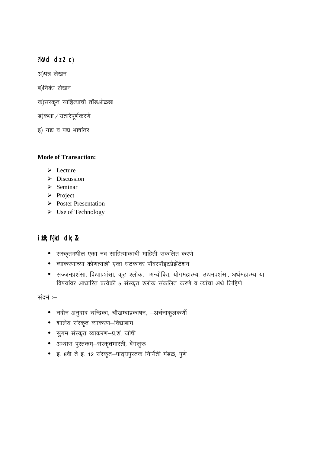$?KVd$  dz 2 c)

अ)पत्र लेखन

ब)निबंध लेखन

क)संस्कृत साहित्याची तोंडओळख

ड)कथा / उतारेपूर्णकरणे

इ) गद्य व पद्य भाषांतर

## **Mode of Transaction:**

- $\triangleright$  Lecture
- $\triangleright$  Discussion
- $\triangleright$  Seminar
- $\triangleright$  Project
- $\triangleright$  Poster Presentation
- $\triangleright$  Use of Technology

# $i$  kR;  $f$ {kd dk;  $R$

- संस्कृतमधील एका नव साहित्याकाची माहिती संकलित करणे
- व्याकरणाच्या कोणत्याही एका घटकावर पॉवरपॉइंटप्रेझेंटेशन
- सज्जनप्रशंसा, विद्याप्रशंसा, कूट श्लोक, अन्योक्ति, योगमहात्म्य, उद्यमप्रशंसा, अर्थमहात्म्य या विषयांवर आधारित प्रत्येकी 5 संस्कृत श्लोक संकलित करणे व त्यांचा अर्थ लिहिणे

संदर्भ :-

- नवीन अनुवाद चन्द्रिका, चौखम्बाप्रकाषन, –अर्चनाकुलकर्णी
- शालेय संस्कृत व्याकरण–विद्याबाम
- सुगम संस्कृत व्याकरण-प्र.शं. जोषी
- अभ्यास पुस्तकम्–संस्कृतभारती, बेंगलुरू
- इ. 8वी ते इ. 12 संस्कृत–पाठ्यपुस्तक निर्मिती मंडळ, पुणे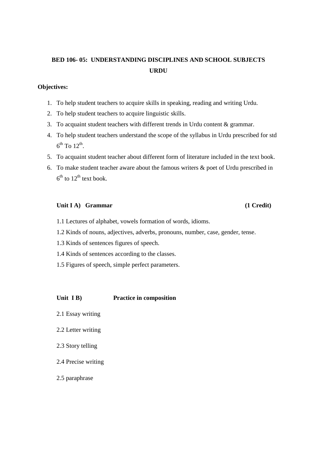# **BED 106- 05: UNDERSTANDING DISCIPLINES AND SCHOOL SUBJECTS URDU**

## **Objectives:**

- 1. To help student teachers to acquire skills in speaking, reading and writing Urdu.
- 2. To help student teachers to acquire linguistic skills.
- 3. To acquaint student teachers with different trends in Urdu content & grammar.
- 4. To help student teachers understand the scope of the syllabus in Urdu prescribed for std  $6^{\text{th}}$  To  $12^{\text{th}}$ .
- 5. To acquaint student teacher about different form of literature included in the text book.
- 6. To make student teacher aware about the famous writers & poet of Urdu prescribed in  $6<sup>th</sup>$  to  $12<sup>th</sup>$  text book.

#### **Unit I A) Grammar (1 Credit)**

- 1.1 Lectures of alphabet, vowels formation of words, idioms.
- 1.2 Kinds of nouns, adjectives, adverbs, pronouns, number, case, gender, tense.
- 1.3 Kinds of sentences figures of speech.
- 1.4 Kinds of sentences according to the classes.
- 1.5 Figures of speech, simple perfect parameters.

#### **Unit I B) Practice in composition**

- 2.1 Essay writing
- 2.2 Letter writing
- 2.3 Story telling
- 2.4 Precise writing
- 2.5 paraphrase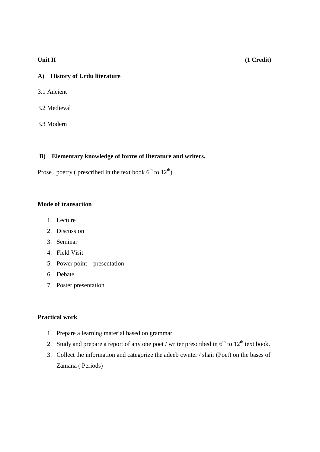## Unit II (1 Credit)

# **A) History of Urdu literature**

- 3.1 Ancient
- 3.2 Medieval
- 3.3 Modern

# **B) Elementary knowledge of forms of literature and writers.**

Prose, poetry ( prescribed in the text book  $6^{th}$  to  $12^{th}$ )

## **Mode of transaction**

- 1. Lecture
- 2. Discussion
- 3. Seminar
- 4. Field Visit
- 5. Power point presentation
- 6. Debate
- 7. Poster presentation

## **Practical work**

- 1. Prepare a learning material based on grammar
- 2. Study and prepare a report of any one poet / writer prescribed in  $6<sup>th</sup>$  to  $12<sup>th</sup>$  text book.
- 3. Collect the information and categorize the adeeb cwnter / shair (Poet) on the bases of Zamana ( Periods)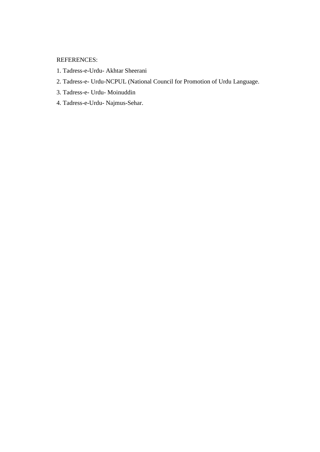REFERENCES:

- 1. Tadress-e-Urdu- Akhtar Sheerani
- 2. Tadress-e- Urdu-NCPUL (National Council for Promotion of Urdu Language.
- 3. Tadress-e- Urdu- Moinuddin
- 4. Tadress-e-Urdu- Najmus-Sehar.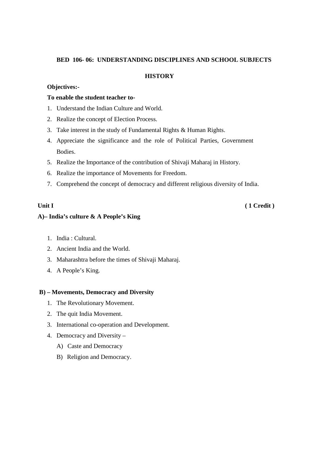#### **BED 106- 06: UNDERSTANDING DISCIPLINES AND SCHOOL SUBJECTS**

### **HISTORY**

#### **Objectives:-**

## **To enable the student teacher to-**

- 1. Understand the Indian Culture and World.
- 2. Realize the concept of Election Process.
- 3. Take interest in the study of Fundamental Rights & Human Rights.
- 4. Appreciate the significance and the role of Political Parties, Government Bodies.
- 5. Realize the Importance of the contribution of Shivaji Maharaj in History.
- 6. Realize the importance of Movements for Freedom.
- 7. Comprehend the concept of democracy and different religious diversity of India.

**Unit I** ( 1 Credit )

### **A)– India's culture & A People's King**

- 1. India : Cultural.
- 2. Ancient India and the World.
- 3. Maharashtra before the times of Shivaji Maharaj.
- 4. A People's King.

### **B) – Movements, Democracy and Diversity**

- 1. The Revolutionary Movement.
- 2. The quit India Movement.
- 3. International co-operation and Development.
- 4. Democracy and Diversity
	- A) Caste and Democracy
	- B) Religion and Democracy.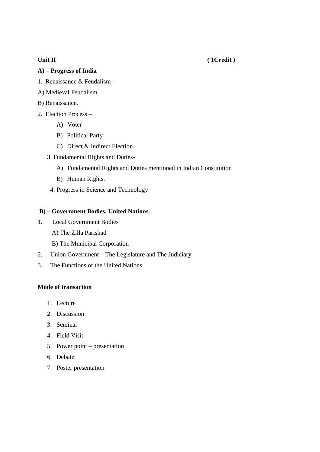## **Unit II** ( 1Credit )

# **A) – Progress of India**

- 1. Renaissance & Feudalism –
- A) Medieval Feudalism
- B) Renaissance.
- 2. Election Process
	- A) Voter
	- B) Political Party
	- C) Direct & Indirect Election.
	- 3. Fundamental Rights and Duties-
		- A) Fundamental Rights and Duties mentioned in Indian Constitution
		- B) Human Rights.
		- 4. Progress in Science and Technology

### **B) – Government Bodies, United Nations**

- 1. Local Government Bodies
	- A) The Zilla Parishad
	- B) The Municipal Corporation
- 2. Union Government The Legislature and The Judiciary
- 3. The Functions of the United Nations.

### **Mode of transaction**

- 1. Lecture
- 2. Discussion
- 3. Seminar
- 4. Field Visit
- 5. Power point presentation
- 6. Debate
- 7. Poster presentation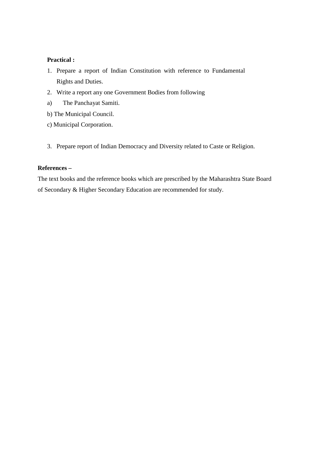### **Practical :**

- 1. Prepare a report of Indian Constitution with reference to Fundamental Rights and Duties.
- 2. Write a report any one Government Bodies from following
- a) The Panchayat Samiti.
- b) The Municipal Council.
- c) Municipal Corporation.
- 3. Prepare report of Indian Democracy and Diversity related to Caste or Religion.

## **References –**

The text books and the reference books which are prescribed by the Maharashtra State Board of Secondary & Higher Secondary Education are recommended for study.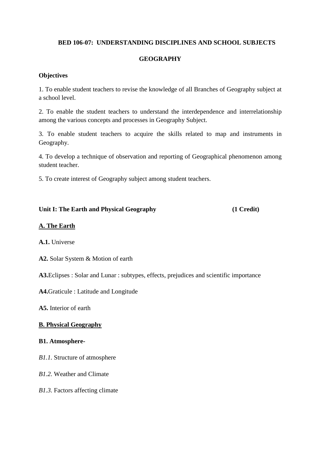# **BED 106-07: UNDERSTANDING DISCIPLINES AND SCHOOL SUBJECTS**

# **GEOGRAPHY**

## **Objectives**

1. To enable student teachers to revise the knowledge of all Branches of Geography subject at a school level.

2. To enable the student teachers to understand the interdependence and interrelationship among the various concepts and processes in Geography Subject.

3. To enable student teachers to acquire the skills related to map and instruments in Geography.

4. To develop a technique of observation and reporting of Geographical phenomenon among student teacher.

5. To create interest of Geography subject among student teachers.

### **Unit I: The Earth and Physical Geography (1 Credit)**

# **A. The Earth**

**A.1.** Universe

**A2.** Solar System & Motion of earth

**A3.**Eclipses : Solar and Lunar : subtypes, effects, prejudices and scientific importance

**A4.**Graticule : Latitude and Longitude

**A5.** Interior of earth

## **B. Physical Geography**

### **B1. Atmosphere-**

*B1.1.* Structure of atmosphere

*B1.2.* Weather and Climate

*B1.3.* Factors affecting climate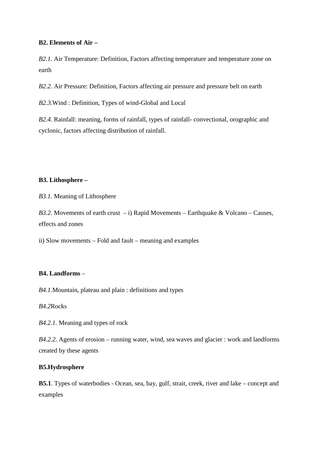## **B2. Elements of Air –**

*B2.1.* Air Temperature: Definition, Factors affecting temperature and temperature zone on earth

*B2.2.* Air Pressure: Definition, Factors affecting air pressure and pressure belt on earth

*B2.3.*Wind : Definition, Types of wind-Global and Local

*B2.4.* Rainfall: meaning, forms of rainfall, types of rainfall- convectional, orographic and cyclonic, factors affecting distribution of rainfall.

## **B3. Lithosphere –**

*B3.1.* Meaning of Lithosphere

*B3.2.* Movements of earth crust  $- i$ ) Rapid Movements – Earthquake & Volcano – Causes, effects and zones

ii) Slow movements – Fold and fault – meaning and examples

## **B4. Landforms** –

*B4.1.*Mountain, plateau and plain : definitions and types

*B4.2*Rocks

*B4.2.1.* Meaning and types of rock

*B4.2.2.* Agents of erosion – running water, wind, sea waves and glacier : work and landforms created by these agents

## **B5.Hydrosphere**

**B5.1**. Types of waterbodies - Ocean, sea, bay, gulf, strait, creek, river and lake – concept and examples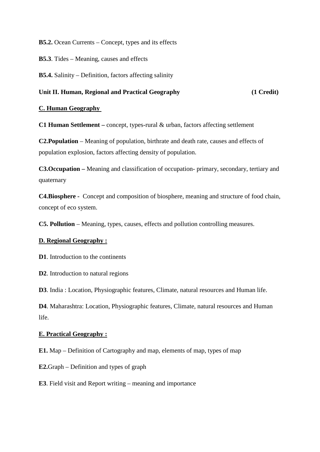**B5.2.** Ocean Currents – Concept, types and its effects

**B5.3**. Tides – Meaning, causes and effects

**B5.4.** Salinity – Definition, factors affecting salinity

# **Unit II. Human, Regional and Practical Geography (1 Credit)**

## **C. Human Geography**

**C1 Human Settlement –** concept, types-rural & urban, factors affecting settlement

**C2.Population** – Meaning of population, birthrate and death rate, causes and effects of population explosion, factors affecting density of population.

**C3.Occupation –** Meaning and classification of occupation- primary, secondary, tertiary and quaternary

**C4.Biosphere -** Concept and composition of biosphere, meaning and structure of food chain, concept of eco system.

**C5. Pollution** – Meaning, types, causes, effects and pollution controlling measures.

### **D. Regional Geography :**

**D1**. Introduction to the continents

**D2**. Introduction to natural regions

**D3**. India : Location, Physiographic features, Climate, natural resources and Human life.

**D4**. Maharashtra: Location, Physiographic features, Climate, natural resources and Human life.

## **E. Practical Geography :**

**E1.** Map – Definition of Cartography and map, elements of map, types of map

**E2.**Graph – Definition and types of graph

**E3**. Field visit and Report writing – meaning and importance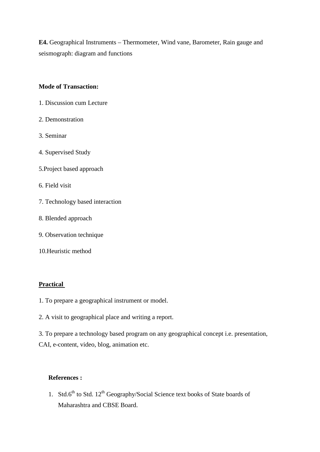**E4.** Geographical Instruments – Thermometer, Wind vane, Barometer, Rain gauge and seismograph: diagram and functions

## **Mode of Transaction:**

- 1. Discussion cum Lecture
- 2. Demonstration
- 3. Seminar
- 4. Supervised Study
- 5.Project based approach
- 6. Field visit
- 7. Technology based interaction
- 8. Blended approach
- 9. Observation technique
- 10.Heuristic method

### **Practical**

- 1. To prepare a geographical instrument or model.
- 2. A visit to geographical place and writing a report.

3. To prepare a technology based program on any geographical concept i.e. presentation, CAI, e-content, video, blog, animation etc.

## **References :**

1. Std.6<sup>th</sup> to Std. 12<sup>th</sup> Geography/Social Science text books of State boards of Maharashtra and CBSE Board.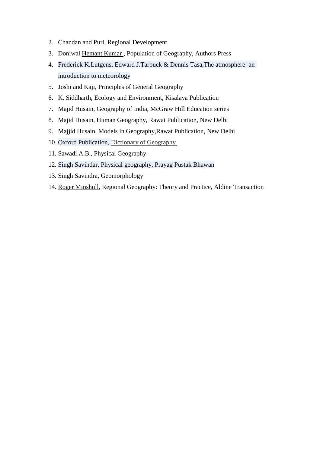- 2. Chandan and Puri, Regional Development
- 3. Doniwal Hemant Kumar , Population of Geography, Authors Press
- 4. Frederick K.Lutgens, Edward J.Tarbuck & Dennis Tasa,The atmosphere: an introduction to meteorology
- 5. Joshi and Kaji, Principles of General Geography
- 6. K. Siddharth, Ecology and Environment, Kisalaya Publication
- 7. Majid Husain, Geography of India, McGraw Hill Education series
- 8. Majid Husain, Human Geography, Rawat Publication, New Delhi
- 9. Majjid Husain, Models in Geography,Rawat Publication, New Delhi
- 10. Oxford Publication, Dictionary of Geography
- 11. Sawadi A.B., Physical Geography
- 12. Singh Savindar, Physical geography, Prayag Pustak Bhawan
- 13. Singh Savindra, Geomorphology
- 14. Roger Minshull, Regional Geography: Theory and Practice, Aldine Transaction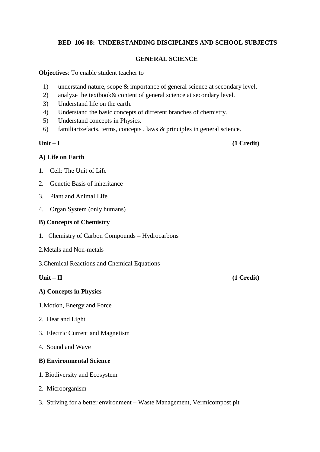## **BED 106-08: UNDERSTANDING DISCIPLINES AND SCHOOL SUBJECTS**

## **GENERAL SCIENCE**

**Objectives**: To enable student teacher to

- 1) understand nature, scope & importance of general science at secondary level.
- 2) analyze the textbook& content of general science at secondary level.
- 3) Understand life on the earth.
- 4) Understand the basic concepts of different branches of chemistry.
- 5) Understand concepts in Physics.
- 6) familiarizefacts, terms, concepts , laws & principles in general science.

**Unit – I (1 Credit)** 

# **A) Life on Earth**

- 1. Cell: The Unit of Life
- 2. Genetic Basis of inheritance
- 3. Plant and Animal Life
- 4. Organ System (only humans)

## **B) Concepts of Chemistry**

- 1. Chemistry of Carbon Compounds Hydrocarbons
- 2.Metals and Non-metals
- 3.Chemical Reactions and Chemical Equations

### **A) Concepts in Physics**

- 1.Motion, Energy and Force
- 2. Heat and Light
- 3. Electric Current and Magnetism
- 4. Sound and Wave

## **B) Environmental Science**

- 1. Biodiversity and Ecosystem
- 2. Microorganism
- 3. Striving for a better environment Waste Management, Vermicompost pit

## **Unit – II (1 Credit)**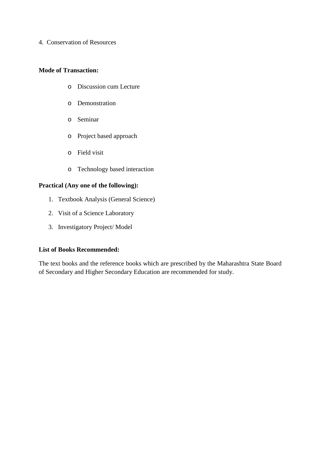4. Conservation of Resources

## **Mode of Transaction:**

- o Discussion cum Lecture
- o Demonstration
- o Seminar
- o Project based approach
- o Field visit
- o Technology based interaction

# **Practical (Any one of the following):**

- 1. Textbook Analysis (General Science)
- 2. Visit of a Science Laboratory
- 3. Investigatory Project/ Model

## **List of Books Recommended:**

The text books and the reference books which are prescribed by the Maharashtra State Board of Secondary and Higher Secondary Education are recommended for study.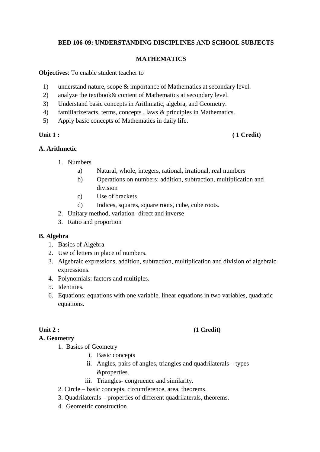## **BED 106-09: UNDERSTANDING DISCIPLINES AND SCHOOL SUBJECTS**

## **MATHEMATICS**

**Objectives**: To enable student teacher to

- 1) understand nature, scope & importance of Mathematics at secondary level.
- 2) analyze the textbook& content of Mathematics at secondary level.
- 3) Understand basic concepts in Arithmatic, algebra, and Geometry.
- 4) familiarizefacts, terms, concepts , laws & principles in Mathematics.
- 5) Apply basic concepts of Mathematics in daily life.

# Unit 1 : (1 Credit)

## **A. Arithmetic**

- 1. Numbers
	- a) Natural, whole, integers, rational, irrational, real numbers
	- b) Operations on numbers: addition, subtraction, multiplication and division
	- c) Use of brackets
	- d) Indices, squares, square roots, cube, cube roots.
- 2. Unitary method, variation- direct and inverse
- 3. Ratio and proportion

## **B. Algebra**

- 1. Basics of Algebra
- 2. Use of letters in place of numbers.
- 3. Algebraic expressions, addition, subtraction, multiplication and division of algebraic expressions.
- 4. Polynomials: factors and multiples.
- 5. Identities.
- 6. Equations: equations with one variable, linear equations in two variables, quadratic equations.

## **A. Geometry**

- 1. Basics of Geometry
	- i. Basic concepts
	- ii. Angles, pairs of angles, triangles and quadrilaterals types &properties.
	- iii. Triangles- congruence and similarity.
- 2. Circle basic concepts, circumference, area, theorems.
- 3. Quadrilaterals properties of different quadrilaterals, theorems.
- 4. Geometric construction

# Unit 2 : (1 Credit)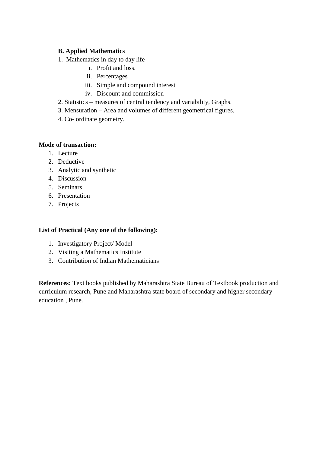## **B. Applied Mathematics**

- 1. Mathematics in day to day life
	- i. Profit and loss.
	- ii. Percentages
	- iii. Simple and compound interest
	- iv. Discount and commission
- 2. Statistics measures of central tendency and variability, Graphs.
- 3. Mensuration Area and volumes of different geometrical figures.
- 4. Co- ordinate geometry.

## **Mode of transaction:**

- 1. Lecture
- 2. Deductive
- 3. Analytic and synthetic
- 4. Discussion
- 5. Seminars
- 6. Presentation
- 7. Projects

## **List of Practical (Any one of the following):**

- 1. Investigatory Project/ Model
- 2. Visiting a Mathematics Institute
- 3. Contribution of Indian Mathematicians

**References:** Text books published by Maharashtra State Bureau of Textbook production and curriculum research, Pune and Maharashtra state board of secondary and higher secondary education , Pune.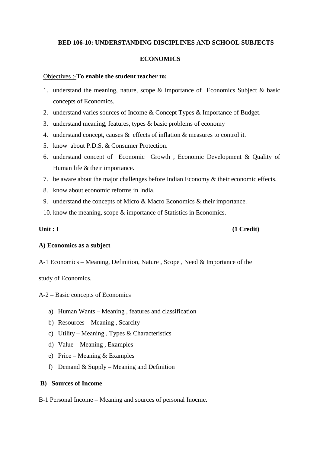## **BED 106-10: UNDERSTANDING DISCIPLINES AND SCHOOL SUBJECTS**

## **ECONOMICS**

### Objectives :-**To enable the student teacher to:**

- 1. understand the meaning, nature, scope & importance of Economics Subject & basic concepts of Economics.
- 2. understand varies sources of Income & Concept Types & Importance of Budget.
- 3. understand meaning, features, types & basic problems of economy
- 4. understand concept, causes & effects of inflation & measures to control it.
- 5. know about P.D.S. & Consumer Protection.
- 6. understand concept of Economic Growth , Economic Development & Quality of Human life & their importance.
- 7. be aware about the major challenges before Indian Economy & their economic effects.
- 8. know about economic reforms in India.
- 9. understand the concepts of Micro & Macro Economics & their importance.
- 10. know the meaning, scope & importance of Statistics in Economics.

## **Unit : I** (1 Credit)

## **A) Economics as a subject**

A-1 Economics – Meaning, Definition, Nature , Scope , Need & Importance of the

study of Economics.

A-2 – Basic concepts of Economics

- a) Human Wants Meaning , features and classification
- b) Resources Meaning , Scarcity
- c) Utility Meaning , Types & Characteristics
- d) Value Meaning , Examples
- e) Price Meaning & Examples
- f) Demand  $&$  Supply Meaning and Definition

## **B) Sources of Income**

B-1 Personal Income – Meaning and sources of personal Inocme.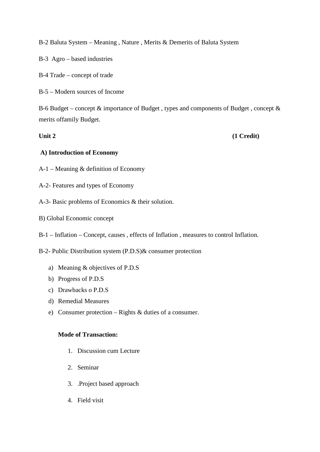B-2 Baluta System – Meaning , Nature , Merits & Demerits of Baluta System

B-3 Agro – based industries

B-4 Trade – concept of trade

B-5 – Modern sources of Income

B-6 Budget – concept  $\&$  importance of Budget, types and components of Budget, concept  $\&$ merits offamily Budget.

**Unit 2** (1 Credit)

# **A) Introduction of Economy**

- A-1 Meaning & definition of Economy
- A-2- Features and types of Economy
- A-3- Basic problems of Economics & their solution.
- B) Global Economic concept
- B-1 Inflation Concept, causes , effects of Inflation , measures to control Inflation.

B-2- Public Distribution system (P.D.S)& consumer protection

- a) Meaning & objectives of P.D.S
- b) Progress of P.D.S
- c) Drawbacks o P.D.S
- d) Remedial Measures
- e) Consumer protection Rights & duties of a consumer.

## **Mode of Transaction:**

- 1. Discussion cum Lecture
- 2. Seminar
- 3. .Project based approach
- 4. Field visit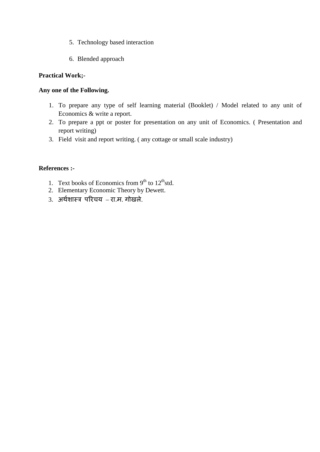- 5. Technology based interaction
- 6. Blended approach

## **Practical Work;-**

## **Any one of the Following.**

- 1. To prepare any type of self learning material (Booklet) / Model related to any unit of Economics & write a report.
- 2. To prepare a ppt or poster for presentation on any unit of Economics. ( Presentation and report writing)
- 3. Field visit and report writing. ( any cottage or small scale industry)

## **References :-**

- 1. Text books of Economics from  $9<sup>th</sup>$  to  $12<sup>th</sup>$ std.
- 2. Elementary Economic Theory by Dewett.
- 3. अर्थशास्त्र परिचय –रा.म. गोखले.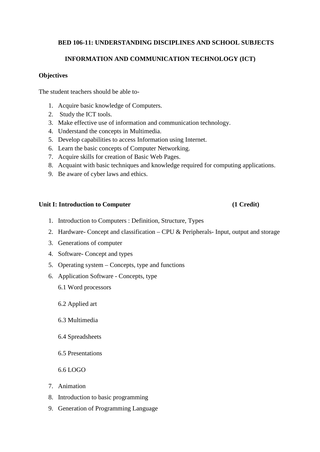# **BED 106-11: UNDERSTANDING DISCIPLINES AND SCHOOL SUBJECTS**

# **INFORMATION AND COMMUNICATION TECHNOLOGY (ICT)**

## **Objectives**

The student teachers should be able to-

- 1. Acquire basic knowledge of Computers.
- 2. Study the ICT tools.
- 3. Make effective use of information and communication technology.
- 4. Understand the concepts in Multimedia.
- 5. Develop capabilities to access Information using Internet.
- 6. Learn the basic concepts of Computer Networking.
- 7. Acquire skills for creation of Basic Web Pages.
- 8. Acquaint with basic techniques and knowledge required for computing applications.
- 9. Be aware of cyber laws and ethics.

## Unit I: Introduction to Computer (1 Credit)

- 1. Introduction to Computers : Definition, Structure, Types
- 2. Hardware- Concept and classification CPU & Peripherals- Input, output and storage
- 3. Generations of computer
- 4. Software- Concept and types
- 5. Operating system Concepts, type and functions
- 6. Application Software Concepts, type
	- 6.1 Word processors
	- 6.2 Applied art
	- 6.3 Multimedia
	- 6.4 Spreadsheets
	- 6.5 Presentations
	- 6.6 LOGO
- 7. Animation
- 8. Introduction to basic programming
- 9. Generation of Programming Language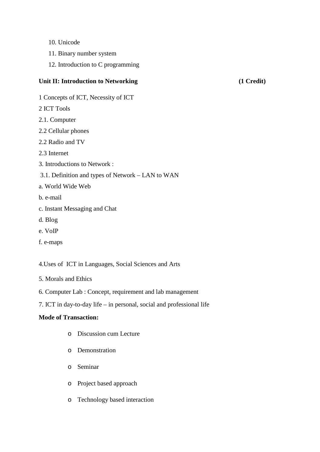- 10. Unicode
- 11. Binary number system
- 12. Introduction to C programming

## Unit II: Introduction to Networking (1 Credit)

- 1 Concepts of ICT, Necessity of ICT
- 2 ICT Tools
- 2.1. Computer
- 2.2 Cellular phones
- 2.2 Radio and TV
- 2.3 Internet
- 3. Introductions to Network :
- 3.1. Definition and types of Network LAN to WAN
- a. World Wide Web
- b. e-mail
- c. Instant Messaging and Chat
- d. Blog
- e. VoIP
- f. e-maps

4.Uses of ICT in Languages, Social Sciences and Arts

- 5. Morals and Ethics
- 6. Computer Lab : Concept, requirement and lab management
- 7. ICT in day-to-day life in personal, social and professional life

## **Mode of Transaction:**

- o Discussion cum Lecture
- o Demonstration
- o Seminar
- o Project based approach
- o Technology based interaction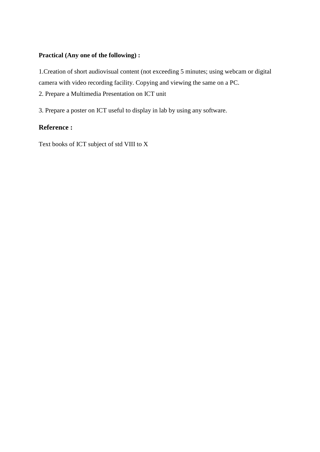# **Practical (Any one of the following) :**

1.Creation of short audiovisual content (not exceeding 5 minutes; using webcam or digital camera with video recording facility. Copying and viewing the same on a PC.

2. Prepare a Multimedia Presentation on ICT unit

3. Prepare a poster on ICT useful to display in lab by using any software.

# **Reference :**

Text books of ICT subject of std VIII to X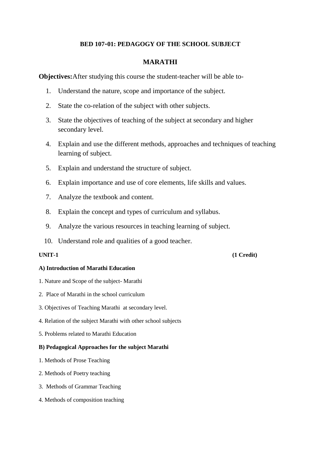# **BED 107-01: PEDAGOGY OF THE SCHOOL SUBJECT**

# **MARATHI**

**Objectives:**After studying this course the student-teacher will be able to-

- 1. Understand the nature, scope and importance of the subject.
- 2. State the co-relation of the subject with other subjects.
- 3. State the objectives of teaching of the subject at secondary and higher secondary level.
- 4. Explain and use the different methods, approaches and techniques of teaching learning of subject.
- 5. Explain and understand the structure of subject.
- 6. Explain importance and use of core elements, life skills and values.
- 7. Analyze the textbook and content.
- 8. Explain the concept and types of curriculum and syllabus.
- 9. Analyze the various resources in teaching learning of subject.
- 10. Understand role and qualities of a good teacher.

### **UNIT-1 (1 Credit)**

#### **A) Introduction of Marathi Education**

- 1. Nature and Scope of the subject- Marathi
- 2. Place of Marathi in the school curriculum
- 3. Objectives of Teaching Marathi at secondary level.
- 4. Relation of the subject Marathi with other school subjects
- 5. Problems related to Marathi Education

## **B) Pedagogical Approaches for the subject Marathi**

- 1. Methods of Prose Teaching
- 2. Methods of Poetry teaching
- 3. Methods of Grammar Teaching
- 4. Methods of composition teaching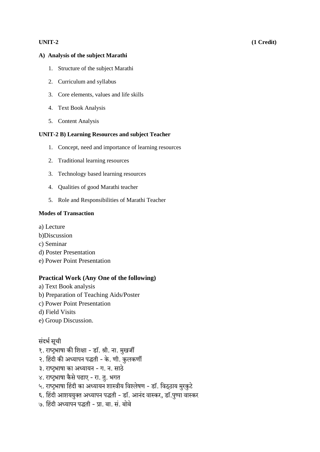### UNIT-2

#### A) Analysis of the subject Marathi

- 1. Structure of the subject Marathi
- 2. Curriculum and syllabus
- 3. Core elements, values and life skills
- 4. Text Book Analysis
- 5. Content Analysis

### **UNIT-2 B)** Learning Resources and subject Teacher

- 1. Concept, need and importance of learning resources
- 2. Traditional learning resources
- 3. Technology based learning resources
- 4. Qualities of good Marathi teacher
- 5. Role and Responsibilities of Marathi Teacher

### **Modes of Transaction**

- a) Lecture
- b)Discussion
- c) Seminar
- d) Poster Presentation
- e) Power Point Presentation

## **Practical Work (Any One of the following)**

- a) Text Book analysis
- b) Preparation of Teaching Aids/Poster
- c) Power Point Presentation
- d) Field Visits
- e) Group Discussion.

## संदर्भ सूची

- १. राष्ट्रभाषा की शिक्षा डॉ. श्री. ना. मुखर्जी
- २. हिंदी की अध्यापन पद्धती के. णी. कुलकर्णी
- ३. राष्ट्रभाषा का अध्यायन ग. न. साठे
- ४. राष्ट्रभाषा कैसे पढाए रा. तु. भगत
- ५. राष्ट्रभाषा हिंदी का अध्यायन शास्त्रीय विश्लेषण डॉ. विठ्ठाय मुरकुटे
- ६. हिंदी आशययुक्त अध्यापन पद्धती डॉ. आनंद वास्कर, डॉ.पुष्पा वास्कर
- ७. हिंदी अध्यापन पद्धती प्रा. बा. सं. बोबे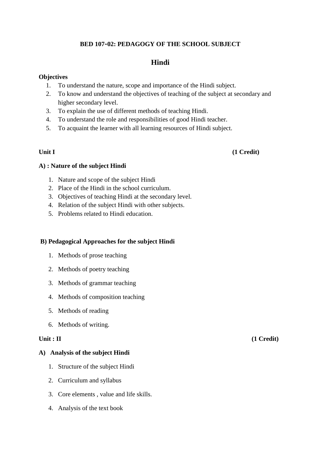# **BED 107-02: PEDAGOGY OF THE SCHOOL SUBJECT**

# **Hindi**

## **Objectives**

- 1. To understand the nature, scope and importance of the Hindi subject.
- 2. To know and understand the objectives of teaching of the subject at secondary and higher secondary level.
- 3. To explain the use of different methods of teaching Hindi.
- 4. To understand the role and responsibilities of good Hindi teacher.
- 5. To acquaint the learner with all learning resources of Hindi subject.

## Unit I (1 Credit)

## **A) : Nature of the subject Hindi**

- 1. Nature and scope of the subject Hindi
- 2. Place of the Hindi in the school curriculum.
- 3. Objectives of teaching Hindi at the secondary level.
- 4. Relation of the subject Hindi with other subjects.
- 5. Problems related to Hindi education.

## **B) Pedagogical Approaches for the subject Hindi**

- 1. Methods of prose teaching
- 2. Methods of poetry teaching
- 3. Methods of grammar teaching
- 4. Methods of composition teaching
- 5. Methods of reading
- 6. Methods of writing.

## **A) Analysis of the subject Hindi**

- 1. Structure of the subject Hindi
- 2. Curriculum and syllabus
- 3. Core elements , value and life skills.
- 4. Analysis of the text book

**Unit : II** (1 Credit)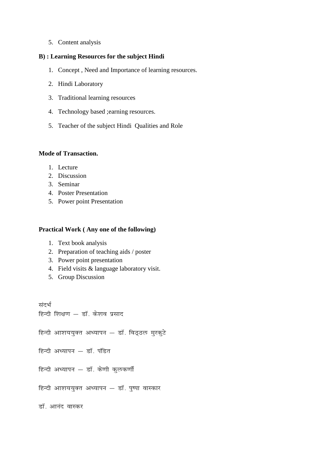5. Content analysis

## **B) : Learning Resources for the subject Hindi**

- 1. Concept , Need and Importance of learning resources.
- 2. Hindi Laboratory
- 3. Traditional learning resources
- 4. Technology based ;earning resources.
- 5. Teacher of the subject Hindi Qualities and Role

## **Mode of Transaction.**

- 1. Lecture
- 2. Discussion
- 3. Seminar
- 4. Poster Presentation
- 5. Power point Presentation

#### **Practical Work ( Any one of the following)**

- 1. Text book analysis
- 2. Preparation of teaching aids / poster
- 3. Power point presentation
- 4. Field visits & language laboratory visit.
- 5. Group Discussion

*l anHkZ* 

*हिन्दी शिक्षण - डॉ. केशव प्रसाद* 

*fgUnh vk'k;;qDr v/;kiu & MkW- foB~By eqjd qVs* 

*हिन्दी अध्यापन - डॉ. पंडित* 

*हिन्दी अध्यापन - डॉ. केणी कुलकर्णी* 

*हिन्दी आशययुक्त अध्यापन - डॉ. पुष्पा वास्कार* 

*डॉ. आनंद वास्कर*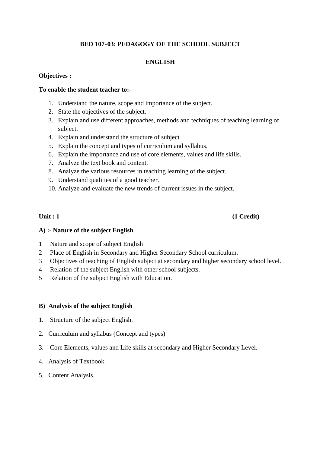# **BED 107-03: PEDAGOGY OF THE SCHOOL SUBJECT**

# **ENGLISH**

## **Objectives :**

## **To enable the student teacher to:-**

- 1. Understand the nature, scope and importance of the subject.
- 2. State the objectives of the subject.
- 3. Explain and use different approaches, methods and techniques of teaching learning of subject.
- 4. Explain and understand the structure of subject
- 5. Explain the concept and types of curriculum and syllabus.
- 6. Explain the importance and use of core elements, values and life skills.
- 7. Analyze the text book and content.
- 8. Analyze the various resources in teaching learning of the subject.
- 9. Understand qualities of a good teacher.
- 10. Analyze and evaluate the new trends of current issues in the subject.

## Unit : 1 (1 Credit)

## **A) :- Nature of the subject English**

- 1 Nature and scope of subject English
- 2 Place of English in Secondary and Higher Secondary School curriculum.
- 3 Objectives of teaching of English subject at secondary and higher secondary school level.
- 4 Relation of the subject English with other school subjects.
- 5 Relation of the subject English with Education.

## **B) Analysis of the subject English**

- 1. Structure of the subject English.
- 2. Curriculum and syllabus (Concept and types)
- 3. Core Elements, values and Life skills at secondary and Higher Secondary Level.
- 4. Analysis of Textbook.
- 5. Content Analysis.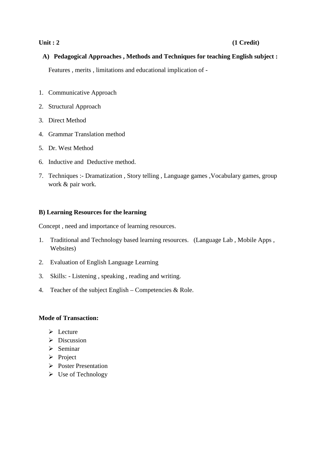# **Unit : 2** (1 Credit)

# **A) Pedagogical Approaches , Methods and Techniques for teaching English subject :**

Features , merits , limitations and educational implication of -

- 1. Communicative Approach
- 2. Structural Approach
- 3. Direct Method
- 4. Grammar Translation method
- 5. Dr. West Method
- 6. Inductive and Deductive method.
- 7. Techniques :- Dramatization , Story telling , Language games ,Vocabulary games, group work & pair work.

## **B) Learning Resources for the learning**

Concept , need and importance of learning resources.

- 1. Traditional and Technology based learning resources. (Language Lab , Mobile Apps , Websites)
- 2. Evaluation of English Language Learning
- 3. Skills: Listening , speaking , reading and writing.
- 4. Teacher of the subject English Competencies & Role.

## **Mode of Transaction:**

- $\triangleright$  Lecture
- $\triangleright$  Discussion
- $\triangleright$  Seminar
- $\triangleright$  Project
- Poster Presentation
- $\triangleright$  Use of Technology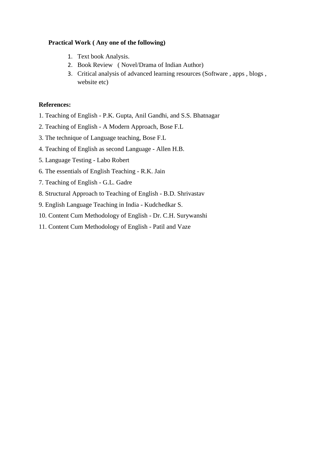# **Practical Work ( Any one of the following)**

- 1. Text book Analysis.
- 2. Book Review ( Novel/Drama of Indian Author)
- 3. Critical analysis of advanced learning resources (Software , apps , blogs , website etc)

## **References:**

- 1. Teaching of English P.K. Gupta, Anil Gandhi, and S.S. Bhatnagar
- 2. Teaching of English A Modern Approach, Bose F.L
- 3. The technique of Language teaching, Bose F.L
- 4. Teaching of English as second Language Allen H.B.
- 5. Language Testing Labo Robert
- 6. The essentials of English Teaching R.K. Jain
- 7. Teaching of English G.L. Gadre
- 8. Structural Approach to Teaching of English B.D. Shrivastav
- 9. English Language Teaching in India Kudchedkar S.
- 10. Content Cum Methodology of English Dr. C.H. Surywanshi
- 11. Content Cum Methodology of English Patil and Vaze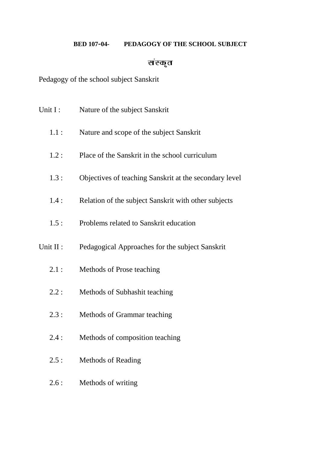# **BED 107-04- PEDAGOGY OF THE SCHOOL SUBJECT**

# संस्कृत

Pedagogy of the school subject Sanskrit

| Unit I:   | Nature of the subject Sanskrit                         |
|-----------|--------------------------------------------------------|
| 1.1:      | Nature and scope of the subject Sanskrit               |
| 1.2:      | Place of the Sanskrit in the school curriculum         |
| 1.3:      | Objectives of teaching Sanskrit at the secondary level |
| 1.4:      | Relation of the subject Sanskrit with other subjects   |
| 1.5:      | Problems related to Sanskrit education                 |
| Unit II : | Pedagogical Approaches for the subject Sanskrit        |
| 2.1:      | Methods of Prose teaching                              |
| 2.2:      | Methods of Subhashit teaching                          |
| 2.3:      | Methods of Grammar teaching                            |
| 2.4:      | Methods of composition teaching                        |
| 2.5:      | <b>Methods of Reading</b>                              |
| 2.6:      | Methods of writing                                     |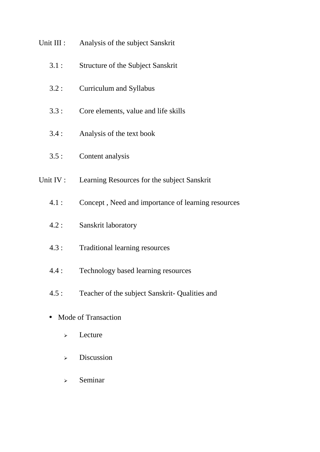| Unit III :          | Analysis of the subject Sanskrit                   |
|---------------------|----------------------------------------------------|
| 3.1:                | <b>Structure of the Subject Sanskrit</b>           |
| 3.2:                | <b>Curriculum and Syllabus</b>                     |
| 3.3:                | Core elements, value and life skills               |
| 3.4:                | Analysis of the text book                          |
| 3.5:                | Content analysis                                   |
| Unit IV :           | Learning Resources for the subject Sanskrit        |
| 4.1:                | Concept, Need and importance of learning resources |
| 4.2:                | Sanskrit laboratory                                |
| 4.3:                | <b>Traditional learning resources</b>              |
| 4.4:                | Technology based learning resources                |
| 4.5:                | Teacher of the subject Sanskrit- Qualities and     |
| Mode of Transaction |                                                    |
| ⋗                   | Lecture                                            |

- > Discussion
- $\triangleright$  Seminar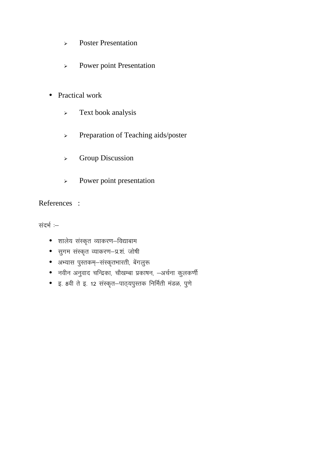- Poster Presentation
- Power point Presentation
- Practical work
	- > Text book analysis
	- > Preparation of Teaching aids/poster
	- **Example 2** Group Discussion
	- $\triangleright$  Power point presentation

References :

संदर्भ :-

- *'kky s; l aLd `r O;kdj.k&fo|kcke*
- *lqxe laLd `r O;kdj.k&iz-'ka- tks'kh*
- अभ्यास पुस्तकम्–संस्कृतभारती, बेंगलुरू
- *uohu vuqokn pfUn zdk] pkS[kEck izdk'ku] &vp Zuk dqyd.khZ*
- इ. 8वी ते इ. 12 संस्कृत–पाठ्**यपुस्तक निर्मिती मंडळ,** पुणे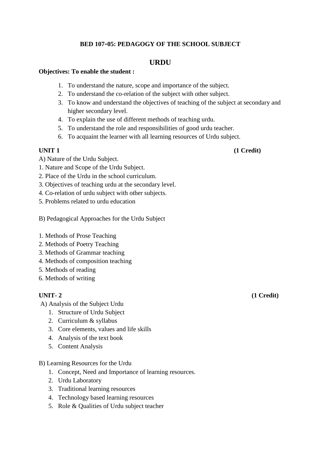# **BED 107-05: PEDAGOGY OF THE SCHOOL SUBJECT**

# **URDU**

## **Objectives: To enable the student :**

- 1. To understand the nature, scope and importance of the subject.
- 2. To understand the co-relation of the subject with other subject.
- 3. To know and understand the objectives of teaching of the subject at secondary and higher secondary level.
- 4. To explain the use of different methods of teaching urdu.
- 5. To understand the role and responsibilities of good urdu teacher.
- 6. To acquaint the learner with all learning resources of Urdu subject.

A) Nature of the Urdu Subject.

- 1. Nature and Scope of the Urdu Subject.
- 2. Place of the Urdu in the school curriculum.
- 3. Objectives of teaching urdu at the secondary level.
- 4. Co-relation of urdu subject with other subjects.
- 5. Problems related to urdu education
- B) Pedagogical Approaches for the Urdu Subject
- 1. Methods of Prose Teaching
- 2. Methods of Poetry Teaching
- 3. Methods of Grammar teaching
- 4. Methods of composition teaching
- 5. Methods of reading
- 6. Methods of writing

- A) Analysis of the Subject Urdu
	- 1. Structure of Urdu Subject
	- 2. Curriculum & syllabus
	- 3. Core elements, values and life skills
	- 4. Analysis of the text book
	- 5. Content Analysis
- B) Learning Resources for the Urdu
	- 1. Concept, Need and Importance of learning resources.
	- 2. Urdu Laboratory
	- 3. Traditional learning resources
	- 4. Technology based learning resources
	- 5. Role & Qualities of Urdu subject teacher

**UNIT-2** (1 Credit)

**UNIT 1** (1 Credit)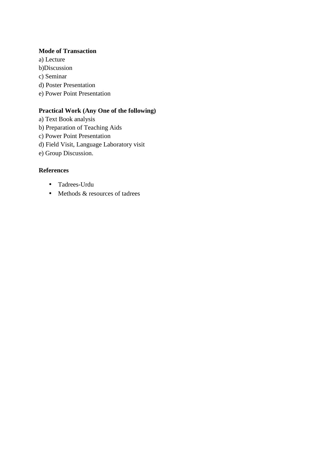## **Mode of Transaction**

a) Lecture b)Discussion c) Seminar d) Poster Presentation e) Power Point Presentation

# **Practical Work (Any One of the following)**

- a) Text Book analysis
- b) Preparation of Teaching Aids
- c) Power Point Presentation
- d) Field Visit, Language Laboratory visit
- e) Group Discussion.

# **References**

- Tadrees-Urdu
- Methods & resources of tadrees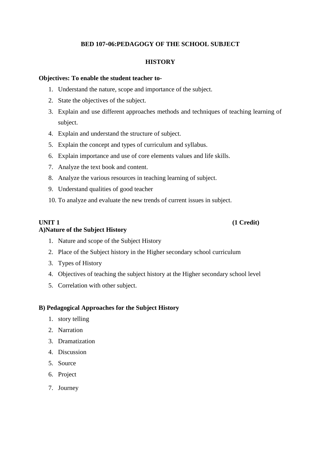# **BED 107-06:PEDAGOGY OF THE SCHOOL SUBJECT**

## **HISTORY**

### **Objectives: To enable the student teacher to-**

- 1. Understand the nature, scope and importance of the subject.
- 2. State the objectives of the subject.
- 3. Explain and use different approaches methods and techniques of teaching learning of subject.
- 4. Explain and understand the structure of subject.
- 5. Explain the concept and types of curriculum and syllabus.
- 6. Explain importance and use of core elements values and life skills.
- 7. Analyze the text book and content.
- 8. Analyze the various resources in teaching learning of subject.
- 9. Understand qualities of good teacher
- 10. To analyze and evaluate the new trends of current issues in subject.

## **UNIT 1** (1 Credit) **A)Nature of the Subject History**

- 1. Nature and scope of the Subject History
- 2. Place of the Subject history in the Higher secondary school curriculum
- 3. Types of History
- 4. Objectives of teaching the subject history at the Higher secondary school level
- 5. Correlation with other subject.

## **B) Pedagogical Approaches for the Subject History**

- 1. story telling
- 2. Narration
- 3. Dramatization
- 4. Discussion
- 5. Source
- 6. Project
- 7. Journey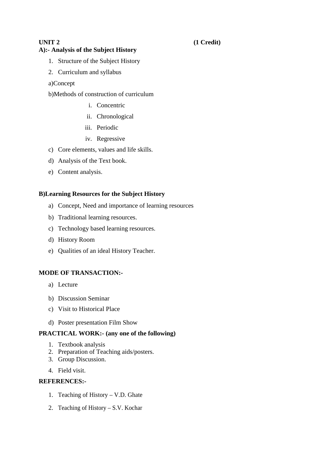# **A):- Analysis of the Subject History**

- 1. Structure of the Subject History
- 2. Curriculum and syllabus
- a)Concept
- b)Methods of construction of curriculum
	- i. Concentric
	- ii. Chronological
	- iii. Periodic
	- iv. Regressive
- c) Core elements, values and life skills.
- d) Analysis of the Text book.
- e) Content analysis.

## **B)Learning Resources for the Subject History**

- a) Concept, Need and importance of learning resources
- b) Traditional learning resources.
- c) Technology based learning resources.
- d) History Room
- e) Qualities of an ideal History Teacher.

## **MODE OF TRANSACTION:-**

- a) Lecture
- b) Discussion Seminar
- c) Visit to Historical Place
- d) Poster presentation Film Show

## **PRACTICAL WORK:- (any one of the following)**

- 1. Textbook analysis
- 2. Preparation of Teaching aids/posters.
- 3. Group Discussion.
- 4. Field visit.

# **REFERENCES:-**

- 1. Teaching of History V.D. Ghate
- 2. Teaching of History S.V. Kochar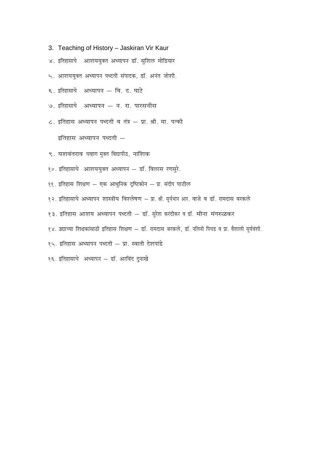- 3. Teaching of History Jaskiran Vir Kaur
- ४. इतिहासाचे आशययुक्त अध्यापन डॉ. सुशिल मोडियार
- ५. आशययुक्त अध्यापन पध्दती संपादक, डॉ. अनंत जोशी.
- ६. इतिहासाचे अध्यापन वि. द. घाटे
- ७. इतिहासाचे अध्यापन न. रा. पारसनीस
- ८. इतिहास अध्यापन पध्दती व तंत्र प्रा. श्री. मा. पत्की इतिहास अध्यापन पध्दती -
- ९. यशवंतराव चव्हाण मुक्त विद्यापीठ, नाशिक
- १०. इतिहासाचे आशययुक्त अध्यापन डॉ. विलास रणसुरे.
- ११. इतिहास शिक्षण एक आधुनिक दृष्टिकोन प्रा. संदीप पाटील
- १२. इतिहासाचे अध्यापन शास्त्रीय विश्लेषण प्रा. श्री. सूर्यभान आर. वाजे व डॉ. रामदास बरकले
- १३. इतिहास आशय अध्यापन पध्दती डॉ. सुरेश करंदीकर व डॉ. मीना मंगरुळकर
- १४. उद्याच्या शिक्षकांसाठी इतिहास शिक्षण डॉ. रामदास बरकले, डॉ. नलिनी पिचड व प्रा. वैशाली सुर्यवंशी.
- १५. इतिहास अध्यापन पध्दती प्रा. स्वाती देशपांडे
- १६. इतिहासाचे अध्यापन डॉ. अरविंद दुनाखे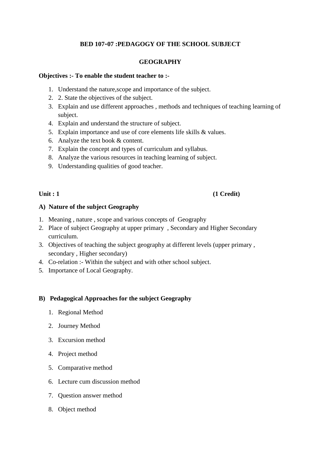# **BED 107-07 :PEDAGOGY OF THE SCHOOL SUBJECT**

# **GEOGRAPHY**

## **Objectives :- To enable the student teacher to :-**

- 1. Understand the nature,scope and importance of the subject.
- 2. 2. State the objectives of the subject.
- 3. Explain and use different approaches , methods and techniques of teaching learning of subject.
- 4. Explain and understand the structure of subject.
- 5. Explain importance and use of core elements life skills & values.
- 6. Analyze the text book & content.
- 7. Explain the concept and types of curriculum and syllabus.
- 8. Analyze the various resources in teaching learning of subject.
- 9. Understanding qualities of good teacher.

# Unit : 1 (1 Credit)

## **A) Nature of the subject Geography**

- 1. Meaning , nature , scope and various concepts of Geography
- 2. Place of subject Geography at upper primary , Secondary and Higher Secondary curriculum.
- 3. Objectives of teaching the subject geography at different levels (upper primary , secondary , Higher secondary)
- 4. Co-relation :- Within the subject and with other school subject.
- 5. Importance of Local Geography.

# **B) Pedagogical Approaches for the subject Geography**

- 1. Regional Method
- 2. Journey Method
- 3. Excursion method
- 4. Project method
- 5. Comparative method
- 6. Lecture cum discussion method
- 7. Question answer method
- 8. Object method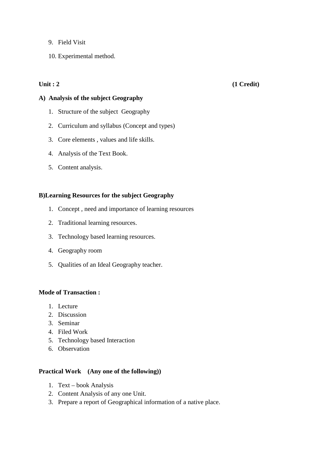- 9. Field Visit
- 10. Experimental method.

## Unit : 2 (1 Credit)

## **A) Analysis of the subject Geography**

- 1. Structure of the subject Geography
- 2. Curriculum and syllabus (Concept and types)
- 3. Core elements , values and life skills.
- 4. Analysis of the Text Book.
- 5. Content analysis.

## **B)Learning Resources for the subject Geography**

- 1. Concept , need and importance of learning resources
- 2. Traditional learning resources.
- 3. Technology based learning resources.
- 4. Geography room
- 5. Qualities of an Ideal Geography teacher.

## **Mode of Transaction :**

- 1. Lecture
- 2. Discussion
- 3. Seminar
- 4. Filed Work
- 5. Technology based Interaction
- 6. Observation

## **Practical Work (Any one of the following))**

- 1. Text book Analysis
- 2. Content Analysis of any one Unit.
- 3. Prepare a report of Geographical information of a native place.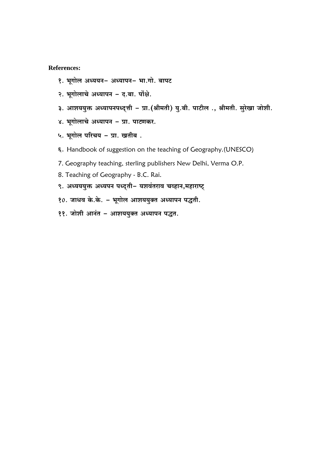## **References:**

- १. भूगोल अध्ययन- अध्यापन- भा.गो. बापट
- २. भूगोलाचे अध्यापन द.बा. पोंक्षे.
- ३. आशययुक्त अध्यापनपध्दुत्ती प्रा. (श्रीमती) यु.बी. पाटील., श्रीमती. सुरेखा जोशी.
- ४. भूगोलाचे अध्यापन प्रा. पाटणकर.
- ५. भूगोल परिचय प्रा. खतीब.
- ६. Handbook of suggestion on the teaching of Geography.(UNESCO)
- 7. Geography teaching, sterling publishers New Delhi, Verma O.P.
- 8. Teaching of Geography B.C. Rai.
- ९. अध्यययुक्त अध्यपन पध्दुती- यशवंतराव चव्हान,महाराष्ट्
- १०. जाधव के.के. भूगोल आशययुक्त अध्यापन पद्धती.
- ११. जोशी आनंत आशययुक्त अध्यापन पद्धत.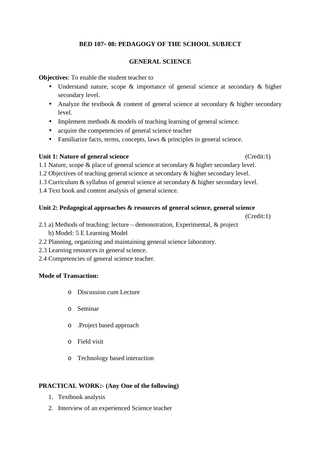# **BED 107- 08: PEDAGOGY OF THE SCHOOL SUBJECT**

# **GENERAL SCIENCE**

**Objectives**: To enable the student teacher to

- Understand nature, scope & importance of general science at secondary & higher secondary level.
- Analyze the textbook & content of general science at secondary & higher secondary level.
- Implement methods & models of teaching learning of general science.
- acquire the competencies of general science teacher
- Familiarize facts, terms, concepts, laws & principles in general science.

# **Unit 1: Nature of general science** (Credit:1)

1.1 Nature, scope & place of general science at secondary & higher secondary level.

- 1.2 Objectives of teaching general science at secondary & higher secondary level.
- 1.3 Curriculum & syllabus of general science at secondary & higher secondary level.
- 1.4 Text book and content analysis of general science.

# **Unit 2: Pedagogical approaches & resources of general science, general science**

(Credit:1)

- 2.1 a) Methods of teaching: lecture demonstration, Experimental, & project b) Model: 5 E Learning Model
- 2.2 Planning, organizing and maintaining general science laboratory.
- 2.3 Learning resources in general science.
- 2.4 Competencies of general science teacher.

# **Mode of Transaction:**

- o Discussion cum Lecture
- o Seminar
- o .Project based approach
- o Field visit
- o Technology based interaction

# **PRACTICAL WORK:- (Any One of the following)**

- 1. Textbook analysis
- 2. Interview of an experienced Science teacher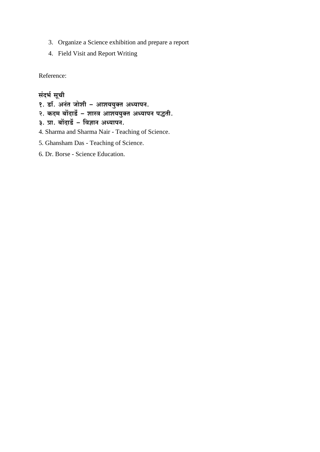- 3. Organize a Science exhibition and prepare a report
- 4. Field Visit and Report Writing

Reference:

# संदर्भ सूची

- १. डॉ. अनंत जोशी आशययुक्त अध्यापन.
- .<br>२. कदम बोंदार्डे शास्त्र आशययुक्त अध्यापन पद्धती.<br>३. प्रा. बोंदार्डे विज्ञान अध्यापन.
- 
- 4. Sharma and Sharma Nair Teaching of Science.
- 5. Ghansham Das Teaching of Science.
- 6. Dr. Borse Science Education.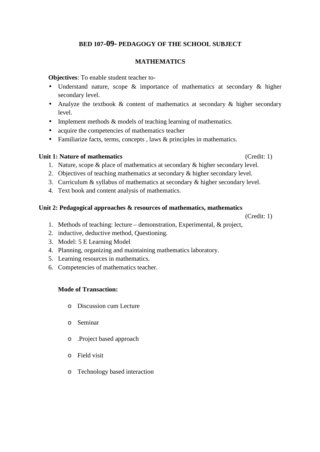# **BED 107-09- PEDAGOGY OF THE SCHOOL SUBJECT**

# **MATHEMATICS**

**Objectives**: To enable student teacher to-

- Understand nature, scope & importance of mathematics at secondary & higher secondary level.
- Analyze the textbook & content of mathematics at secondary & higher secondary level.
- Implement methods & models of teaching learning of mathematics.
- acquire the competencies of mathematics teacher
- Familiarize facts, terms, concepts, laws & principles in mathematics.

# **Unit 1: Nature of mathematics** (Credit: 1)

- 1. Nature, scope & place of mathematics at secondary & higher secondary level.
- 2. Objectives of teaching mathematics at secondary & higher secondary level.
- 3. Curriculum & syllabus of mathematics at secondary & higher secondary level.
- 4. Text book and content analysis of mathematics.

# **Unit 2: Pedagogical approaches & resources of mathematics, mathematics**

(Credit: 1)

- 1. Methods of teaching: lecture demonstration, Experimental, & project,
- 2. inductive, deductive method, Questioning.
- 3. Model: 5 E Learning Model
- 4. Planning, organizing and maintaining mathematics laboratory.
- 5. Learning resources in mathematics.
- 6. Competencies of mathematics teacher.

# **Mode of Transaction:**

- o Discussion cum Lecture
- o Seminar
- o .Project based approach
- o Field visit
- o Technology based interaction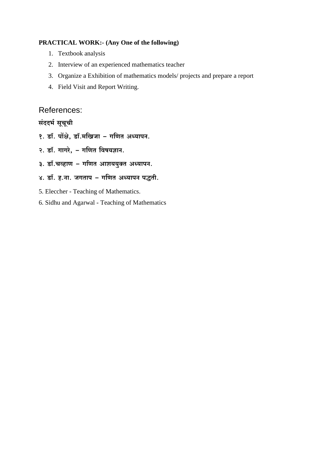## **PRACTICAL WORK:- (Any One of the following)**

- 1. Textbook analysis
- 2. Interview of an experienced mathematics teacher
- 3. Organize a Exhibition of mathematics models/ projects and prepare a report
- 4. Field Visit and Report Writing.

References:

संददर्भ सूचूची

१. डॉ. पोंक्षे, डॉ.मखिजा - गणित अध्यापन.

२. डॉ. गागरे, - गणित विषयज्ञान.

- ३. डॉ.चव्हाण गणित आशययुक्त अध्यापन.
- ४. डॉ. ह.ना. जगताप गणित अध्यापन पद्धती.
- 5. Eleccher Teaching of Mathematics.
- 6. Sidhu and Agarwal Teaching of Mathematics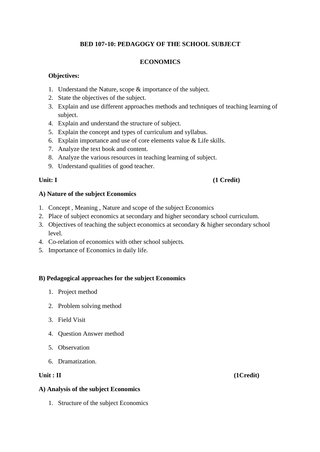# **BED 107-10: PEDAGOGY OF THE SCHOOL SUBJECT**

# **ECONOMICS**

# **Objectives:**

- 1. Understand the Nature, scope & importance of the subject.
- 2. State the objectives of the subject.
- 3. Explain and use different approaches methods and techniques of teaching learning of subject.
- 4. Explain and understand the structure of subject.
- 5. Explain the concept and types of curriculum and syllabus.
- 6. Explain importance and use of core elements value & Life skills.
- 7. Analyze the text book and content.
- 8. Analyze the various resources in teaching learning of subject.
- 9. Understand qualities of good teacher.

# **Unit: I** (1 Credit)

# **A) Nature of the subject Economics**

- 1. Concept , Meaning , Nature and scope of the subject Economics
- 2. Place of subject economics at secondary and higher secondary school curriculum.
- 3. Objectives of teaching the subject economics at secondary & higher secondary school level.
- 4. Co-relation of economics with other school subjects.
- 5. Importance of Economics in daily life.

# **B) Pedagogical approaches for the subject Economics**

- 1. Project method
- 2. Problem solving method
- 3. Field Visit
- 4. Question Answer method
- 5. Observation
- 6. Dramatization.

# **A) Analysis of the subject Economics**

1. Structure of the subject Economics

# Unit : II (1Credit)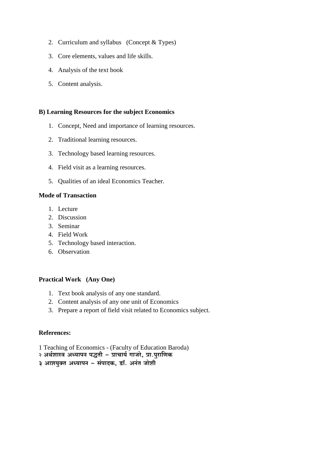- 2. Curriculum and syllabus (Concept & Types)
- 3. Core elements, values and life skills.
- 4. Analysis of the text book
- 5. Content analysis.

## **B)** Learning Resources for the subject Economics

- 1. Concept, Need and importance of learning resources.
- 2. Traditional learning resources.
- 3. Technology based learning resources.
- 4. Field visit as a learning resources.
- 5. Qualities of an ideal Economics Teacher.

## **Mode of Transaction**

- 1. Lecture
- 2. Discussion
- 3. Seminar
- 4. Field Work
- 5. Technology based interaction.
- 6. Observation

## **Practical Work** (Any One)

- 1. Text book analysis of any one standard.
- 2. Content analysis of any one unit of Economics
- 3. Prepare a report of field visit related to Economics subject.

## References:

- 1 Teaching of Economics (Faculty of Education Baroda)
- २ अर्थशास्त्र अध्यापन पद्धती प्राचार्य गाजरे, प्रा.पुराणिक

३ आशयुक्त अध्यापन - संपादक, डॉ. अनंत जोशी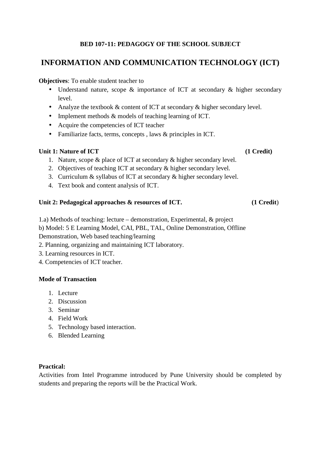# **BED 107-11: PEDAGOGY OF THE SCHOOL SUBJECT**

# **INFORMATION AND COMMUNICATION TECHNOLOGY (ICT)**

# **Objectives**: To enable student teacher to

- Understand nature, scope & importance of ICT at secondary & higher secondary level.
- Analyze the textbook  $&$  content of ICT at secondary  $&$  higher secondary level.
- Implement methods  $\&$  models of teaching learning of ICT.
- Acquire the competencies of ICT teacher
- Familiarize facts, terms, concepts , laws & principles in ICT.

# Unit 1: Nature of ICT (1 Credit)

- 1. Nature, scope & place of ICT at secondary & higher secondary level.
- 2. Objectives of teaching ICT at secondary & higher secondary level.
- 3. Curriculum & syllabus of ICT at secondary & higher secondary level.
- 4. Text book and content analysis of ICT.

## **Unit 2: Pedagogical approaches & resources of ICT. (1 Credit**)

- 1.a) Methods of teaching: lecture demonstration, Experimental, & project
- b) Model: 5 E Learning Model, CAI, PBL, TAL, Online Demonstration, Offline

Demonstration, Web based teaching/learning

- 2. Planning, organizing and maintaining ICT laboratory.
- 3. Learning resources in ICT.
- 4. Competencies of ICT teacher.

# **Mode of Transaction**

- 1. Lecture
- 2. Discussion
- 3. Seminar
- 4. Field Work
- 5. Technology based interaction.
- 6. Blended Learning

# **Practical:**

Activities from Intel Programme introduced by Pune University should be completed by students and preparing the reports will be the Practical Work.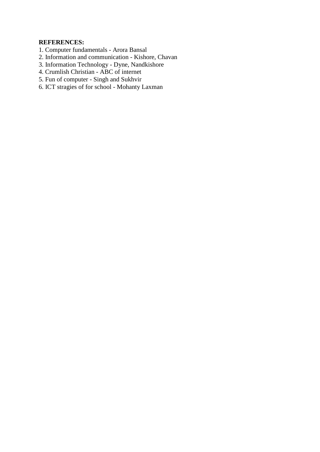# **REFERENCES:**

- 1. Computer fundamentals Arora Bansal
- 2. Information and communication Kishore, Chavan
- 3. Information Technology Dyne, Nandkishore
- 4. Crumlish Christian ABC of internet
- 5. Fun of computer Singh and Sukhvir
- 6. ICT stragies of for school Mohanty Laxman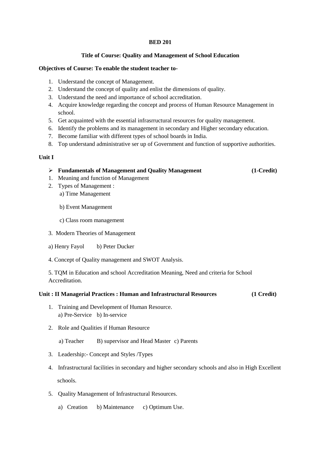#### **BED 201**

### **Title of Course: Quality and Management of School Education**

#### **Objectives of Course: To enable the student teacher to-**

- 1. Understand the concept of Management.
- 2. Understand the concept of quality and enlist the dimensions of quality.
- 3. Understand the need and importance of school accreditation.
- 4. Acquire knowledge regarding the concept and process of Human Resource Management in school.
- 5. Get acquainted with the essential infrasrructural resources for quality management.
- 6. Identify the problems and its management in secondary and Higher secondary education.
- 7. Become familiar with different types of school boards in India.
- 8. Top understand administrative ser up of Government and function of supportive authorities.

#### **Unit I**

#### **Fundamentals of Management and Quality Management (1-Credit)**

- 1. Meaning and function of Management
- 2. Types of Management : a) Time Management
	- b) Event Management
	- c) Class room management
- 3. Modern Theories of Management
- a) Henry Fayol b) Peter Ducker
- 4. Concept of Quality management and SWOT Analysis.

5. TQM in Education and school Accreditation Meaning, Need and criteria for School Accreditation.

#### **Unit : II Managerial Practices : Human and Infrastructural Resources (1 Credit)**

- 1. Training and Development of Human Resource. a) Pre-Service b) In-service
- 2. Role and Qualities if Human Resource

a) Teacher B) supervisor and Head Master c) Parents

- 3. Leadership:- Concept and Styles /Types
- 4. Infrastructural facilities in secondary and higher secondary schools and also in High Excellent schools.
- 5. Quality Management of Infrastructural Resources.
	- a) Creation b) Maintenance c) Optimum Use.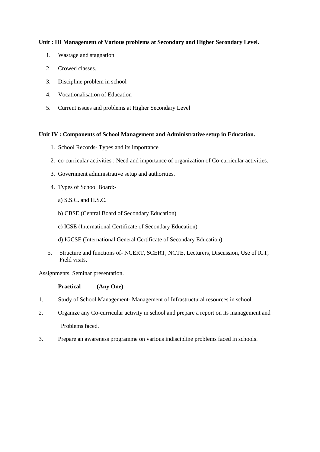### **Unit : III Management of Various problems at Secondary and Higher Secondary Level.**

- 1. Wastage and stagnation
- 2 Crowed classes.
- 3. Discipline problem in school
- 4. Vocationalisation of Education
- 5. Current issues and problems at Higher Secondary Level

### **Unit IV : Components of School Management and Administrative setup in Education.**

- 1. School Records- Types and its importance
- 2. co-curricular activities : Need and importance of organization of Co-curricular activities.
- 3. Government administrative setup and authorities.
- 4. Types of School Board:
	- a) S.S.C. and H.S.C.
	- b) CBSE (Central Board of Secondary Education)
	- c) ICSE (International Certificate of Secondary Education)
	- d) IGCSE (International General Certificate of Secondary Education)
- 5. Structure and functions of- NCERT, SCERT, NCTE, Lecturers, Discussion, Use of ICT, Field visits,

Assignments, Seminar presentation.

**Practical (Any One)** 

- 1. Study of School Management- Management of Infrastructural resources in school.
- 2. Organize any Co-curricular activity in school and prepare a report on its management and Problems faced.
- 3. Prepare an awareness programme on various indiscipline problems faced in schools.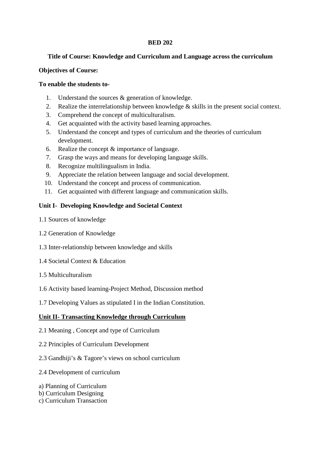# **BED 202**

## **Title of Course: Knowledge and Curriculum and Language across the curriculum**

## **Objectives of Course:**

## **To enable the students to-**

- 1. Understand the sources & generation of knowledge.
- 2. Realize the interrelationship between knowledge & skills in the present social context.
- 3. Comprehend the concept of multiculturalism.
- 4. Get acquainted with the activity based learning approaches.
- 5. Understand the concept and types of curriculum and the theories of curriculum development.
- 6. Realize the concept & importance of language.
- 7. Grasp the ways and means for developing language skills.
- 8. Recognize multilingualism in India.
- 9. Appreciate the relation between language and social development.
- 10. Understand the concept and process of communication.
- 11. Get acquainted with different language and communication skills.

# **Unit I- Developing Knowledge and Societal Context**

- 1.1 Sources of knowledge
- 1.2 Generation of Knowledge
- 1.3 Inter-relationship between knowledge and skills
- 1.4 Societal Context & Education
- 1.5 Multiculturalism
- 1.6 Activity based learning-Project Method, Discussion method
- 1.7 Developing Values as stipulated I in the Indian Constitution.

# **Unit II- Transacting Knowledge through Curriculum**

- 2.1 Meaning , Concept and type of Curriculum
- 2.2 Principles of Curriculum Development
- 2.3 Gandhiji's & Tagore's views on school curriculum
- 2.4 Development of curriculum
- a) Planning of Curriculum
- b) Curriculum Designing
- c) Curriculum Transaction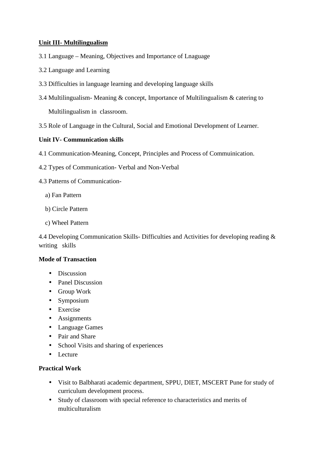# **Unit III- Multilingualism**

- 3.1 Language Meaning, Objectives and Importance of Lnaguage
- 3.2 Language and Learning
- 3.3 Difficulties in language learning and developing language skills
- 3.4 Multilingualism- Meaning & concept, Importance of Multilingualism & catering to Multilingualism in classroom.
- 3.5 Role of Language in the Cultural, Social and Emotional Development of Learner.

## **Unit IV- Communication skills**

- 4.1 Communication-Meaning, Concept, Principles and Process of Commuinication.
- 4.2 Types of Communication- Verbal and Non-Verbal
- 4.3 Patterns of Communication
	- a) Fan Pattern
	- b) Circle Pattern
	- c) Wheel Pattern

4.4 Developing Communication Skills- Difficulties and Activities for developing reading & writing skills

## **Mode of Transaction**

- Discussion
- Panel Discussion
- Group Work
- Symposium
- Exercise
- Assignments
- Language Games
- Pair and Share
- School Visits and sharing of experiences
- Lecture

## **Practical Work**

- Visit to Balbharati academic department, SPPU, DIET, MSCERT Pune for study of curriculum development process.
- Study of classroom with special reference to characteristics and merits of multiculturalism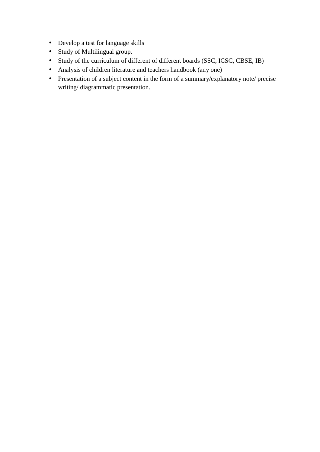- Develop a test for language skills
- Study of Multilingual group.
- Study of the curriculum of different of different boards (SSC, ICSC, CBSE, IB)
- Analysis of children literature and teachers handbook (any one)
- Presentation of a subject content in the form of a summary/explanatory note/ precise writing/ diagrammatic presentation.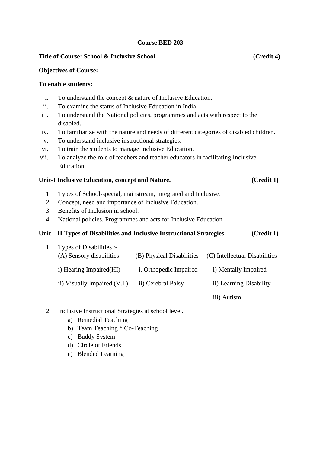# **Course BED 203**

### Title of Course: School & Inclusive School (Credit 4)

### **Objectives of Course:**

### **To enable students:**

- i. To understand the concept & nature of Inclusive Education.
- ii. To examine the status of Inclusive Education in India.
- iii. To understand the National policies, programmes and acts with respect to the disabled.
- iv. To familiarize with the nature and needs of different categories of disabled children.
- v. To understand inclusive instructional strategies.
- vi. To train the students to manage Inclusive Education.
- vii. To analyze the role of teachers and teacher educators in facilitating Inclusive Education.

# **Unit-I Inclusive Education, concept and Nature. (Credit 1)**

- 1. Types of School-special, mainstream, Integrated and Inclusive.
- 2. Concept, need and importance of Inclusive Education.
- 3. Benefits of Inclusion in school.
- 4. National policies, Programmes and acts for Inclusive Education

# **Unit – II Types of Disabilities and Inclusive Instructional Strategies (Credit 1)**

| Types of Disabilities :-<br>(A) Sensory disabilities | (B) Physical Disabilities     | (C) Intellectual Disabilities |
|------------------------------------------------------|-------------------------------|-------------------------------|
| i) Hearing Impaired (HI)                             | <i>i.</i> Orthopedic Impaired | i) Mentally Impaired          |
| ii) Visually Impaired (V.I.)                         | ii) Cerebral Palsy            | ii) Learning Disability       |
|                                                      |                               | $\cdots$ .                    |

iii) Autism

- 2. Inclusive Instructional Strategies at school level.
	- a) Remedial Teaching
	- b) Team Teaching \* Co-Teaching
	- c) Buddy System
	- d) Circle of Friends
	- e) Blended Learning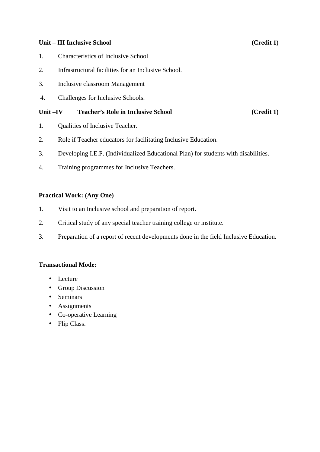# **Unit – III Inclusive School (Credit 1)**

- 1. Characteristics of Inclusive School
- 2. Infrastructural facilities for an Inclusive School.
- 3. Inclusive classroom Management
- 4. Challenges for Inclusive Schools.

# Unit –IV Teacher's Role in Inclusive School (Credit 1)

- 1. Qualities of Inclusive Teacher.
- 2. Role if Teacher educators for facilitating Inclusive Education.
- 3. Developing I.E.P. (Individualized Educational Plan) for students with disabilities.
- 4. Training programmes for Inclusive Teachers.

# **Practical Work: (Any One)**

- 1. Visit to an Inclusive school and preparation of report.
- 2. Critical study of any special teacher training college or institute.
- 3. Preparation of a report of recent developments done in the field Inclusive Education.

# **Transactional Mode:**

- Lecture
- Group Discussion
- Seminars
- Assignments
- Co-operative Learning
- Flip Class.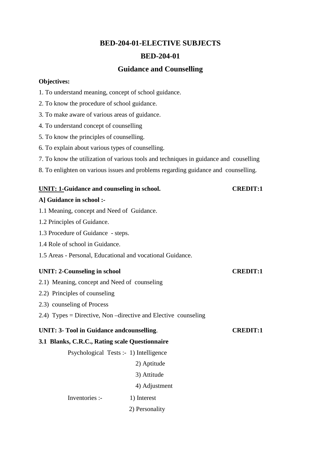# **BED-204-01-ELECTIVE SUBJECTS**

# **BED-204-01**

# **Guidance and Counselling**

### **Objectives:**

- 1. To understand meaning, concept of school guidance.
- 2. To know the procedure of school guidance.
- 3. To make aware of various areas of guidance.
- 4. To understand concept of counselling
- 5. To know the principles of counselling.
- 6. To explain about various types of counselling.
- 7. To know the utilization of various tools and techniques in guidance and couselling
- 8. To enlighten on various issues and problems regarding guidance and counselling.

### UNIT: 1-Guidance and counseling in school. CREDIT:1

# **A] Guidance in school :-**

- 1.1 Meaning, concept and Need of Guidance.
- 1.2 Principles of Guidance.
- 1.3 Procedure of Guidance steps.
- 1.4 Role of school in Guidance.
- 1.5 Areas Personal, Educational and vocational Guidance.

# UNIT: 2-Counseling in school CREDIT:1

- 2.1) Meaning, concept and Need of counseling
- 2.2) Principles of counseling
- 2.3) counseling of Process
- 2.4) Types = Directive, Non –directive and Elective counseling

# **UNIT: 3- Tool in Guidance andcounselling**. **CREDIT:1**

# **3.1 Blanks, C.R.C., Rating scale Questionnaire**

Psychological Tests :- 1) Intelligence

- 2) Aptitude
- 3) Attitude
- 4) Adjustment

Inventories :- 1) Interest

2) Personality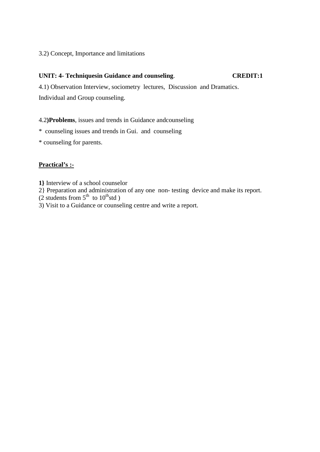# 3.2) Concept, Importance and limitations

# **UNIT: 4- Techniquesin Guidance and counseling**. **CREDIT:1**

4.1) Observation Interview, sociometry lectures, Discussion and Dramatics. Individual and Group counseling.

# 4.2**)Problems**, issues and trends in Guidance andcounseling

- \* counseling issues and trends in Gui. and counseling
- \* counseling for parents.

# **Practical's :-**

- **1}** Interview of a school counselor
- 2} Preparation and administration of any one non- testing device and make its report.
- (2 students from  $5<sup>th</sup>$  to  $10<sup>th</sup>$ std)
- 3) Visit to a Guidance or counseling centre and write a report.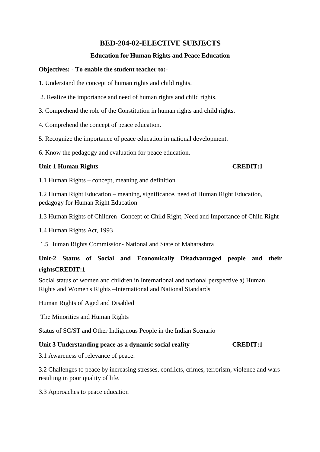# **BED-204-02-ELECTIVE SUBJECTS**

# **Education for Human Rights and Peace Education**

# **Objectives: - To enable the student teacher to:-**

1. Understand the concept of human rights and child rights.

- 2. Realize the importance and need of human rights and child rights.
- 3. Comprehend the role of the Constitution in human rights and child rights.
- 4. Comprehend the concept of peace education.
- 5. Recognize the importance of peace education in national development.

6. Know the pedagogy and evaluation for peace education.

# Unit-1 Human Rights **CREDIT:1**

1.1 Human Rights – concept, meaning and definition

1.2 Human Right Education – meaning, significance, need of Human Right Education, pedagogy for Human Right Education

1.3 Human Rights of Children- Concept of Child Right, Need and Importance of Child Right

1.4 Human Rights Act, 1993

1.5 Human Rights Commission- National and State of Maharashtra

# **Unit-2 Status of Social and Economically Disadvantaged people and their rightsCREDIT:1**

Social status of women and children in International and national perspective a) Human Rights and Women's Rights –International and National Standards

Human Rights of Aged and Disabled

The Minorities and Human Rights

Status of SC/ST and Other Indigenous People in the Indian Scenario

# **Unit 3 Understanding peace as a dynamic social reality CREDIT:1**

3.1 Awareness of relevance of peace.

3.2 Challenges to peace by increasing stresses, conflicts, crimes, terrorism, violence and wars resulting in poor quality of life.

3.3 Approaches to peace education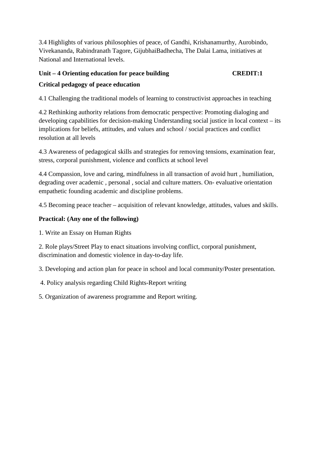3.4 Highlights of various philosophies of peace, of Gandhi, Krishanamurthy, Aurobindo, Vivekananda, Rabindranath Tagore, GijubhaiBadhecha, The Dalai Lama, initiatives at National and International levels.

# **Unit – 4 Orienting education for peace building CREDIT:1 Critical pedagogy of peace education**

4.1 Challenging the traditional models of learning to constructivist approaches in teaching

4.2 Rethinking authority relations from democratic perspective: Promoting dialoging and developing capabilities for decision-making Understanding social justice in local context – its implications for beliefs, attitudes, and values and school / social practices and conflict resolution at all levels

4.3 Awareness of pedagogical skills and strategies for removing tensions, examination fear, stress, corporal punishment, violence and conflicts at school level

4.4 Compassion, love and caring, mindfulness in all transaction of avoid hurt , humiliation, degrading over academic , personal , social and culture matters. On- evaluative orientation empathetic founding academic and discipline problems.

4.5 Becoming peace teacher – acquisition of relevant knowledge, attitudes, values and skills.

# **Practical: (Any one of the following)**

1. Write an Essay on Human Rights

2. Role plays/Street Play to enact situations involving conflict, corporal punishment, discrimination and domestic violence in day-to-day life.

3. Developing and action plan for peace in school and local community/Poster presentation.

4. Policy analysis regarding Child Rights-Report writing

5. Organization of awareness programme and Report writing.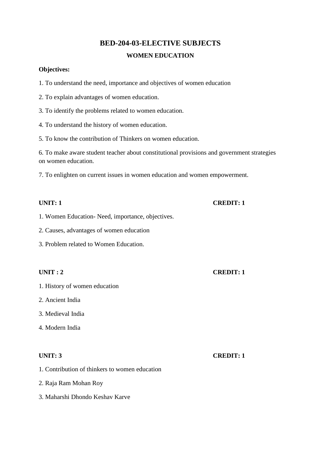# **BED-204-03-ELECTIVE SUBJECTS WOMEN EDUCATION**

# **Objectives:**

- 1. To understand the need, importance and objectives of women education
- 2. To explain advantages of women education.
- 3. To identify the problems related to women education.
- 4. To understand the history of women education.
- 5. To know the contribution of Thinkers on women education.

6. To make aware student teacher about constitutional provisions and government strategies on women education.

7. To enlighten on current issues in women education and women empowerment.

- 1. Women Education- Need, importance, objectives.
- 2. Causes, advantages of women education
- 3. Problem related to Women Education.

# **UNIT : 2 CREDIT: 1**

- 1. History of women education
- 2. Ancient India
- 3. Medieval India
- 4. Modern India

- 1. Contribution of thinkers to women education
- 2. Raja Ram Mohan Roy
- 3. Maharshi Dhondo Keshav Karve

# **UNIT: 3 CREDIT: 1**

# **UNIT: 1** CREDIT: 1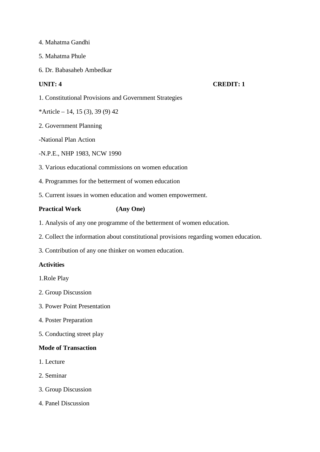- 4. Mahatma Gandhi
- 5. Mahatma Phule
- 6. Dr. Babasaheb Ambedkar

# **UNIT: 4 CREDIT: 1**

- 1. Constitutional Provisions and Government Strategies
- \*Article 14, 15 (3), 39 (9) 42
- 2. Government Planning
- -National Plan Action
- -N.P.E., NHP 1983, NCW 1990
- 3. Various educational commissions on women education
- 4. Programmes for the betterment of women education
- 5. Current issues in women education and women empowerment.

# **Practical Work (Any One)**

- 1. Analysis of any one programme of the betterment of women education.
- 2. Collect the information about constitutional provisions regarding women education.
- 3. Contribution of any one thinker on women education.

# **Activities**

- 1.Role Play
- 2. Group Discussion
- 3. Power Point Presentation
- 4. Poster Preparation
- 5. Conducting street play

# **Mode of Transaction**

- 1. Lecture
- 2. Seminar
- 3. Group Discussion
- 4. Panel Discussion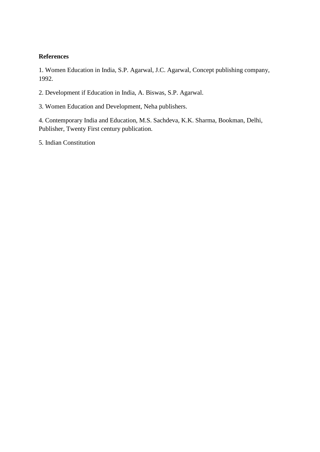# **References**

1. Women Education in India, S.P. Agarwal, J.C. Agarwal, Concept publishing company, 1992.

2. Development if Education in India, A. Biswas, S.P. Agarwal.

3. Women Education and Development, Neha publishers.

4. Contemporary India and Education, M.S. Sachdeva, K.K. Sharma, Bookman, Delhi, Publisher, Twenty First century publication.

5. Indian Constitution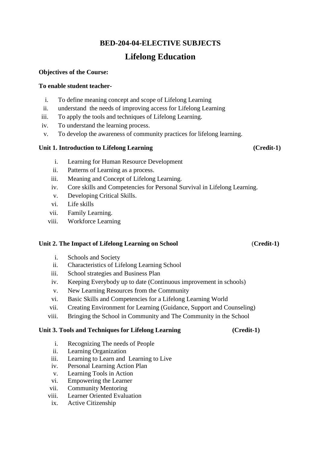# **BED-204-04-ELECTIVE SUBJECTS**

# **Lifelong Education**

# **Objectives of the Course:**

# **To enable student teacher-**

- i. To define meaning concept and scope of Lifelong Learning
- ii. understand the needs of improving access for Lifelong Learning
- iii. To apply the tools and techniques of Lifelong Learning.
- iv. To understand the learning process.
- v. To develop the awareness of community practices for lifelong learning.

# **Unit 1. Introduction to Lifelong Learning (Credit-1)**

- i. Learning for Human Resource Development
- ii. Patterns of Learning as a process.
- iii. Meaning and Concept of Lifelong Learning.
- iv. Core skills and Competencies for Personal Survival in Lifelong Learning.
- v. Developing Critical Skills.
- vi. Life skills
- vii. Family Learning.
- viii. Workforce Learning

# **Unit 2. The Impact of Lifelong Learning on School** (**Credit-1)**

- i. Schools and Society
- ii. Characteristics of Lifelong Learning School
- iii. School strategies and Business Plan
- iv. Keeping Everybody up to date (Continuous improvement in schools)
- v. New Learning Resources from the Community
- vi. Basic Skills and Competencies for a Lifelong Learning World
- vii. Creating Environment for Learning (Guidance, Support and Counseling)
- viii. Bringing the School in Community and The Community in the School

# **Unit 3. Tools and Techniques for Lifelong Learning (Credit-1)**

- i. Recognizing The needs of People
- ii. Learning Organization
- iii. Learning to Learn and Learning to Live
- iv. Personal Learning Action Plan
- v. Learning Tools in Action
- vi. Empowering the Learner
- vii. Community Mentoring
- viii. Learner Oriented Evaluation
- ix. Active Citizenship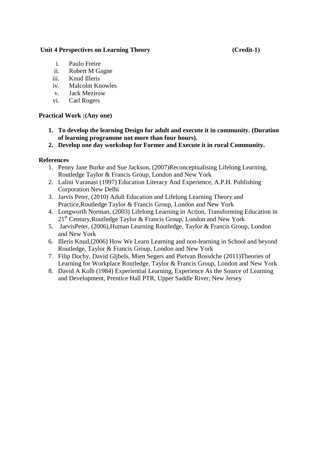# Unit 4 Perspectives on Learning Theory (Credit-1)

- i. Paulo Freire
- ii. Robert M Gagne
- iii. Knud Illeris
- iv. Malcolm Knowles
- v. Jack Mezirow
- vi. Carl Rogers

# **Practical Work :(Any one)**

- **1. To develop the learning Design for adult and execute it in community. (Duration of learning programme not more than four hours).**
- **2. Develop one day workshop for Former and Execute it in rural Community.**

# **References**

- 1. Penny Jane Burke and Sue Jackson, (2007)Reconceptualising Lifelong Learning, Routledge Taylor & Francis Group, London and New York
- 2. Lalini Varanasi (1997) Education Literacy And Experience, A.P.H. Publishing Corporation New Delhi
- 3. Jarvis Peter, (2010) Adult Education and Lifelong Learning Theory and Practice,Routledge Taylor & Francis Group, London and New York
- 4. Longworth Norman, (2003) Lifelong Learning in Action, Transforming Education in 21<sup>st</sup> Century, Routledge Taylor & Francis Group, London and New York
- 5. JarvisPeter, (2006),Human Learning Routledge, Taylor & Francis Group, London and New York
- 6. Illeris Knud,(2006) How We Learn Learning and non-learning in School and beyond Routledge, Taylor & Francis Group, London and New York
- 7. Filip Dochy, David Gljbels, Mien Segers and Pietvan Bossdche (2011)Theories of Learning for Workplace Routledge, Taylor & Francis Group, London and New York
- 8. David A Kolb (1984) Experiential Learning, Experience As the Source of Learning and Development, Prentice Hall PTR, Upper Saddle River, New Jersey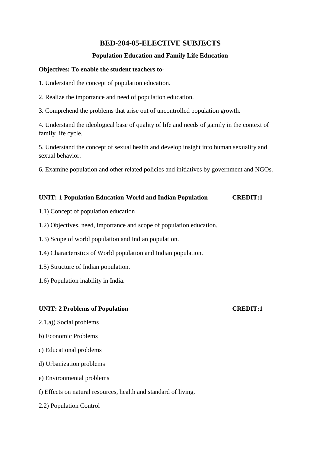# **BED-204-05-ELECTIVE SUBJECTS**

# **Population Education and Family Life Education**

### **Objectives: To enable the student teachers to-**

- 1. Understand the concept of population education.
- 2. Realize the importance and need of population education.
- 3. Comprehend the problems that arise out of uncontrolled population growth.

4. Understand the ideological base of quality of life and needs of gamily in the context of family life cycle.

5. Understand the concept of sexual health and develop insight into human sexuality and sexual behavior.

6. Examine population and other related policies and initiatives by government and NGOs.

# **UNIT:-1 Population Education-World and Indian Population CREDIT:1**

- 1.1) Concept of population education
- 1.2) Objectives, need, importance and scope of population education.
- 1.3) Scope of world population and Indian population.
- 1.4) Characteristics of World population and Indian population.
- 1.5) Structure of Indian population.
- 1.6) Population inability in India.

# **UNIT: 2 Problems of Population CREDIT:1**

- 2.1.a)) Social problems
- b) Economic Problems
- c) Educational problems
- d) Urbanization problems
- e) Environmental problems
- f) Effects on natural resources, health and standard of living.
- 2.2) Population Control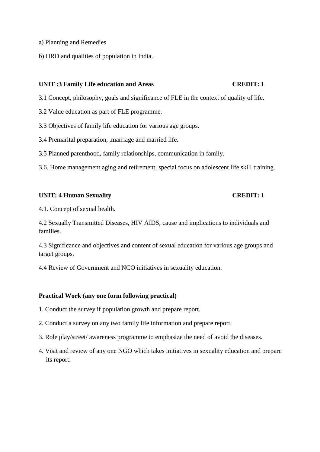- a) Planning and Remedies
- b) HRD and qualities of population in India.

### **UNIT :3 Family Life education and Areas CREDIT: 1**

- 3.1 Concept, philosophy, goals and significance of FLE in the context of quality of life.
- 3.2 Value education as part of FLE programme.
- 3.3 Objectives of family life education for various age groups.
- 3.4 Premarital preparation, ,marriage and married life.
- 3.5 Planned parenthood, family relationships, communication in family.
- 3.6. Home management aging and retirement, special focus on adolescent life skill training.

### **UNIT: 4 Human Sexuality CREDIT: 1**

4.1. Concept of sexual health.

4.2 Sexually Transmitted Diseases, HIV AIDS, cause and implications to individuals and families.

4.3 Significance and objectives and content of sexual education for various age groups and target groups.

4.4 Review of Government and NCO initiatives in sexuality education.

### **Practical Work (any one form following practical)**

- 1. Conduct the survey if population growth and prepare report.
- 2. Conduct a survey on any two family life information and prepare report.
- 3. Role play/street/ awareness programme to emphasize the need of avoid the diseases.
- 4. Visit and review of any one NGO which takes initiatives in sexuality education and prepare its report.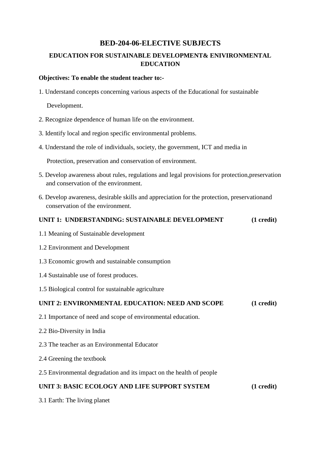# **BED-204-06-ELECTIVE SUBJECTS**

# **EDUCATION FOR SUSTAINABLE DEVELOPMENT& ENIVIRONMENTAL EDUCATION**

# **Objectives: To enable the student teacher to:-**

1. Understand concepts concerning various aspects of the Educational for sustainable

Development.

- 2. Recognize dependence of human life on the environment.
- 3. Identify local and region specific environmental problems.
- 4. Understand the role of individuals, society, the government, ICT and media in

Protection, preservation and conservation of environment.

- 5. Develop awareness about rules, regulations and legal provisions for protection,preservation and conservation of the environment.
- 6. Develop awareness, desirable skills and appreciation for the protection, preservationand conservation of the environment.

# **UNIT 1: UNDERSTANDING: SUSTAINABLE DEVELOPMENT (1 credit)**

- 1.1 Meaning of Sustainable development
- 1.2 Environment and Development
- 1.3 Economic growth and sustainable consumption
- 1.4 Sustainable use of forest produces.
- 1.5 Biological control for sustainable agriculture

# **UNIT 2: ENVIRONMENTAL EDUCATION: NEED AND SCOPE (1 credit)**

- 2.1 Importance of need and scope of environmental education.
- 2.2 Bio-Diversity in India
- 2.3 The teacher as an Environmental Educator
- 2.4 Greening the textbook
- 2.5 Environmental degradation and its impact on the health of people

# **UNIT 3: BASIC ECOLOGY AND LIFE SUPPORT SYSTEM (1 credit)**

3.1 Earth: The living planet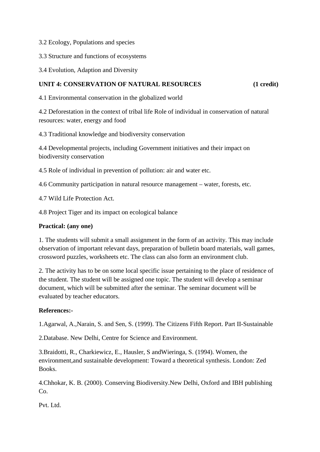3.2 Ecology, Populations and species

3.3 Structure and functions of ecosystems

3.4 Evolution, Adaption and Diversity

# **UNIT 4: CONSERVATION OF NATURAL RESOURCES** (1 credit)

4.1 Environmental conservation in the globalized world

4.2 Deforestation in the context of tribal life Role of individual in conservation of natural resources: water, energy and food

4.3 Traditional knowledge and biodiversity conservation

4.4 Developmental projects, including Government initiatives and their impact on biodiversity conservation

4.5 Role of individual in prevention of pollution: air and water etc.

4.6 Community participation in natural resource management – water, forests, etc.

4.7 Wild Life Protection Act.

4.8 Project Tiger and its impact on ecological balance

# **Practical: (any one)**

1. The students will submit a small assignment in the form of an activity. This may include observation of important relevant days, preparation of bulletin board materials, wall games, crossword puzzles, worksheets etc. The class can also form an environment club.

2. The activity has to be on some local specific issue pertaining to the place of residence of the student. The student will be assigned one topic. The student will develop a seminar document, which will be submitted after the seminar. The seminar document will be evaluated by teacher educators.

# **References:-**

1.Agarwal, A.,Narain, S. and Sen, S. (1999). The Citizens Fifth Report. Part II-Sustainable

2.Database. New Delhi, Centre for Science and Environment.

3.Braidotti, R., Charkiewicz, E., Hausler, S andWieringa, S. (1994). Women, the environment,and sustainable development: Toward a theoretical synthesis. London: Zed Books.

4.Chhokar, K. B. (2000). Conserving Biodiversity.New Delhi, Oxford and IBH publishing Co.

Pvt. Ltd.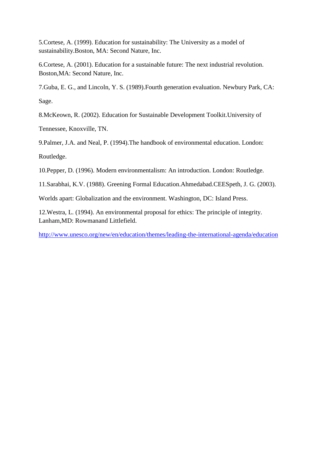5.Cortese, A. (1999). Education for sustainability: The University as a model of sustainability.Boston, MA: Second Nature, Inc.

6.Cortese, A. (2001). Education for a sustainable future: The next industrial revolution. Boston,MA: Second Nature, Inc.

7.Guba, E. G., and Lincoln, Y. S. (1989).Fourth generation evaluation. Newbury Park, CA: Sage.

8.McKeown, R. (2002). Education for Sustainable Development Toolkit.University of

Tennessee, Knoxville, TN.

9.Palmer, J.A. and Neal, P. (1994).The handbook of environmental education. London: Routledge.

10.Pepper, D. (1996). Modern environmentalism: An introduction. London: Routledge.

11.Sarabhai, K.V. (1988). Greening Formal Education.Ahmedabad.CEESpeth, J. G. (2003).

Worlds apart: Globalization and the environment. Washington, DC: Island Press.

12.Westra, L. (1994). An environmental proposal for ethics: The principle of integrity. Lanham,MD: Rowmanand Littlefield.

http://www.unesco.org/new/en/education/themes/leading-the-international-agenda/education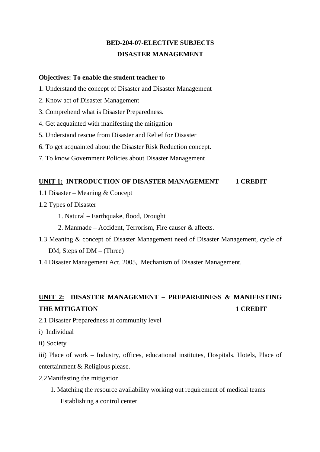# **BED-204-07-ELECTIVE SUBJECTS DISASTER MANAGEMENT**

# **Objectives: To enable the student teacher to**

- 1. Understand the concept of Disaster and Disaster Management
- 2. Know act of Disaster Management
- 3. Comprehend what is Disaster Preparedness.
- 4. Get acquainted with manifesting the mitigation
- 5. Understand rescue from Disaster and Relief for Disaster
- 6. To get acquainted about the Disaster Risk Reduction concept.
- 7. To know Government Policies about Disaster Management

# **UNIT 1: INTRODUCTION OF DISASTER MANAGEMENT 1 CREDIT**

- 1.1 Disaster Meaning & Concept
- 1.2 Types of Disaster
	- 1. Natural Earthquake, flood, Drought
	- 2. Manmade Accident, Terrorism, Fire causer & affects.
- 1.3 Meaning & concept of Disaster Management need of Disaster Management, cycle of DM, Steps of DM – (Three)
- 1.4 Disaster Management Act. 2005, Mechanism of Disaster Management.

# **UNIT 2: DISASTER MANAGEMENT – PREPAREDNESS & MANIFESTING THE MITIGATION 4 CREDIT**

- 2.1 Disaster Preparedness at community level
- i) Individual
- ii) Society

iii) Place of work – Industry, offices, educational institutes, Hospitals, Hotels, Place of entertainment & Religious please.

- 2.2Manifesting the mitigation
	- 1. Matching the resource availability working out requirement of medical teams Establishing a control center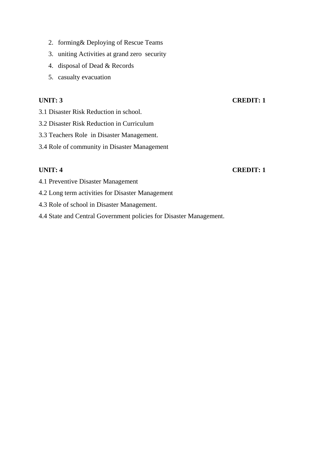- 2. forming& Deploying of Rescue Teams
- 3. uniting Activities at grand zero security
- 4. disposal of Dead & Records
- 5. casualty evacuation

# **UNIT: 3** CREDIT: 1

- 3.1 Disaster Risk Reduction in school.
- 3.2 Disaster Risk Reduction in Curriculum
- 3.3 Teachers Role in Disaster Management.
- 3.4 Role of community in Disaster Management

# **UNIT: 4 CREDIT: 1**

- 4.1 Preventive Disaster Management
- 4.2 Long term activities for Disaster Management
- 4.3 Role of school in Disaster Management.
- 4.4 State and Central Government policies for Disaster Management.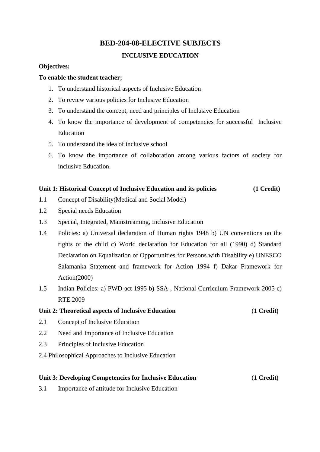# **BED-204-08-ELECTIVE SUBJECTS**

# **INCLUSIVE EDUCATION**

# **Objectives:**

# **To enable the student teacher;**

- 1. To understand historical aspects of Inclusive Education
- 2. To review various policies for Inclusive Education
- 3. To understand the concept, need and principles of Inclusive Education
- 4. To know the importance of development of competencies for successful Inclusive Education
- 5. To understand the idea of inclusive school
- 6. To know the importance of collaboration among various factors of society for inclusive Education.

# **Unit 1: Historical Concept of Inclusive Education and its policies (1 Credit)**

- 1.1 Concept of Disability(Medical and Social Model)
- 1.2 Special needs Education
- 1.3 Special, Integrated, Mainstreaming, Inclusive Education
- 1.4 Policies: a) Universal declaration of Human rights 1948 b) UN conventions on the rights of the child c) World declaration for Education for all (1990) d) Standard Declaration on Equalization of Opportunities for Persons with Disability e) UNESCO Salamanka Statement and framework for Action 1994 f) Dakar Framework for Action(2000)
- 1.5 Indian Policies: a) PWD act 1995 b) SSA , National Curriculum Framework 2005 c) RTE 2009

# **Unit 2: Theoretical aspects of Inclusive Education** (**1 Credit)**

- 2.1 Concept of Inclusive Education
- 2.2 Need and Importance of Inclusive Education
- 2.3 Principles of Inclusive Education
- 2.4 Philosophical Approaches to Inclusive Education

# **Unit 3: Developing Competencies for Inclusive Education** (**1 Credit)**

3.1 Importance of attitude for Inclusive Education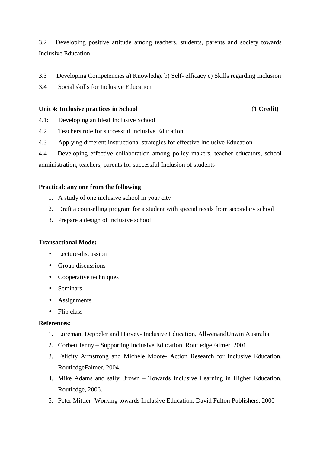3.2 Developing positive attitude among teachers, students, parents and society towards Inclusive Education

- 3.3 Developing Competencies a) Knowledge b) Self- efficacy c) Skills regarding Inclusion
- 3.4 Social skills for Inclusive Education

# **Unit 4: Inclusive practices in School** (**1 Credit)**

- 4.1: Developing an Ideal Inclusive School
- 4.2 Teachers role for successful Inclusive Education
- 4.3 Applying different instructional strategies for effective Inclusive Education
- 4.4 Developing effective collaboration among policy makers, teacher educators, school administration, teachers, parents for successful Inclusion of students

# **Practical: any one from the following**

- 1. A study of one inclusive school in your city
- 2. Draft a counselling program for a student with special needs from secondary school
- 3. Prepare a design of inclusive school

# **Transactional Mode:**

- Lecture-discussion
- Group discussions
- Cooperative techniques
- Seminars
- Assignments
- Flip class

# **References:**

- 1. Loreman, Deppeler and Harvey- Inclusive Education, AllwenandUnwin Australia.
- 2. Corbett Jenny Supporting Inclusive Education, RoutledgeFalmer, 2001.
- 3. Felicity Armstrong and Michele Moore- Action Research for Inclusive Education, RoutledgeFalmer, 2004.
- 4. Mike Adams and sally Brown Towards Inclusive Learning in Higher Education, Routledge, 2006.
- 5. Peter Mittler- Working towards Inclusive Education, David Fulton Publishers, 2000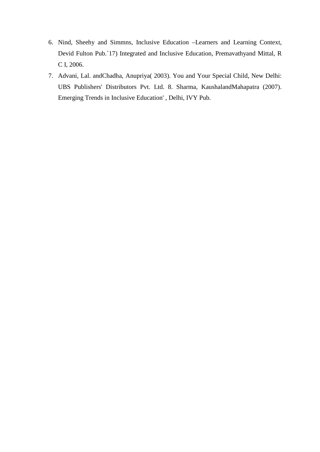- 6. Nind, Sheehy and Simmns, Inclusive Education –Learners and Learning Context, Devid Fulton Pub.`17) Integrated and Inclusive Education, Premavathyand Mittal, R C I, 2006.
- 7. Advani, Lal. andChadha, Anupriya( 2003). You and Your Special Child, New Delhi: UBS Publishers' Distributors Pvt. Ltd. 8. Sharma, KaushalandMahapatra (2007). Emerging Trends in Inclusive Education' , Delhi, IVY Pub.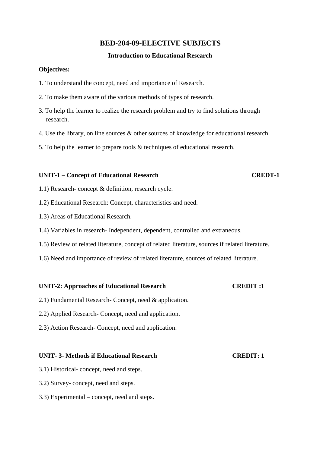# **BED-204-09-ELECTIVE SUBJECTS**

# **Introduction to Educational Research**

# **Objectives:**

- 1. To understand the concept, need and importance of Research.
- 2. To make them aware of the various methods of types of research.
- 3. To help the learner to realize the research problem and try to find solutions through research.
- 4. Use the library, on line sources & other sources of knowledge for educational research.
- 5. To help the learner to prepare tools & techniques of educational research.

# **UNIT-1 – Concept of Educational Research CREDT-1**

- 1.1) Research- concept & definition, research cycle.
- 1.2) Educational Research: Concept, characteristics and need.
- 1.3) Areas of Educational Research.
- 1.4) Variables in research- Independent, dependent, controlled and extraneous.
- 1.5) Review of related literature, concept of related literature, sources if related literature.
- 1.6) Need and importance of review of related literature, sources of related literature.

# **UNIT-2: Approaches of Educational Research CREDIT :1**

- 2.1) Fundamental Research- Concept, need & application.
- 2.2) Applied Research- Concept, need and application.
- 2.3) Action Research- Concept, need and application.

# **UNIT- 3- Methods if Educational Research CREDIT: 1**

- 3.1) Historical- concept, need and steps.
- 3.2) Survey- concept, need and steps.
- 3.3) Experimental concept, need and steps.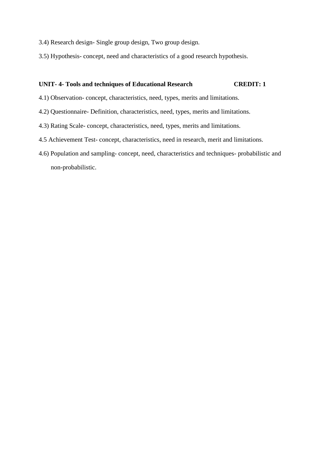- 3.4) Research design- Single group design, Two group design.
- 3.5) Hypothesis- concept, need and characteristics of a good research hypothesis.

# **UNIT- 4- Tools and techniques of Educational Research CREDIT: 1**

- 4.1) Observation- concept, characteristics, need, types, merits and limitations.
- 4.2) Questionnaire- Definition, characteristics, need, types, merits and limitations.
- 4.3) Rating Scale- concept, characteristics, need, types, merits and limitations.
- 4.5 Achievement Test- concept, characteristics, need in research, merit and limitations.
- 4.6) Population and sampling- concept, need, characteristics and techniques- probabilistic and non-probabilistic.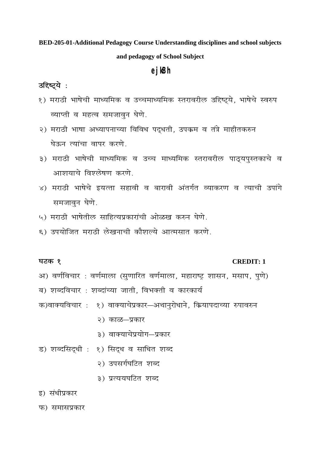BED-205-01-Additional Pedagogy Course Understanding disciplines and school subjects and pedagogy of School Subject

# ejkBh

# उद्दिष्ट्ये :

- १) मराठी भाषेची माध्यमिक व उच्चमाध्यमिक स्तरावरील उद्दिष्ट्ये, भाषेचे स्वरुप व्याप्ती व महत्व समजावन घेणे.
- २) मराठी भाषा अध्यापनाच्या विविध पद्धती, उपक्रम व तंत्रे माहीतकरुन घेऊन त्यांचा वापर करणे
- ३) मराठी भाषेची माध्यमिक व उच्च माध्यमिक स्तरावरील पाठ्यपुस्तकाचे व आशयाचे विश्लेषण करणे.
- ४) मराठी भाषेचे इयत्ता सहावी व बारावी अंतर्गत व्याकरण व त्याची उपांगे समजावन घेणे.
- ५) मराठी भाषेतील साहित्यप्रकारांची ओळख करुन घेणे.
- ६) उपयोजित मराठी लेखनाची कौशल्ये आत्मसात करणे.

# घटक १

# **CREDIT: 1**

अ) वर्णविचार : वर्णमाला (सुणारित वर्णमाला, महाराष्ट्र शासन, मसाप, पुणे) ब) शब्दविचार : शब्दांच्या जाती, विभक्ती व कारकार्य

- क)वाक्यविचार: १) वाक्याचेप्रकार-अथानुरोधाने, कियापदाच्या रुपावरुन
	- २) काळ-प्रकार
	- ३) वाक्याचेप्रयोग-प्रकार
- ड) शब्दसिद्धी : १) सिद्ध व साधित शब्द
	- २) उपसर्गघटित शब्द
	- ३) प्रत्ययघटित शब्द
- इ) संधीप्रकार
- फ) समासप्रकार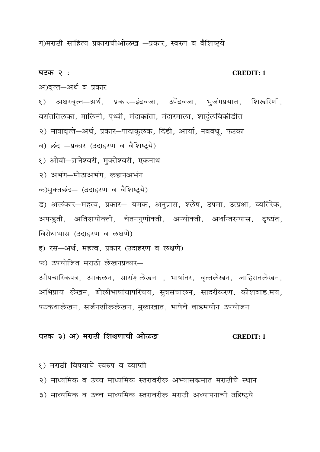ग)मराठी साहित्य प्रकारांचीओळख -प्रकार, स्वरुप व वैशिष्ट्ये

घटक २ :

### **CREDIT: 1**

अ)वृत्त-अर्थ व प्रकार

१) अक्षरवृत्त—अर्थ, प्रकार—इंद्रवजा, उपेंद्रवजा, भुजंगप्रयात, शिखरिणी, वसंततिलका, मालिनी, पृथ्वी, मंदाक्रांता, मंदारमाला, शार्दुलविकीडीत

२) मात्रावृत्ते—अर्थ, प्रकार—पादाकुलक, दिंडी, आर्या, नववधू, फटका

ब) छंद -प्रकार (उदाहरण व वैशिष्ट्ये)

१) ओवी-ज्ञानेश्वरी, मुक्तेश्वरी, एकनाथ

२) अभंग-मोठाअभंग, लहानअभंग

क)मुक्तछंद- (उदाहरण व वैशिष्ट्ये)

ड) अलंकार-महत्व, प्रकार- यमक, अनुप्रास, श्लेष, उपमा, उत्प्रक्षा, व्यतिरेक, अपन्हुती, अतिशयोक्ती, चेतनगुणोक्ती, अन्योक्ती, अर्थान्तरन्यास, दृष्टांत, विरोधाभास (उदाहरण व लक्षणे)

इ) रस-अर्थ, महत्व, प्रकार (उदाहरण व लक्षणे)

फ) उपयोजित मराठी लेखनप्रकार—

औपचारिकपत्र, आकलन, सारांशलेखन), भाषांतर, वृत्तलेखन, जाहिरातलेखन, अभिप्राय लेखन, बोलीभाषांचापरिचय, सुत्रसंचालन, सादरीकरण, कोशवाड.मय, पटकथालेखन, सर्जनशीललेखन, मुलाखात, भाषेचे वाडमयीन उपयोजन

# घटक ३) अ) मराठी शिक्षणाची ओळख

**CREDIT: 1** 

१) मराठी विषयाचे स्वरुप व व्याप्ती

२) माध्यमिक व उच्च माध्यमिक स्तरावरील अभ्यासक्रमात मराठीचे स्थान

३) माध्यमिक व उच्च माध्यमिक स्तरावरील मराठी अध्यापनाची उद्दिष्ट्ये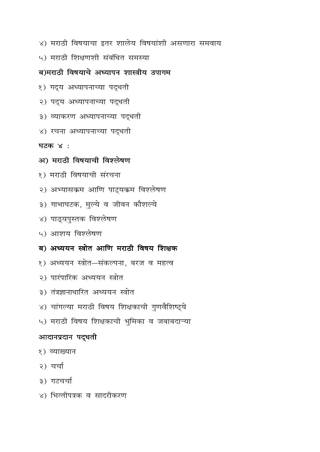- ४) मराठी विषयाचा इतर शालेय विषयांशी असणारा समवाय
- ५) मराठी शिक्षणशी संबंधित समस्या

# ब)मराठी विषयाचे अध्यापन शास्त्रीय उपागम

- १) गद्य अध्यापनाच्या पद्धती
- २) पद्य अध्यापनाच्या पद्धती
- ३) व्याकरण अध्यापनाच्या पद्धती
- ४) रचना अध्यापनाच्या पद्धती

घटक $\times$ :

# अ) मराठी विषयाची विश्लेषण

- १) मराठी विषयाची संरचना
- २) अभ्यासकम आणि पाट्यकम विश्लेषण
- ३) गाभाघटक, मुल्ये व जीवन कौशल्ये
- ४) पाठ्यपुस्तक विश्लेषण
- ५) आशय विश्लेषण
- ब) अध्ययन स्त्रोत आणि मराठी विषय शिक्षक
- १) अध्ययन स्त्रोत-संकल्पना, बरज व महत्व
- २) पारंपारिक अध्ययन स्त्रोत
- ३) तंत्रज्ञानाधारित अध्ययन स्त्रोत
- ४) चांगल्या मराठी विषय शिक्षकाची गुणवैशिष्ट्ये
- ५) मराठी विषय शिक्षकाची भुमिका व जबाबदाऱ्या

# आदानप्रदान पदुधती

- १) व्याख्यान
- २) चर्चा
- ३) गटचर्चा
- ४) भित्तीपत्रक व सादरीकरण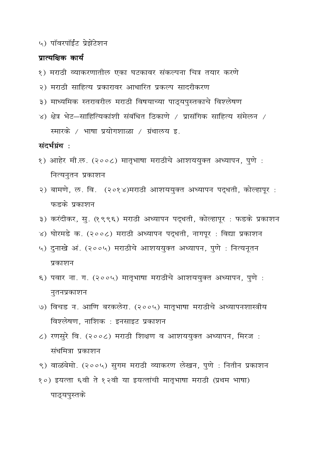५) पॉवरपॉईट प्रेझेंटेशन

# प्रात्यक्षिक कार्य

- १) मराठी व्याकरणातील एका घटकावर संकल्पना चित्र तयार करणे
- २) मराठी साहित्य प्रकारावर आधारित प्रकल्प सादरीकरण
- ३) माध्यमिक स्तरावरील मराठी विषयाच्या पाठ्यपुस्तकाचे विश्लेषण
- ४) क्षेत्र भेट-साहित्यिकांशी संबंधित ठिकाणे / प्रासंगिक साहित्य संमेलन / स्मारके / भाषा प्रयोगशाळा / ग्रंथालय इ.

संदर्भग्रंथ:

- १) आहेर मी.ल. (२००८) मातृभाषा मराठीचे आशययुक्त अध्यापन, पुणे : नित्यनुतन प्रकाशन
- २) बामणे, ल. वि. (२०१४)मराठी आशययुक्त अध्यापन पद्धती, कोल्हापूर : फडके प्रकाशन
- ३) करंदीकर, सु. (१९९६) मराठी अध्यापन पद्धती, कोल्हापूर : फडके प्रकाशन
- ४) घोरमडे क. (२००८) मराठी अध्यापन पद्धती, नागपूर : विद्या प्रकाशन
- ५) दुनाखे अं. (२००५) मराठीचे आशययुक्त अध्यापन, पुणे : नित्यनूतन प्रकाशन
- ६) पवार ना. ग. (२००५) मातृभाषा मराठीचे आशययुक्त अध्यापन, पुणे : नुतनप्रकाशन
- ७) विचड न. आणि बरकलेरा. (२००५) मातृभाषा मराठीचे अध्यापनशास्त्रीय विश्लेषण, नाशिक : इनसाइट प्रकाशन
- ८) रणसुरे वि. (२००८) मराठी शिक्षण व आशययुक्त अध्यापन, मिरज: संधमित्रा प्रकाशन
- ९) वाळंबेमो. (२००५) सुगम मराठी व्याकरण लेखन, पुणे : नितीन प्रकाशन
- १०) इयत्ता ६वी ते १२वी या इयत्तांची मातृभाषा मराठी (प्रथम भाषा) पाठ्यपुस्तके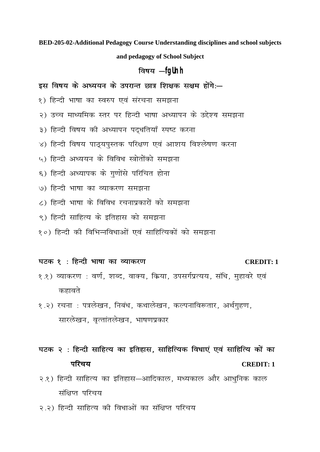BED-205-02-Additional Pedagogy Course Understanding disciplines and school subjects

and pedagogy of School Subject

# विषय -fqUnh

# इस विषय के अध्ययन के उपरान्त छात्र शिक्षक सक्षम होंगे:-

- १) हिन्दी भाषा का स्वरुप एवं संरचना समझना
- २) उच्च माध्यमिक स्तर पर हिन्दी भाषा अध्यापन के उद्देश्य समझना
- ३) हिन्दी विषय की अध्यापन पदुधतियाँ स्पष्ट करना
- ४) हिन्दी विषय पाठयपस्तक परिक्षण एवं आशय विश्लेषण करना
- ५) हिन्दी अध्ययन के विविध स्त्रोतोंको समझना
- ६) हिन्दी अध्यापक के गुणोंसे परिचित होना
- ७) हिन्दी भाषा का व्याकरण समझना
- ८) हिन्दी भाषा के विविध रचनाप्रकारों को समझना
- ९) हिन्दी साहित्य के इतिहास को समझना
- १०) हिन्दी की विभिन्नविधाओं एवं साहित्यिकों को समझना

# घटक १: हिन्दी भाषा का व्याकरण

# **CREDIT: 1**

- १.१) व्याकरण : वर्ण, शब्द, वाक्य, क्रिया, उपसर्गप्रत्यय, संधि, मुहावरे एवं कहावते
- १.२) रचना : पत्रलेखन, निबंध, कथालेखन, कल्पनाविरूतार, अर्थगृहण, सारलेखन, वृत्तांतलेखन, भाषणप्रकार

घटक २ : हिन्दी साहित्य का इतिहास, साहित्यिक विधाएं एवं साहित्यि कों का परिचय **CREDIT: 1** 

- २.१) हिन्दी साहित्य का इतिहास—आदिकाल, मध्यकाल और आधनिक काल संक्षिप्त परिचय
- २.२) हिन्दी साहित्य की विधाओं का संक्षिप्त परिचय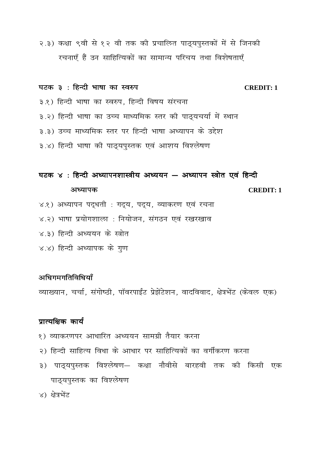२.३) कक्षा ९वी से १२ वी तक की प्रचालित पाठ्यपुस्तकों में से जिनकी रचनाएँ हैं उन साहित्यिकों का सामान्य परिचय तथा विशेषताएँ

# घटक ३ : हिन्दी भाषा का स्वरुप

 $CREDIT: 1$ 

- ३.१) हिन्दी भाषा का स्वरुप, हिन्दी विषय संरचना
- ३.२) हिन्दी भाषा का उच्च माध्यमिक स्तर की पाठ्यचर्या में स्थान
- ३.३) उच्च माध्यमिक स्तर पर हिन्दी भाषा अध्यापन के उद्देश
- ३.४) हिन्दी भाषा की पाठ्यपुस्तक एवं आशय विश्लेषण

# घटक ४: हिन्दी अध्यापनशास्त्रीय अध्ययन – अध्यापन स्त्रोत एवं हिन्दी

### अध्यापक

**CREDIT: 1** 

- ४.१) अध्यापन पद्धती : गद्य, पद्य, व्याकरण एवं रचना
- ४.२) भाषा प्रयोगशाला : नियोजन, संगठन एवं रखरखाव
- ४.३) हिन्दी अध्ययन के स्त्रोत
- ४.४) हिन्दी अध्यापक के गुण

# अधिगमगतिविधियाँ

व्याख्यान, चर्चा, संगोष्ठी, पॉवरपाईंट प्रेझेंटेशन, वादविवाद, क्षेत्रभेंट (केवल एक)

# प्रात्यक्षिक कार्य

- १) व्याकरणपर आधारित अध्ययन सामग्री तैयार करना
- २) हिन्दी साहित्य विधा के आधार पर साहित्यिकों का वर्गीकरण करना
- ३) पाठ्यपुस्तक विश्लेषण— कक्षा नौवीसे बारहवी तक की किसी एक पाठ्यपुस्तक का विश्लेषण
- ४) क्षेत्रभेंट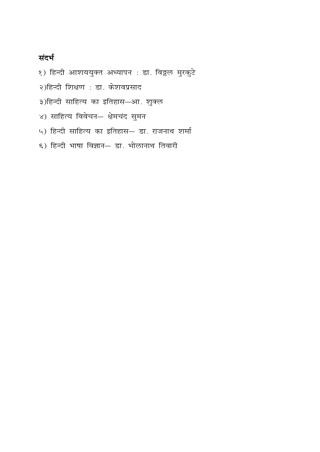# संदर्भ

- १) हिन्दी आशययुक्त अध्यापन : डा. विठ्ठल मुरकुटे
- २)हिन्दी शिक्षण : डा. केशवप्रसाद
- ३)हिन्दी साहित्य का इतिहास-आ. शुक्ल
- ४) साहित्य विवेचन- क्षेमचंद सुमन
- ५) हिन्दी साहित्य का इतिहास- डा. राजनाथ शर्मा
- ६) हिन्दी भाषा विज्ञान– डा. भोलानाथ तिवारी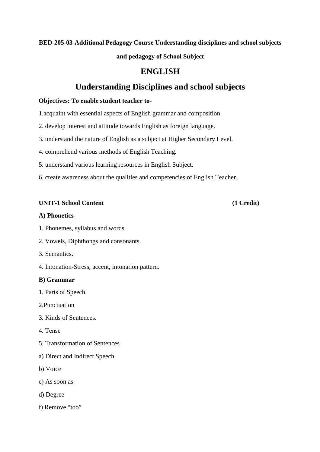# **BED-205-03-Additional Pedagogy Course Understanding disciplines and school subjects**

**and pedagogy of School Subject** 

# **ENGLISH**

# **Understanding Disciplines and school subjects**

# **Objectives: To enable student teacher to-**

1.acquaint with essential aspects of English grammar and composition.

- 2. develop interest and attitude towards English as foreign language.
- 3. understand the nature of English as a subject at Higher Secondary Level.
- 4. comprehend various methods of English Teaching.
- 5. understand various learning resources in English Subject.
- 6. create awareness about the qualities and competencies of English Teacher.

# **UNIT-1 School Content (1 Credit)**

# **A) Phonetics**

- 1. Phonemes, syllabus and words.
- 2. Vowels, Diphthongs and consonants.
- 3. Semantics.
- 4. Intonation-Stress, accent, intonation pattern.

# **B) Grammar**

- 1. Parts of Speech.
- 2.Punctuation
- 3. Kinds of Sentences.
- 4. Tense
- 5. Transformation of Sentences
- a) Direct and Indirect Speech.
- b) Voice
- c) As soon as
- d) Degree
- f) Remove "too"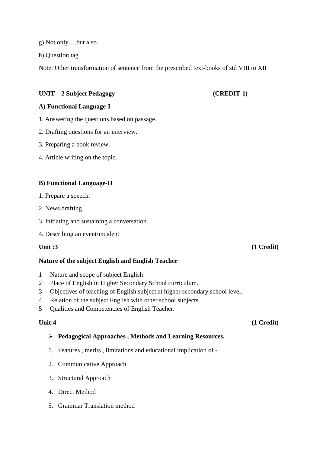g) Not only….but also.

h) Question tag

Note: Other transformation of sentence from the prescribed text-books of std VIII to XII

# **UNIT – 2 Subject Pedagogy (CREDIT-1)**

# **A) Functional Language-I**

- 1. Answering the questions based on passage.
- 2. Drafting questions for an interview.
- 3. Preparing a book review.
- 4. Article writing on the topic.

# **B) Functional Language-II**

- 1. Prepare a speech.
- 2. News drafting
- 3. Initiating and sustaining a conversation.
- 4. Describing an event/incident

# **Nature of the subject English and English Teacher**

- 1 Nature and scope of subject English
- 2 Place of English in Higher Secondary School curriculum.
- 3 Objectives of teaching of English subject at higher secondary school level.
- 4 Relation of the subject English with other school subjects.
- 5 Qualities and Competencies of English Teacher.

# **Pedagogical Approaches , Methods and Learning Resources.**

- 1. Features , merits , limitations and educational implication of -
- 2. Communicative Approach
- 3. Structural Approach
- 4. Direct Method
- 5. Grammar Translation method

# **Unit :3** (1 Credit)

# **Unit:4** (1 Credit)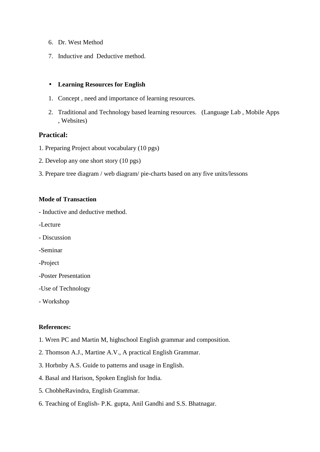- 6. Dr. West Method
- 7. Inductive and Deductive method.

### • **Learning Resources for English**

- 1. Concept , need and importance of learning resources.
- 2. Traditional and Technology based learning resources. (Language Lab , Mobile Apps , Websites)

# **Practical:**

- 1. Preparing Project about vocabulary (10 pgs)
- 2. Develop any one short story (10 pgs)
- 3. Prepare tree diagram / web diagram/ pie-charts based on any five units/lessons

# **Mode of Transaction**

- Inductive and deductive method.
- -Lecture
- Discussion
- -Seminar
- -Project
- -Poster Presentation
- -Use of Technology
- Workshop

# **References:**

- 1. Wren PC and Martin M, highschool English grammar and composition.
- 2. Thomson A.J., Martine A.V., A practical English Grammar.
- 3. Horbnby A.S. Guide to patterns and usage in English.
- 4. Basal and Harison, Spoken English for India.
- 5. ChobheRavindra, English Grammar.
- 6. Teaching of English- P.K. gupta, Anil Gandhi and S.S. Bhatnagar.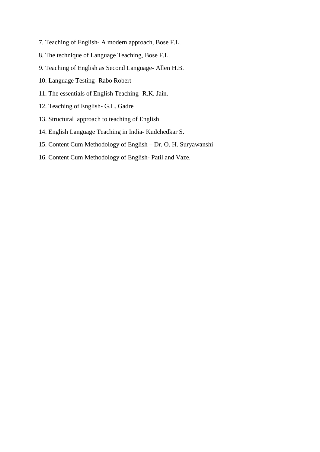- 7. Teaching of English- A modern approach, Bose F.L.
- 8. The technique of Language Teaching, Bose F.L.
- 9. Teaching of English as Second Language- Allen H.B.
- 10. Language Testing- Rabo Robert
- 11. The essentials of English Teaching- R.K. Jain.
- 12. Teaching of English- G.L. Gadre
- 13. Structural approach to teaching of English
- 14. English Language Teaching in India- Kudchedkar S.
- 15. Content Cum Methodology of English Dr. O. H. Suryawanshi
- 16. Content Cum Methodology of English- Patil and Vaze.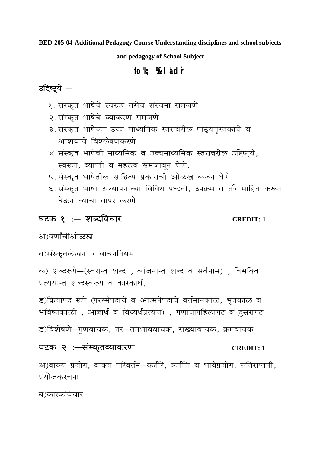BED-205-04-Additional Pedagogy Course Understanding disciplines and school subjects

and pedagogy of School Subject

# fo"k; %lid`r

# उद्दिष्ट्ये –

- १. संस्कृत भाषेचे स्वरूप तसेच संरचना समजणे
- २. संस्कृत भाषेचे व्याकरण समजणे
- ३.संस्कृत भाषेच्या उच्च माध्यमिक स्तरावरील पाठ्यपुस्तकाचे व आशयाचे विश्लेषणकरणे
- ४. संस्कृत भाषेची माध्यमिक व उच्चमाध्यमिक स्तरावरील उद्दिष्ट्ये, स्वरूप, व्याप्ती व महत्त्व समजावून घेणे.
- ५. संस्कृत भाषेतील साहित्य प्रकारांची ओळख करून घेणे.
- ६.संस्कृत भाषा अध्यापनाच्या विविध पध्दती, उपक्रम व तंत्रे माहित करून घेऊन त्यांचा वापर करणे

# घटक १ : - शब्दविचार

# **CREDIT: 1**

अ)वर्णांचीओळख

ब)संस्कृतलेखन व वाचननियम

क) शब्दरूपे-(स्वरान्त शब्द), व्यंजनान्त शब्द व सर्वनाम), विभक्ति प्रत्ययान्त शब्दस्वरूप व कारकार्थ,

ड)क्रियापद रूपे (परस्मैपदाचे व आत्मनेपदाचे वर्तमानकाळ, भूतकाळ व भविष्यकाळी, आज्ञार्थ व विध्यर्थप्रत्यय), गणांचापहिलागट व दुसरागट

ड)विशेषणे—गुणवाचक, तर—तमभाववाचक, संख्यावाचक, क्रमवाचक

# घटक २ :-संस्कृतव्याकरण

# **CREDIT: 1**

अ)वाक्य प्रयोग, वाक्य परिवर्तन-कर्तरि, कर्मणि व भावेप्रयोग, सतिसप्तमी, प्रयोजकरचना

ब)कारकविचार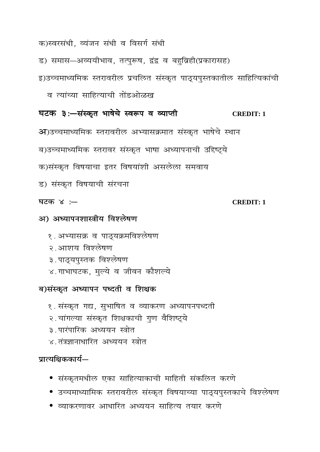# *क)स्वरसंधी, व्यंजन संधी व विसर्ग संधी*

ड) समास-अव्ययीभाव, तत्पुरूष, द्वंद्व व बहुव्रिही(प्रकारासह)

# इ)उच्चमाध्यमिक स्तरावरील प्रचलित संस्कृत पाठ्**यपुस्तकातील साहित्यिकांची**

 *o R;kaP;k lkfgR;kph rksaMvksG[k* 

# *?kVd 3%&?kVd 3%& ?kVd 3%&l aLd`r aLd`r l aLd`rHkk"ksp s Hkk"ksp sHkk"ksp sLo:i o O; Lo:i o O;Lo:i O;kIrh* **CREDIT: 1**

37)उच्चमाध्यमिक स्तरावरील अभ्यासक्रमात संस्कृत भाषेचे स्थान

ब)उच्चमाध्यमिक स्तरावर संस्कृत भाषा अध्यापनाची उद्दिष्ट्ये

*d½laLd`r fo"k;kpk brj fo"k;ka'kh vlysyk leok;* 

*M½ laLd`r fo"k;kph lajpuk* 

# *?kVd 4 %&?kVd %& %&* **CREDIT: 1**

# *v½ v/;kiu'kkL=h; fo'ys"k.k*

- १. अभ्यासक्र व पाठ्यक्रमविश्लेषण
- २. आशय विश्लेषण
- ३. पाठ्यपुस्तक विश्लेषण
- $\times$  गाभाघटक, मुल्ये व जीवन कौशल्ये

# *c½laLd`r v/;kiu v/;kiui/nrho f'k{kd o f'k{kdo f'k{kd*

- १. संस्कृत गद्य, सुभाषित व व्याकरण अध्यापनपध्दती
- २. चांगल्या संस्कृत शिक्षकाची गुण वैशिष्ट्ये
- ३. पारंपारिक अध्ययन स्त्रोत
- $\times$  तंत्रज्ञानाधारित अध्ययन स्त्रोत

# *i zk R;f{kddk;Z& zkR;f{kddk;Z&R;f{kddk;Z& R;f{kddk;Z&*

- *laLd`re/khy ,dk lkfgR;kdkPkh ekfgrh ladfyr dj.ks*
- *mPpek/;kfed Lrjkojhy laLd`r fo"k;kP;k ikB~;i qLrdkps fo'ys"k.k*
- व्याकरणावर आधारित अध्ययन साहित्य तयार करणे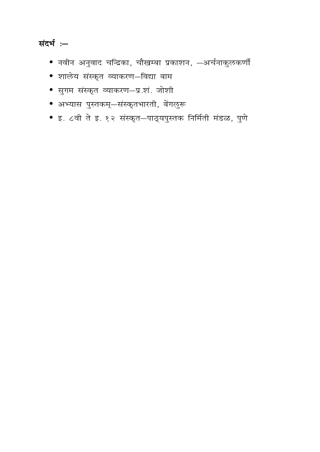# *kich :-*

- *Ukohu vuqokn pfUn zdk] pkS[kEck i zdk'ku] &vpZukdqyd.khZ*
- *'kkys; l aLd`r O;kdj.k&fo|k cke*
- *lqxe laLd`r O;kdj.k&i z-'ka- tks'kh*
- *vH;kl i qLrde~&laLd`rHkkjrh] csaxy q:*
- *b- 8oh r s b- 12 laLd`r&ikB~;i qLrd fufeZrh eaMG] iq.ks*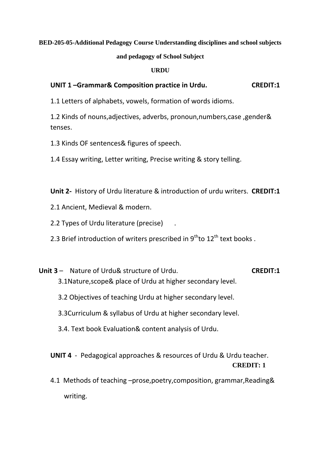## **BED-205-05-Additional Pedagogy Course Understanding disciplines and school subjects**

### **and pedagogy of School Subject**

### **URDU**

## **UNIT 1 –Grammar& Composition practice in Urdu. CREDIT:1**

1.1 Letters of alphabets, vowels, formation of words idioms.

1.2 Kinds of nouns,adjectives, adverbs, pronoun,numbers,case ,gender& tenses.

1.3 Kinds OF sentences& figures of speech.

1.4 Essay writing, Letter writing, Precise writing & story telling.

**Unit 2-** History of Urdu literature & introduction of urdu writers. **CREDIT:1**

2.1 Ancient, Medieval & modern.

2.2 Types of Urdu literature (precise) .

2.3 Brief introduction of writers prescribed in  $9^{th}$ to  $12^{th}$  text books.

- **Unit 3** Nature of Urdu& structure of Urdu. **CREDIT:1** 3.1Nature,scope& place of Urdu at higher secondary level.
	- 3.2 Objectives of teaching Urdu at higher secondary level.

3.3Curriculum & syllabus of Urdu at higher secondary level.

3.4. Text book Evaluation& content analysis of Urdu.

**UNIT 4** - Pedagogical approaches & resources of Urdu & Urdu teacher. **CREDIT: 1**

4.1 Methods of teaching –prose,poetry,composition, grammar,Reading& writing.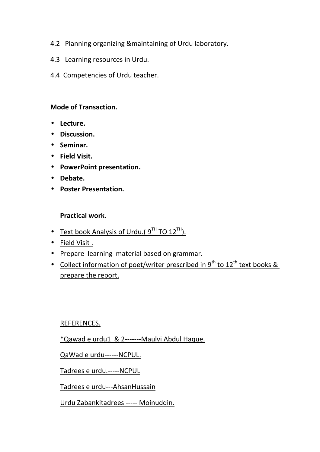- 4.2 Planning organizing &maintaining of Urdu laboratory.
- 4.3 Learning resources in Urdu.
- 4.4 Competencies of Urdu teacher.

# **Mode of Transaction.**

- **Lecture.**
- **Discussion.**
- **Seminar.**
- **Field Visit.**
- **PowerPoint presentation.**
- **Debate.**
- **Poster Presentation.**

# **Practical work.**

- Text book Analysis of Urdu.( $9^{TH}$  TO  $12^{TH}$ ).
- Field Visit .
- Prepare learning material based on grammar.
- Collect information of poet/writer prescribed in 9<sup>th</sup> to 12<sup>th</sup> text books & prepare the report.

## REFERENCES.

\*Qawad e urdu1 & 2-------Maulvi Abdul Haque.

QaWad e urdu------NCPUL.

Tadrees e urdu.-----NCPUL

Tadrees e urdu---AhsanHussain

Urdu Zabankitadrees ----- Moinuddin.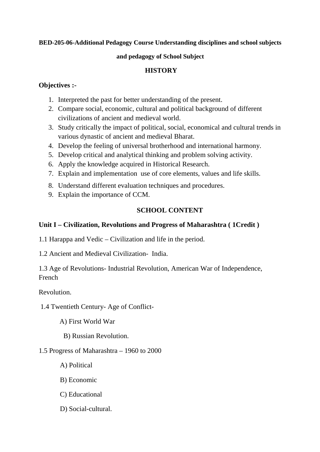## **BED-205-06-Additional Pedagogy Course Understanding disciplines and school subjects**

### **and pedagogy of School Subject**

## **HISTORY**

## **Objectives :-**

- 1. Interpreted the past for better understanding of the present.
- 2. Compare social, economic, cultural and political background of different civilizations of ancient and medieval world.
- 3. Study critically the impact of political, social, economical and cultural trends in various dynastic of ancient and medieval Bharat.
- 4. Develop the feeling of universal brotherhood and international harmony.
- 5. Develop critical and analytical thinking and problem solving activity.
- 6. Apply the knowledge acquired in Historical Research.
- 7. Explain and implementation use of core elements, values and life skills.
- 8. Understand different evaluation techniques and procedures.
- 9. Explain the importance of CCM.

## **SCHOOL CONTENT**

## **Unit I – Civilization, Revolutions and Progress of Maharashtra ( 1Credit )**

- 1.1 Harappa and Vedic Civilization and life in the period.
- 1.2 Ancient and Medieval Civilization- India.

1.3 Age of Revolutions- Industrial Revolution, American War of Independence, French

Revolution.

1.4 Twentieth Century- Age of Conflict-

A) First World War

B) Russian Revolution.

## 1.5 Progress of Maharashtra – 1960 to 2000

- A) Political
- B) Economic
- C) Educational
- D) Social-cultural.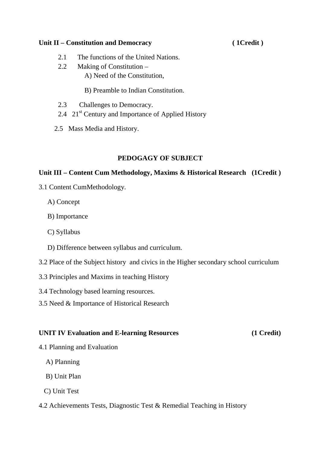## Unit II – Constitution and Democracy (1Credit)

- 2.1 The functions of the United Nations.
- 2.2 Making of Constitution
	- A) Need of the Constitution,
	- B) Preamble to Indian Constitution.
- 2.3 Challenges to Democracy.
- 2.4 21<sup>st</sup> Century and Importance of Applied History
- 2.5 Mass Media and History.

## **PEDOGAGY OF SUBJECT**

## **Unit III – Content Cum Methodology, Maxims & Historical Research (1Credit )**

- 3.1 Content CumMethodology.
	- A) Concept
	- B) Importance
	- C) Syllabus
	- D) Difference between syllabus and curriculum.
- 3.2 Place of the Subject history and civics in the Higher secondary school curriculum
- 3.3 Principles and Maxims in teaching History
- 3.4 Technology based learning resources.
- 3.5 Need & Importance of Historical Research

## **UNIT IV Evaluation and E-learning Resources (1 Credit)**

- 4.1 Planning and Evaluation
	- A) Planning
	- B) Unit Plan
	- C) Unit Test
- 4.2 Achievements Tests, Diagnostic Test & Remedial Teaching in History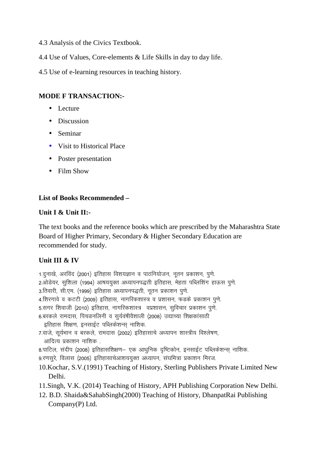- 4.3 Analysis of the Civics Textbook.
- 4.4 Use of Values, Core-elements & Life Skills in day to day life.
- 4.5 Use of e-learning resources in teaching history.

# **MODE F TRANSACTION:-**

- Lecture
- Discussion
- Seminar
- Visit to Historical Place
- Poster presentation
- Film Show

# **List of Books Recommended –**

## **Unit I & Unit II:-**

The text books and the reference books which are prescribed by the Maharashtra State Board of Higher Primary, Secondary & Higher Secondary Education are recommended for study.

# **Unit III & IV**

1.दुनाखे, अरविंद (2001) इतिहास विशयज्ञान व पाठनियोजन, नतन प्रकाशन, पणे. 2.ओडेयर, सुशिला (1994) आषययुक्त अध्यापनपद्धती इतिहास, मेहता पब्लिशिंग हाऊस पुणे. 3.तिवारी, सी.एम. (1999) इतिहास अध्यापनपद्धती, नतन प्रकाशन पणे. 4.शिरगावे व कटटी (2009) इतिहास, नागरिकशास्त्र व प्रशासन, फडके प्रकाशन पणे. 5.सगर शिवाजी (2010) इतिहास, नागरिकशास्त्र वप्रशासन, सुविचार प्रकाशन पुणे. *6-cjdys jkenkl] fipMufyuh o l q;Zoa'khoS"kkyh ¼2008½ m|kP;k f"k{kdk alkBh*  इतिहास शिक्षण, इनसाईट पब्लिकेशन्स नाशिक. *7-okts] l w;ZHkku o cjdys] jkenkl ¼2002½ bfrgklkps v/;kiu "kkL=h; fo"y s'k.k] vkfnR; izdk"ku ukf"kd -*  8.पाटिल, संदीप (2008) इतिहासशिक्षण– एक आधनिक दष्टिकोन, इनसाईट पब्लिकेशन्स नाशिक, 9.रणसुरे, विलास (2005) इतिहासाचेआशययुक्त अध्यापन, संघमित्रा प्रकाशन मिरज. 10.Kochar, S.V.(1991) Teaching of History, Sterling Publishers Private Limited New Delhi. 11.Singh, V.K. (2014) Teaching of History, APH Publishing Corporation New Delhi. 12. B.D. Shaida&SahabSingh(2000) Teaching of History, DhanpatRai Publishing Company(P) Ltd.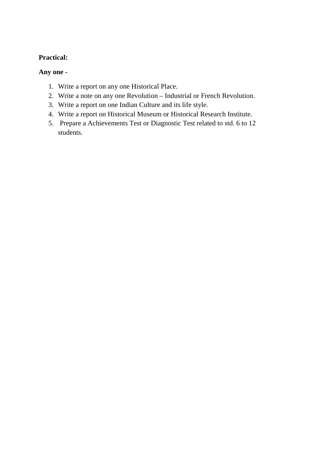# **Practical:**

## **Any one -**

- 1. Write a report on any one Historical Place.
- 2. Write a note on any one Revolution Industrial or French Revolution.
- 3. Write a report on one Indian Culture and its life style.
- 4. Write a report on Historical Museum or Historical Research Institute.
- 5. Prepare a Achievements Test or Diagnostic Test related to std. 6 to 12 students.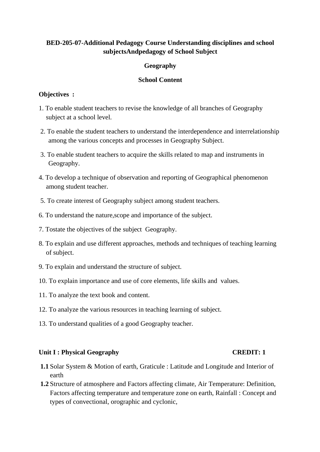## **BED-205-07-Additional Pedagogy Course Understanding disciplines and school subjectsAndpedagogy of School Subject**

## **Geography**

## **School Content**

## **Objectives :**

- 1. To enable student teachers to revise the knowledge of all branches of Geography subject at a school level.
- 2. To enable the student teachers to understand the interdependence and interrelationship among the various concepts and processes in Geography Subject.
- 3. To enable student teachers to acquire the skills related to map and instruments in Geography.
- 4. To develop a technique of observation and reporting of Geographical phenomenon among student teacher.
- 5. To create interest of Geography subject among student teachers.
- 6. To understand the nature,scope and importance of the subject.
- 7. Tostate the objectives of the subject Geography.
- 8. To explain and use different approaches, methods and techniques of teaching learning of subject.
- 9. To explain and understand the structure of subject.
- 10. To explain importance and use of core elements, life skills and values.
- 11. To analyze the text book and content.
- 12. To analyze the various resources in teaching learning of subject.
- 13. To understand qualities of a good Geography teacher.

## Unit I : Physical Geography **CREDIT: 1**

- **1.1** Solar System & Motion of earth, Graticule : Latitude and Longitude and Interior of earth
- **1.2** Structure of atmosphere and Factors affecting climate, Air Temperature: Definition, Factors affecting temperature and temperature zone on earth, Rainfall : Concept and types of convectional, orographic and cyclonic,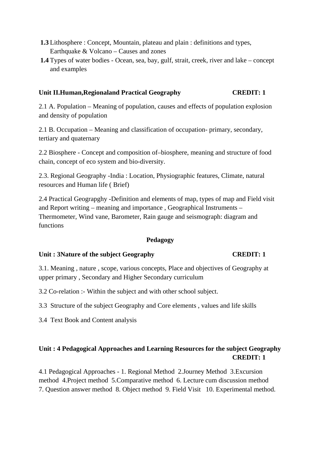- **1.3** Lithosphere : Concept, Mountain, plateau and plain : definitions and types, Earthquake & Volcano – Causes and zones
- **1.4** Types of water bodies Ocean, sea, bay, gulf, strait, creek, river and lake concept and examples

## **Unit II.Human,Regionaland Practical Geography CREDIT: 1**

2.1 A. Population – Meaning of population, causes and effects of population explosion and density of population

2.1 B. Occupation – Meaning and classification of occupation- primary, secondary, tertiary and quaternary

2.2 Biosphere - Concept and composition of–biosphere, meaning and structure of food chain, concept of eco system and bio-diversity.

2.3. Regional Geography -India : Location, Physiographic features, Climate, natural resources and Human life ( Brief)

2.4 Practical Geograpghy -Definition and elements of map, types of map and Field visit and Report writing – meaning and importance , Geographical Instruments – Thermometer, Wind vane, Barometer, Rain gauge and seismograph: diagram and functions

### **Pedagogy**

### Unit : 3Nature of the subject Geography **CREDIT: 1**

3.1. Meaning , nature , scope, various concepts, Place and objectives of Geography at upper primary , Secondary and Higher Secondary curriculum

3.2 Co-relation :- Within the subject and with other school subject.

3.3 Structure of the subject Geography and Core elements , values and life skills

3.4 Text Book and Content analysis

# **Unit : 4 Pedagogical Approaches and Learning Resources for the subject Geography CREDIT: 1**

4.1 Pedagogical Approaches - 1. Regional Method 2.Journey Method 3.Excursion method 4.Project method 5.Comparative method 6. Lecture cum discussion method 7. Question answer method 8. Object method 9. Field Visit 10. Experimental method.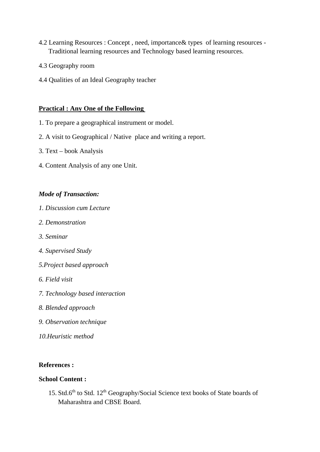- 4.2 Learning Resources : Concept , need, importance& types of learning resources Traditional learning resources and Technology based learning resources.
- 4.3 Geography room
- 4.4 Qualities of an Ideal Geography teacher

### **Practical : Any One of the Following**

- 1. To prepare a geographical instrument or model.
- 2. A visit to Geographical / Native place and writing a report.
- 3. Text book Analysis
- 4. Content Analysis of any one Unit.

## *Mode of Transaction:*

- *1. Discussion cum Lecture*
- *2. Demonstration*
- *3. Seminar*
- *4. Supervised Study*
- *5.Project based approach*
- *6. Field visit*
- *7. Technology based interaction*
- *8. Blended approach*
- *9. Observation technique*
- *10.Heuristic method*

## **References :**

## **School Content :**

15. Std.6<sup>th</sup> to Std. 12<sup>th</sup> Geography/Social Science text books of State boards of Maharashtra and CBSE Board.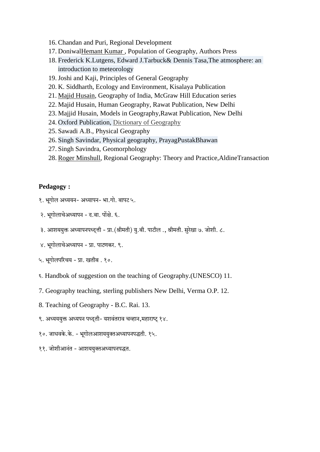- 16. Chandan and Puri, Regional Development
- 17. DoniwalHemant Kumar , Population of Geography, Authors Press
- 18. Frederick K.Lutgens, Edward J.Tarbuck& Dennis Tasa,The atmosphere: an introduction to meteorology
- 19.Joshi and Kaji, Principles of General Geography
- 20. K. Siddharth, Ecology and Environment, Kisalaya Publication
- 21. Majid Husain, Geography of India, McGraw Hill Education series
- 22. Majid Husain, Human Geography, Rawat Publication, New Delhi
- 23. Majjid Husain, Models in Geography,Rawat Publication, New Delhi
- 24. Oxford Publication, Dictionary of Geography
- 25. Sawadi A.B., Physical Geography
- 26. Singh Savindar, Physical geography, PrayagPustakBhawan
- 27. Singh Savindra, Geomorphology
- 28. Roger Minshull, Regional Geography: Theory and Practice,AldineTransaction

## **Pedagogy :**

- $3.$  भूगोल अध्ययन- अध्यापन- भा.गो. बापट ५.
- २. भूगोलाचेअध्यापन द.बा. पोंक्षे. ६.
- ३. आशययुक्त अध्यापनपध्दत्ती प्रा. (श्रीमती) यु.बी. पाटील ., श्रीमती. सुरेखा ७. जोशी. ८.
- ४. भगोलाचेअध्यापन प्रा. पाटणकर. ९.
- ५. भूगोलपरिचय प्रा. खतीब . १०.
- 6. Handbok of suggestion on the teaching of Geography.(UNESCO) 11.
- 7. Geography teaching, sterling publishers New Delhi, Verma O.P. 12.
- 8. Teaching of Geography B.C. Rai. 13.
- ९. अध्यययुक्त अध्यपन पध्दती- यशवंतराव चव्हान,महाराष्ट् १४.
- १०. जाधवके.के. भूगोलआशययुक्तअध्यापनपद्धती. १५.
- ११. जोशीआनंत आशययुक्तअध्यापनपद्धत.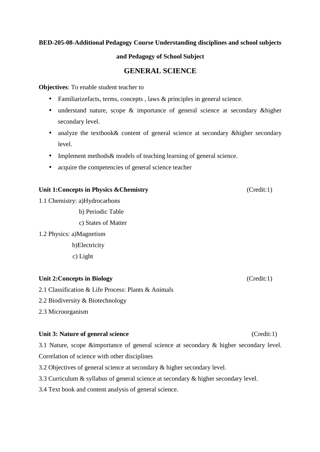## **BED-205-08-Additional Pedagogy Course Understanding disciplines and school subjects**

### **and Pedagogy of School Subject**

## **GENERAL SCIENCE**

**Objectives**: To enable student teacher to

- Familiarizefacts, terms, concepts, laws & principles in general science.
- understand nature, scope & importance of general science at secondary & higher secondary level.
- analyze the textbook & content of general science at secondary & higher secondary level.
- Implement methods & models of teaching learning of general science.
- acquire the competencies of general science teacher

### Unit 1:Concepts in Physics & Chemistry (Credit:1)

1.1 Chemistry: a)Hydrocarbons

b) Periodic Table

c) States of Matter

1.2 Physics: a)Magnetism

b)Electricity

c) Light

## **Unit 2: Concepts in Biology** (Credit:1)

2.1 Classification & Life Process: Plants & Animals

2.2 Biodiversity & Biotechnology

2.3 Microorganism

### Unit 3: Nature of general science (Credit:1)

3.1 Nature, scope &importance of general science at secondary & higher secondary level. Correlation of science with other disciplines

- 3.2 Objectives of general science at secondary & higher secondary level.
- 3.3 Curriculum & syllabus of general science at secondary & higher secondary level.
- 3.4 Text book and content analysis of general science.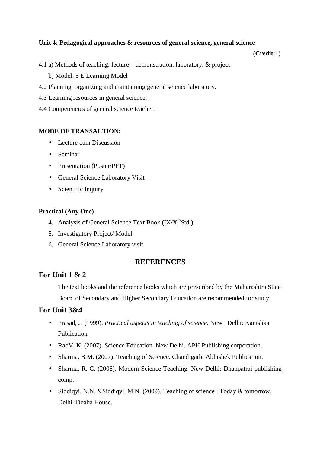### **Unit 4: Pedagogical approaches & resources of general science, general science**

#### **(Credit:1)**

- 4.1 a) Methods of teaching: lecture demonstration, laboratory, & project b) Model: 5 E Learning Model
- 4.2 Planning, organizing and maintaining general science laboratory.
- 4.3 Learning resources in general science.
- 4.4 Competencies of general science teacher.

#### **MODE OF TRANSACTION:**

- Lecture cum Discussion
- Seminar
- Presentation (Poster/PPT)
- General Science Laboratory Visit
- Scientific Inquiry

#### **Practical (Any One)**

- 4. Analysis of General Science Text Book  $(IX/X<sup>th</sup>Std.)$
- 5. Investigatory Project/ Model
- 6. General Science Laboratory visit

## **REFERENCES**

## **For Unit 1 & 2**

The text books and the reference books which are prescribed by the Maharashtra State Board of Secondary and Higher Secondary Education are recommended for study.

## **For Unit 3&4**

- Prasad, J. (1999). *Practical aspects in teaching of science*. New Delhi: Kanishka Publication
- Rao V. K. (2007). Science Education. New Delhi. APH Publishing corporation.
- Sharma, B.M. (2007). Teaching of Science. Chandigarh: Abhishek Publication.
- Sharma, R. C. (2006). Modern Science Teaching. New Delhi: Dhanpatrai publishing comp.
- Siddiqyi, N.N. & Siddiqyi, M.N. (2009). Teaching of science : Today & tomorrow. Delhi :Doaba House.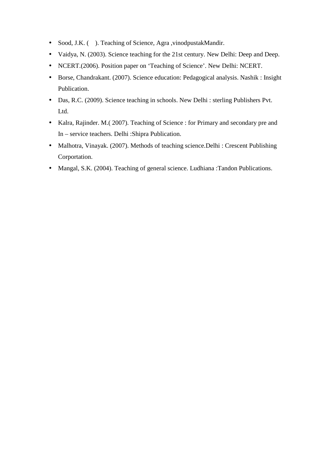- Sood, J.K. ( ). Teaching of Science, Agra , vinodpustakMandir.
- Vaidya, N. (2003). Science teaching for the 21st century. New Delhi: Deep and Deep.
- NCERT.(2006). Position paper on 'Teaching of Science'. New Delhi: NCERT.
- Borse, Chandrakant. (2007). Science education: Pedagogical analysis. Nashik : Insight Publication.
- Das, R.C. (2009). Science teaching in schools. New Delhi : sterling Publishers Pvt. Ltd.
- Kalra, Rajinder. M.( 2007). Teaching of Science : for Primary and secondary pre and In – service teachers. Delhi :Shipra Publication.
- Malhotra, Vinayak. (2007). Methods of teaching science. Delhi : Crescent Publishing Corportation.
- Mangal, S.K. (2004). Teaching of general science. Ludhiana :Tandon Publications.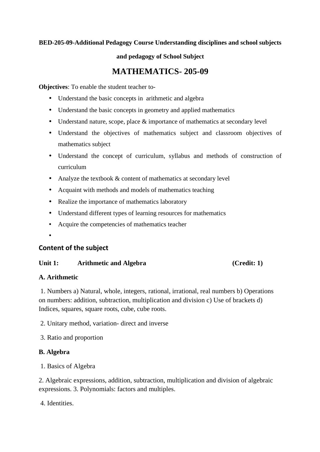## **BED-205-09-Additional Pedagogy Course Understanding disciplines and school subjects**

### **and pedagogy of School Subject**

# **MATHEMATICS- 205-09**

**Objectives**: To enable the student teacher to-

- Understand the basic concepts in arithmetic and algebra
- Understand the basic concepts in geometry and applied mathematics
- Understand nature, scope, place & importance of mathematics at secondary level
- Understand the objectives of mathematics subject and classroom objectives of mathematics subject
- Understand the concept of curriculum, syllabus and methods of construction of curriculum
- Analyze the textbook  $&$  content of mathematics at secondary level
- Acquaint with methods and models of mathematics teaching
- Realize the importance of mathematics laboratory
- Understand different types of learning resources for mathematics
- Acquire the competencies of mathematics teacher
- •

## **Content of the subject**

### Unit 1: Arithmetic and Algebra (Credit: 1)

## **A. Arithmetic**

 1. Numbers a) Natural, whole, integers, rational, irrational, real numbers b) Operations on numbers: addition, subtraction, multiplication and division c) Use of brackets d) Indices, squares, square roots, cube, cube roots.

2. Unitary method, variation- direct and inverse

3. Ratio and proportion

## **B. Algebra**

1. Basics of Algebra

2. Algebraic expressions, addition, subtraction, multiplication and division of algebraic expressions. 3. Polynomials: factors and multiples.

4. Identities.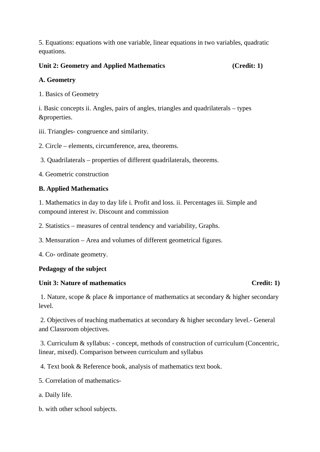5. Equations: equations with one variable, linear equations in two variables, quadratic equations.

Unit 2: Geometry and Applied Mathematics (Credit: 1)

## **A. Geometry**

1. Basics of Geometry

i. Basic concepts ii. Angles, pairs of angles, triangles and quadrilaterals – types &properties.

iii. Triangles- congruence and similarity.

2. Circle – elements, circumference, area, theorems.

3. Quadrilaterals – properties of different quadrilaterals, theorems.

4. Geometric construction

## **B. Applied Mathematics**

1. Mathematics in day to day life i. Profit and loss. ii. Percentages iii. Simple and compound interest iv. Discount and commission

2. Statistics – measures of central tendency and variability, Graphs.

3. Mensuration – Area and volumes of different geometrical figures.

4. Co- ordinate geometry.

## **Pedagogy of the subject**

## Unit 3: Nature of mathematics Credit: 1)

 1. Nature, scope & place & importance of mathematics at secondary & higher secondary level.

 2. Objectives of teaching mathematics at secondary & higher secondary level.- General and Classroom objectives.

 3. Curriculum & syllabus: - concept, methods of construction of curriculum (Concentric, linear, mixed). Comparison between curriculum and syllabus

4. Text book & Reference book, analysis of mathematics text book.

- 5. Correlation of mathematics-
- a. Daily life.
- b. with other school subjects.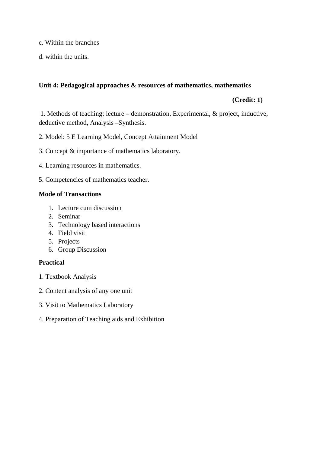- c. Within the branches
- d. within the units.

### **Unit 4: Pedagogical approaches & resources of mathematics, mathematics**

## **(Credit: 1)**

 1. Methods of teaching: lecture – demonstration, Experimental, & project, inductive, deductive method, Analysis –Synthesis.

2. Model: 5 E Learning Model, Concept Attainment Model

- 3. Concept & importance of mathematics laboratory.
- 4. Learning resources in mathematics.
- 5. Competencies of mathematics teacher.

## **Mode of Transactions**

- 1. Lecture cum discussion
- 2. Seminar
- 3. Technology based interactions
- 4. Field visit
- 5. Projects
- 6. Group Discussion

## **Practical**

- 1. Textbook Analysis
- 2. Content analysis of any one unit
- 3. Visit to Mathematics Laboratory
- 4. Preparation of Teaching aids and Exhibition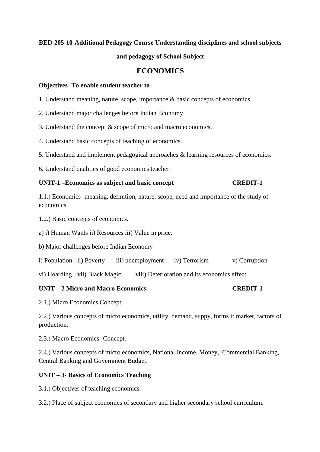### **BED-205-10-Additional Pedagogy Course Understanding disciplines and school subjects**

#### **and pedagogy of School Subject**

## **ECONOMICS**

#### **Objectives- To enable student teacher to-**

- 1. Understand meaning, nature, scope, importance & basic concepts of economics.
- 2. Understand major challenges before Indian Economy
- 3. Understand the concept & scope of micro and macro economics.
- 4. Understand basic concepts of teaching of economics.
- 5. Understand and implement pedagogical approaches & learning resources of economics.
- 6. Understand qualities of good economics teacher.

#### **UNIT-1 –Economics as subject and basic concept CREDIT-1**

1.1.) Economics- meaning, definition, nature, scope, need and importance of the study of economics

1.2.) Basic concepts of economics.

a) i) Human Wants ii) Resources iii) Value in price.

b) Major challenges before Indian Economy

i) Population ii) Poverty iii) unemployment iv) Terrorism v) Corruption

vi) Hoarding vii) Black Magic viii) Deterioration and its economics effect.

### **UNIT – 2 Micro and Macro Economics CREDIT-1**

2.1.) Micro Economics Concept

2.2.) Various concepts of micro economics, utility, demand, suppy, forms if market, factors of production.

2.3.) Macro Economics- Concept.

2.4.) Various concepts of micro economics, National Income, Money, Commercial Banking, Central Banking and Government Budget.

### **UNIT – 3- Basics of Economics Teaching**

3.1.) Objectives of teaching economics.

3.2.) Place of subject economics of secondary and higher secondary school curriculum.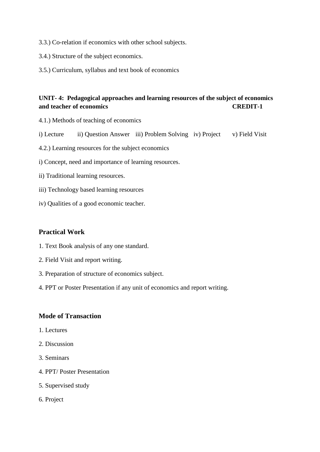- 3.3.) Co-relation if economics with other school subjects.
- 3.4.) Structure of the subject economics.
- 3.5.) Curriculum, syllabus and text book of economics

## **UNIT- 4: Pedagogical approaches and learning resources of the subject of economics and teacher of economics CREDIT-1**

- 4.1.) Methods of teaching of economics
- i) Lecture ii) Question Answer iii) Problem Solving iv) Project v) Field Visit
- 4.2.) Learning resources for the subject economics
- i) Concept, need and importance of learning resources.
- ii) Traditional learning resources.
- iii) Technology based learning resources
- iv) Qualities of a good economic teacher.

### **Practical Work**

- 1. Text Book analysis of any one standard.
- 2. Field Visit and report writing.
- 3. Preparation of structure of economics subject.
- 4. PPT or Poster Presentation if any unit of economics and report writing.

## **Mode of Transaction**

- 1. Lectures
- 2. Discussion
- 3. Seminars
- 4. PPT/ Poster Presentation
- 5. Supervised study
- 6. Project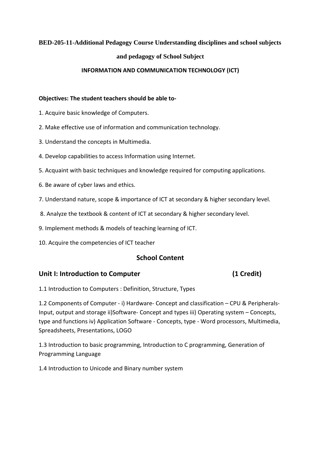### **BED-205-11-Additional Pedagogy Course Understanding disciplines and school subjects**

#### **and pedagogy of School Subject**

#### **INFORMATION AND COMMUNICATION TECHNOLOGY (ICT)**

#### **Objectives: The student teachers should be able to-**

- 1. Acquire basic knowledge of Computers.
- 2. Make effective use of information and communication technology.
- 3. Understand the concepts in Multimedia.
- 4. Develop capabilities to access Information using Internet.
- 5. Acquaint with basic techniques and knowledge required for computing applications.
- 6. Be aware of cyber laws and ethics.
- 7. Understand nature, scope & importance of ICT at secondary & higher secondary level.
- 8. Analyze the textbook & content of ICT at secondary & higher secondary level.
- 9. Implement methods & models of teaching learning of ICT.
- 10. Acquire the competencies of ICT teacher

## **School Content**

### Unit I: Introduction to Computer **(1 Credit)**

1.1 Introduction to Computers : Definition, Structure, Types

1.2 Components of Computer - i) Hardware- Concept and classification – CPU & Peripherals-Input, output and storage ii)Software- Concept and types iii) Operating system – Concepts, type and functions iv) Application Software - Concepts, type - Word processors, Multimedia, Spreadsheets, Presentations, LOGO

1.3 Introduction to basic programming, Introduction to C programming, Generation of Programming Language

1.4 Introduction to Unicode and Binary number system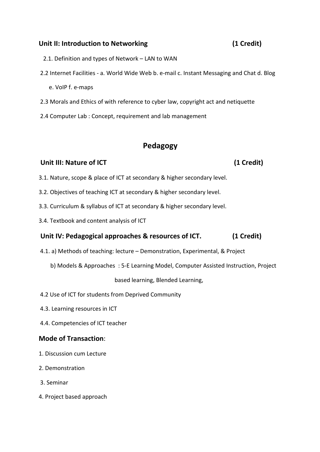# **Unit II: Introduction to Networking (1 Credit)**

- 2.1. Definition and types of Network LAN to WAN
- 2.2 Internet Facilities a. World Wide Web b. e-mail c. Instant Messaging and Chat d. Blog e. VoIP f. e-maps
- 2.3 Morals and Ethics of with reference to cyber law, copyright act and netiquette
- 2.4 Computer Lab : Concept, requirement and lab management

# **Pedagogy**

## **Unit III: Nature of ICT** (1 Credit)

- 3.1. Nature, scope & place of ICT at secondary & higher secondary level.
- 3.2. Objectives of teaching ICT at secondary & higher secondary level.
- 3.3. Curriculum & syllabus of ICT at secondary & higher secondary level.
- 3.4. Textbook and content analysis of ICT

## **Unit IV: Pedagogical approaches & resources of ICT. (1 Credit)**

- 4.1. a) Methods of teaching: lecture Demonstration, Experimental, & Project
	- b) Models & Approaches : 5-E Learning Model, Computer Assisted Instruction, Project

### based learning, Blended Learning,

- 4.2 Use of ICT for students from Deprived Community
- 4.3. Learning resources in ICT
- 4.4. Competencies of ICT teacher

## **Mode of Transaction**:

- 1. Discussion cum Lecture
- 2. Demonstration
- 3. Seminar
- 4. Project based approach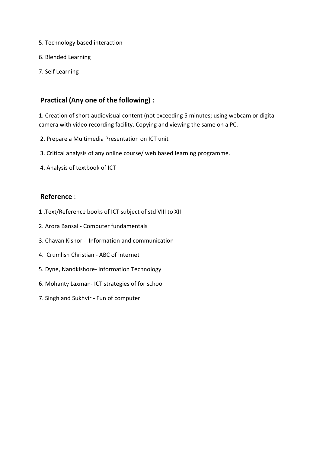- 5. Technology based interaction
- 6. Blended Learning
- 7. Self Learning

## **Practical (Any one of the following) :**

1. Creation of short audiovisual content (not exceeding 5 minutes; using webcam or digital camera with video recording facility. Copying and viewing the same on a PC.

- 2. Prepare a Multimedia Presentation on ICT unit
- 3. Critical analysis of any online course/ web based learning programme.
- 4. Analysis of textbook of ICT

### **Reference** :

- 1 .Text/Reference books of ICT subject of std VIII to XII
- 2. Arora Bansal Computer fundamentals
- 3. Chavan Kishor Information and communication
- 4. Crumlish Christian ABC of internet
- 5. Dyne, Nandkishore- Information Technology
- 6. Mohanty Laxman- ICT strategies of for school
- 7. Singh and Sukhvir Fun of computer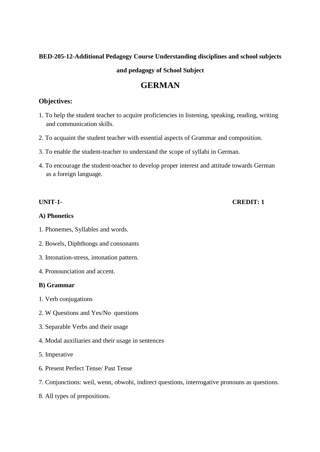#### **BED-205-12-Additional Pedagogy Course Understanding disciplines and school subjects**

**and pedagogy of School Subject** 

# **GERMAN**

## **Objectives:**

- 1. To help the student teacher to acquire proficiencies in listening, speaking, reading, writing and communication skills.
- 2. To acquaint the student teacher with essential aspects of Grammar and composition.
- 3. To enable the student-teacher to understand the scope of syllabi in German.
- 4. To encourage the student-teacher to develop proper interest and attitude towards German as a foreign language.

#### **A) Phonetics**

- 1. Phonemes, Syllables and words.
- 2. Bowels, Diphthongs and consonants
- 3. Intonation-stress, intonation pattern.
- 4. Pronounciation and accent.

#### **B) Grammar**

- 1. Verb conjugations
- 2. W Questions and Yes/No questions
- 3. Separable Verbs and their usage
- 4. Modal auxiliaries and their usage in sentences
- 5. Imperative
- 6. Present Perfect Tense/ Past Tense
- 7. Conjunctions: weil, wenn, obwohi, indirect questions, interrogative pronouns as questions.
- 8. All types of prepositions.

## **UNIT-1- CREDIT: 1**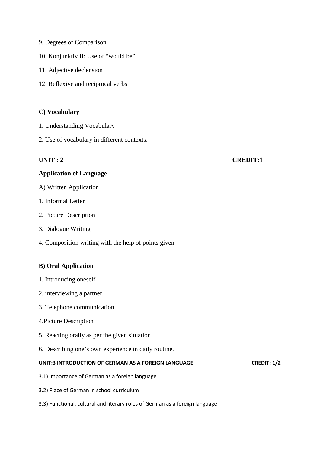- 9. Degrees of Comparison
- 10. Konjunktiv II: Use of "would be"
- 11. Adjective declension
- 12. Reflexive and reciprocal verbs

#### **C) Vocabulary**

- 1. Understanding Vocabulary
- 2. Use of vocabulary in different contexts.

#### **UNIT : 2 CREDIT:1**

# **Application of Language**

- A) Written Application
- 1. Informal Letter
- 2. Picture Description
- 3. Dialogue Writing
- 4. Composition writing with the help of points given

#### **B) Oral Application**

- 1. Introducing oneself
- 2. interviewing a partner
- 3. Telephone communication
- 4.Picture Description
- 5. Reacting orally as per the given situation
- 6. Describing one's own experience in daily routine.

#### **UNIT:3 INTRODUCTION OF GERMAN AS A FOREIGN LANGUAGE CREDIT: 1/2**

- 3.1) Importance of German as a foreign language
- 3.2) Place of German in school curriculum
- 3.3) Functional, cultural and literary roles of German as a foreign language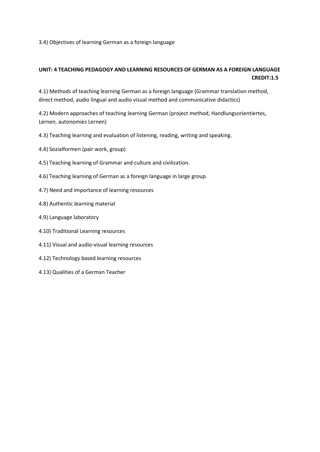3.4) Objectives of learning German as a foreign language

### **UNIT: 4 TEACHING PEDAGOGY AND LEARNING RESOURCES OF GERMAN AS A FOREIGN LANGUAGE CREDIT:1.5**

4.1) Methods of teaching learning German as a foreign language (Grammar translation method, direct method, audio lingual and audio visual method and communicative didactics)

4.2) Modern approaches of teaching learning German (project method, Handlungsorientiertes, Lernen, autonomies Lernen)

- 4.3) Teaching learning and evaluation of listening, reading, writing and speaking.
- 4.4) Sozialformen (pair work, group)
- 4.5) Teaching learning of Grammar and culture and civilization.
- 4.6) Teaching learning of German as a foreign language in large group.
- 4.7) Need and importance of learning resources
- 4.8) Authentic learning material
- 4.9) Language laboratory
- 4.10) Traditional Learning resources
- 4.11) Visual and audio-visual learning resources
- 4.12) Technology based learning resources
- 4.13) Qualities of a German Teacher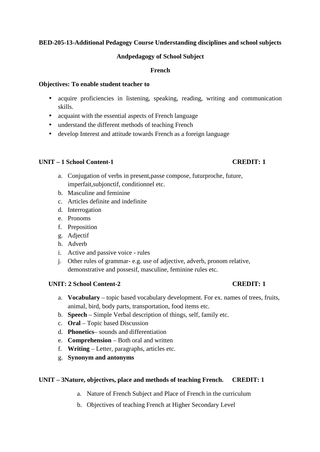#### **BED-205-13-Additional Pedagogy Course Understanding disciplines and school subjects**

#### **Andpedagogy of School Subject**

#### **French**

#### **Objectives: To enable student teacher to**

- acquire proficiencies in listening, speaking, reading, writing and communication skills.
- acquaint with the essential aspects of French language
- understand the different methods of teaching French
- develop Interest and attitude towards French as a foreign language

#### **UNIT – 1 School Content-1 CREDIT: 1**

- a. Conjugation of verbs in present,passe compose, futurproche, future, imperfait,subjonctif, conditionnel etc.
- b. Masculine and feminine
- c. Articles definite and indefinite
- d. Interrogation
- e. Pronoms
- f. Preposition
- g. Adjectif
- h. Adverb
- i. Active and passive voice rules
- j. Other rules of grammar- e.g. use of adjective, adverb, pronom relative, demonstrative and possesif, masculine, feminine rules etc.

#### **UNIT:** 2 School Content-2 *CREDIT:* **1**

- a. **Vocabulary**  topic based vocabulary development. For ex. names of trees, fruits, animal, bird, body parts, transportation, food items etc.
- b. **Speech** Simple Verbal description of things, self, family etc.
- c. **Oral** Topic based Discussion
- d. **Phonetics** sounds and differentiation
- e. **Comprehension** Both oral and written
- f. **Writing** Letter, paragraphs, articles etc.
- g. **Synonym and antonyms**

#### **UNIT – 3Nature, objectives, place and methods of teaching French. CREDIT: 1**

- a. Nature of French Subject and Place of French in the curriculum
- b. Objectives of teaching French at Higher Secondary Level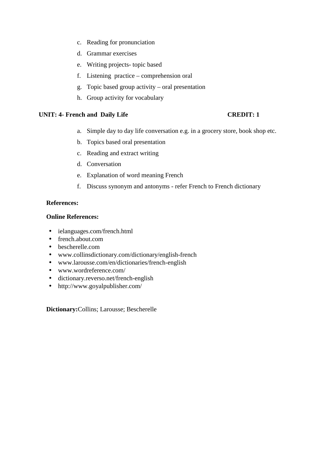- c. Reading for pronunciation
- d. Grammar exercises
- e. Writing projects- topic based
- f. Listening practice comprehension oral
- g. Topic based group activity oral presentation
- h. Group activity for vocabulary

#### **UNIT: 4- French and Daily Life CREDIT: 1**

- a. Simple day to day life conversation e.g. in a grocery store, book shop etc.
- b. Topics based oral presentation
- c. Reading and extract writing
- d. Conversation
- e. Explanation of word meaning French
- f. Discuss synonym and antonyms refer French to French dictionary

### **References:**

#### **Online References:**

- ielanguages.com/french.html
- french.about.com
- bescherelle.com
- www.collinsdictionary.com/dictionary/english-french
- www.larousse.com/en/dictionaries/french-english
- www.wordreference.com/
- dictionary.reverso.net/french-english
- http://www.goyalpublisher.com/

**Dictionary:**Collins; Larousse; Bescherelle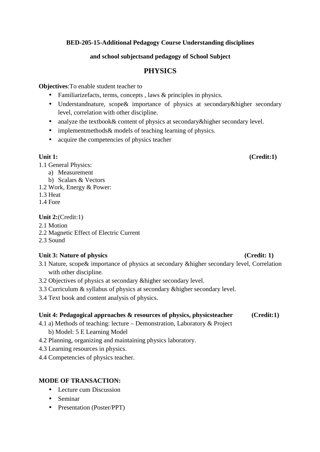### **BED-205-15-Additional Pedagogy Course Understanding disciplines**

#### **and school subjectsand pedagogy of School Subject**

## **PHYSICS**

**Objectives**:To enable student teacher to

- Familiarizefacts, terms, concepts, laws & principles in physics.
- Understandnature, scope& importance of physics at secondary&higher secondary level, correlation with other discipline.
- analyze the textbook & content of physics at secondary & higher secondary level.
- implementmethods & models of teaching learning of physics.
- acquire the competencies of physics teacher

1.1 General Physics:

a) Measurement

b) Scalars & Vectors

- 1.2 Work, Energy & Power:
- 1.3 Heat
- 1.4 Fore

## **Unit 2:**(Credit:1)

- 2.1 Motion
- 2.2 Magnetic Effect of Electric Current
- 2.3 Sound

## Unit 3: Nature of physics (Credit: 1)

- 3.1 Nature, scope& importance of physics at secondary &higher secondary level, Correlation with other discipline.
- 3.2 Objectives of physics at secondary &higher secondary level.
- 3.3 Curriculum & syllabus of physics at secondary &higher secondary level.
- 3.4 Text book and content analysis of physics.

### **Unit 4: Pedagogical approaches & resources of physics, physicsteacher (Credit:1)**

- 4.1 a) Methods of teaching: lecture Demonstration, Laboratory & Project b) Model: 5 E Learning Model
- 4.2 Planning, organizing and maintaining physics laboratory.
- 4.3 Learning resources in physics.
- 4.4 Competencies of physics teacher.

### **MODE OF TRANSACTION:**

- Lecture cum Discussion
- Seminar
- Presentation (Poster/PPT)

## Unit 1: (Credit:1)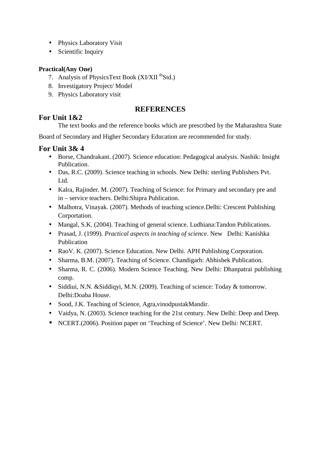- Physics Laboratory Visit
- Scientific Inquiry

## **Practical(Any One)**

- 7. Analysis of PhysicsText Book (XI/XII<sup>th</sup>Std.)
- 8. Investigatory Project/ Model
- 9. Physics Laboratory visit

## **REFERENCES**

# **For Unit 1&2**

The text books and the reference books which are prescribed by the Maharashtra State

Board of Secondary and Higher Secondary Education are recommended for study.

## **For Unit 3& 4**

- Borse, Chandrakant. (2007). Science education: Pedagogical analysis. Nashik: Insight Publication.
- Das, R.C. (2009). Science teaching in schools. New Delhi: sterling Publishers Pvt. Ltd.
- Kalra, Rajinder. M. (2007). Teaching of Science: for Primary and secondary pre and in – service teachers. Delhi:Shipra Publication.
- Malhotra, Vinayak. (2007). Methods of teaching science.Delhi: Crescent Publishing Corportation.
- Mangal, S.K. (2004). Teaching of general science. Ludhiana: Tandon Publications.
- Prasad, J. (1999). *Practical aspects in teaching of science*. New Delhi: Kanishka Publication
- Rao V. K. (2007). Science Education. New Delhi. APH Publishing Corporation.
- Sharma, B.M. (2007). Teaching of Science. Chandigarh: Abhishek Publication.
- Sharma, R. C. (2006). Modern Science Teaching. New Delhi: Dhanpatrai publishing comp.
- Siddiui, N.N. & Siddiqyi, M.N. (2009). Teaching of science: Today & tomorrow. Delhi:Doaba House.
- Sood, J.K. Teaching of Science, Agra,vinodpustakMandir.
- Vaidya, N. (2003). Science teaching for the 21st century. New Delhi: Deep and Deep.
- NCERT.(2006). Position paper on 'Teaching of Science'. New Delhi: NCERT.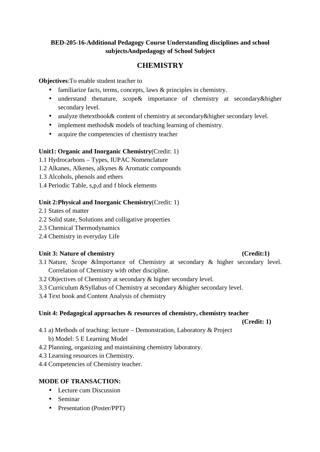## **BED-205-16-Additional Pedagogy Course Understanding disciplines and school subjectsAndpedagogy of School Subject**

# **CHEMISTRY**

## **Objectives**:To enable student teacher to

- familiarize facts, terms, concepts, laws & principles in chemistry.
- understand thenature, scope& importance of chemistry at secondary&higher secondary level.
- analyze thetextbook& content of chemistry at secondary&higher secondary level.
- implement methods & models of teaching learning of chemistry.
- acquire the competencies of chemistry teacher

## **Unit1: Organic and Inorganic Chemistry**(Credit: 1)

- 1.1 Hydrocarbons Types, IUPAC Nomenclature
- 1.2 Alkanes, Alkenes, alkynes & Aromatic compounds
- 1.3 Alcohols, phenols and ethers
- 1.4 Periodic Table, s,p,d and f block elements

## **Unit 2:Physical and Inorganic Chemistry**(Credit: 1)

- 2.1 States of matter
- 2.2 Solid state, Solutions and colligative properties
- 2.3 Chemical Thermodynamics
- 2.4 Chemistry in everyday Life

## Unit 3: Nature of chemistry (Credit:1)

- 3.1 Nature, Scope &Importance of Chemistry at secondary & higher secondary level. Correlation of Chemistry with other discipline.
- 3.2 Objectives of Chemistry at secondary & higher secondary level.
- 3.3 Curriculum &Syllabus of Chemistry at secondary &higher secondary level.
- 3.4 Text book and Content Analysis of chemistry

## **Unit 4: Pedagogical approaches & resources of chemistry, chemistry teacher**

**(Credit: 1)** 

- 4.1 a) Methods of teaching: lecture Demonstration, Laboratory & Project b) Model: 5 E Learning Model
- 4.2 Planning, organizing and maintaining chemistry laboratory.
- 4.3 Learning resources in Chemistry.
- 4.4 Competencies of Chemistry teacher.

## **MODE OF TRANSACTION:**

- Lecture cum Discussion
- Seminar
- Presentation (Poster/PPT)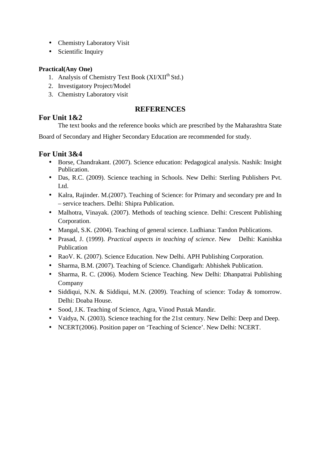- Chemistry Laboratory Visit
- Scientific Inquiry

## **Practical(Any One)**

- 1. Analysis of Chemistry Text Book (XI/XII<sup>th</sup> Std.)
- 2. Investigatory Project/Model
- 3. Chemistry Laboratory visit

# **REFERENCES**

# **For Unit 1&2**

The text books and the reference books which are prescribed by the Maharashtra State

Board of Secondary and Higher Secondary Education are recommended for study.

# **For Unit 3&4**

- Borse, Chandrakant. (2007). Science education: Pedagogical analysis. Nashik: Insight Publication.
- Das, R.C. (2009). Science teaching in Schools. New Delhi: Sterling Publishers Pvt. L<sub>td</sub>
- Kalra, Rajinder. M.(2007). Teaching of Science: for Primary and secondary pre and In – service teachers. Delhi: Shipra Publication.
- Malhotra, Vinayak. (2007). Methods of teaching science. Delhi: Crescent Publishing Corporation.
- Mangal, S.K. (2004). Teaching of general science. Ludhiana: Tandon Publications.
- Prasad, J. (1999). *Practical aspects in teaching of science*. New Delhi: Kanishka Publication
- RaoV. K. (2007). Science Education. New Delhi. APH Publishing Corporation.
- Sharma, B.M. (2007). Teaching of Science. Chandigarh: Abhishek Publication.
- Sharma, R. C. (2006). Modern Science Teaching. New Delhi: Dhanpatrai Publishing Company
- Siddiqui, N.N. & Siddiqui, M.N. (2009). Teaching of science: Today & tomorrow. Delhi: Doaba House.
- Sood, J.K. Teaching of Science, Agra, Vinod Pustak Mandir.
- Vaidya, N. (2003). Science teaching for the 21st century. New Delhi: Deep and Deep.
- NCERT(2006). Position paper on 'Teaching of Science'. New Delhi: NCERT.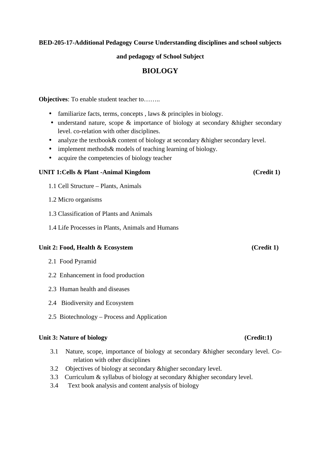**BED-205-17-Additional Pedagogy Course Understanding disciplines and school subjects** 

**and pedagogy of School Subject** 

# **BIOLOGY**

**Objectives**: To enable student teacher to……..

- familiarize facts, terms, concepts, laws & principles in biology.
- understand nature, scope & importance of biology at secondary & higher secondary level. co-relation with other disciplines.
- analyze the textbook & content of biology at secondary & higher secondary level.
- implement methods & models of teaching learning of biology.
- acquire the competencies of biology teacher

#### **UNIT 1:Cells & Plant -Animal Kingdom (Credit 1)**

- 1.1 Cell Structure Plants, Animals
- 1.2 Micro organisms
- 1.3 Classification of Plants and Animals
- 1.4 Life Processes in Plants, Animals and Humans

#### Unit 2: Food, Health & Ecosystem (Credit 1)

- 2.1 Food Pyramid
- 2.2 Enhancement in food production
- 2.3 Human health and diseases
- 2.4 Biodiversity and Ecosystem
- 2.5 Biotechnology Process and Application

#### **Unit 3: Nature of biology (Credit:1)**

- 3.1 Nature, scope, importance of biology at secondary &higher secondary level. Corelation with other disciplines
- 3.2 Objectives of biology at secondary &higher secondary level.
- 3.3 Curriculum & syllabus of biology at secondary &higher secondary level.
- 3.4 Text book analysis and content analysis of biology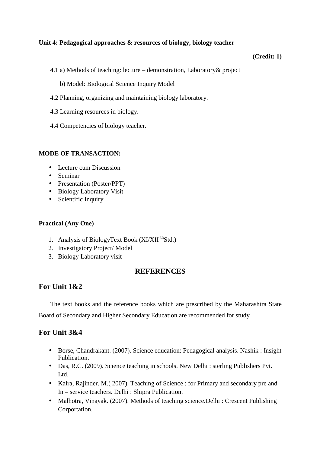### **Unit 4: Pedagogical approaches & resources of biology, biology teacher**

#### **(Credit: 1)**

- 4.1 a) Methods of teaching: lecture demonstration, Laboratory& project
	- b) Model: Biological Science Inquiry Model
- 4.2 Planning, organizing and maintaining biology laboratory.
- 4.3 Learning resources in biology.
- 4.4 Competencies of biology teacher.

#### **MODE OF TRANSACTION:**

- Lecture cum Discussion
- Seminar
- Presentation (Poster/PPT)
- Biology Laboratory Visit
- Scientific Inquiry

#### **Practical (Any One)**

- 1. Analysis of BiologyText Book (XI/XII<sup>th</sup>Std.)
- 2. Investigatory Project/ Model
- 3. Biology Laboratory visit

#### **REFERENCES**

## **For Unit 1&2**

The text books and the reference books which are prescribed by the Maharashtra State Board of Secondary and Higher Secondary Education are recommended for study

## **For Unit 3&4**

- Borse, Chandrakant. (2007). Science education: Pedagogical analysis. Nashik : Insight Publication.
- Das, R.C. (2009). Science teaching in schools. New Delhi : sterling Publishers Pvt. L<sub>td</sub>
- Kalra, Rajinder. M.( 2007). Teaching of Science : for Primary and secondary pre and In – service teachers. Delhi : Shipra Publication.
- Malhotra, Vinayak. (2007). Methods of teaching science.Delhi : Crescent Publishing Corportation.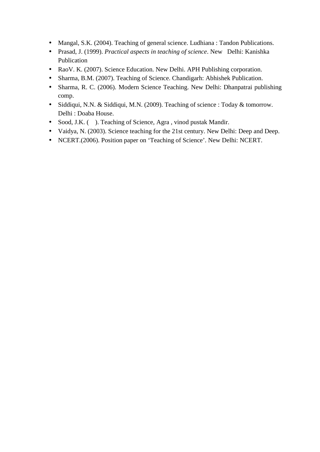- Mangal, S.K. (2004). Teaching of general science. Ludhiana : Tandon Publications.
- Prasad, J. (1999). *Practical aspects in teaching of science*. New Delhi: Kanishka Publication
- Rao V. K. (2007). Science Education. New Delhi. APH Publishing corporation.
- Sharma, B.M. (2007). Teaching of Science. Chandigarh: Abhishek Publication.
- Sharma, R. C. (2006). Modern Science Teaching. New Delhi: Dhanpatrai publishing comp.
- Siddiqui, N.N. & Siddiqui, M.N. (2009). Teaching of science : Today & tomorrow. Delhi : Doaba House.
- Sood, J.K. ( ). Teaching of Science, Agra, vinod pustak Mandir.
- Vaidya, N. (2003). Science teaching for the 21st century. New Delhi: Deep and Deep.
- NCERT.(2006). Position paper on 'Teaching of Science'. New Delhi: NCERT.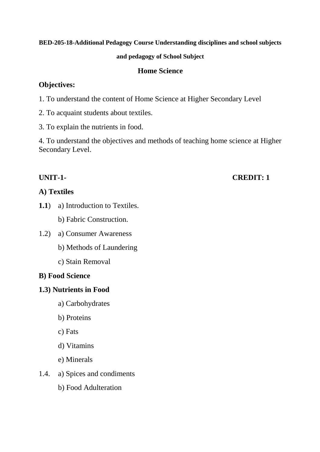## **BED-205-18-Additional Pedagogy Course Understanding disciplines and school subjects**

## **and pedagogy of School Subject**

## **Home Science**

## **Objectives:**

- 1. To understand the content of Home Science at Higher Secondary Level
- 2. To acquaint students about textiles.
- 3. To explain the nutrients in food.

4. To understand the objectives and methods of teaching home science at Higher Secondary Level.

# **UNIT-1- CREDIT: 1**

# **A) Textiles**

**1.1**) a) Introduction to Textiles.

b) Fabric Construction.

- 1.2) a) Consumer Awareness
	- b) Methods of Laundering
	- c) Stain Removal

## **B) Food Science**

## **1.3) Nutrients in Food**

- a) Carbohydrates
- b) Proteins
- c) Fats
- d) Vitamins
- e) Minerals
- 1.4. a) Spices and condiments
	- b) Food Adulteration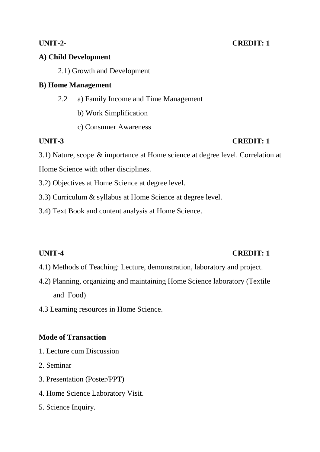# **A) Child Development**

2.1) Growth and Development

# **B) Home Management**

- 2.2 a) Family Income and Time Management
	- b) Work Simplification
	- c) Consumer Awareness

# **UNIT-3 CREDIT: 1**

3.1) Nature, scope & importance at Home science at degree level. Correlation at Home Science with other disciplines.

3.2) Objectives at Home Science at degree level.

3.3) Curriculum & syllabus at Home Science at degree level.

3.4) Text Book and content analysis at Home Science.

# **UNIT-4** CREDIT: 1

- 4.1) Methods of Teaching: Lecture, demonstration, laboratory and project.
- 4.2) Planning, organizing and maintaining Home Science laboratory (Textile and Food)
- 4.3 Learning resources in Home Science.

# **Mode of Transaction**

- 1. Lecture cum Discussion
- 2. Seminar
- 3. Presentation (Poster/PPT)
- 4. Home Science Laboratory Visit.
- 5. Science Inquiry.

# **UNIT-2- CREDIT: 1**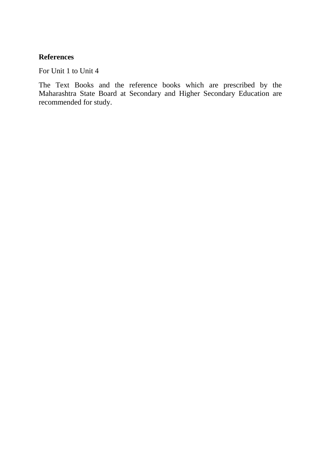# **References**

For Unit 1 to Unit 4

The Text Books and the reference books which are prescribed by the Maharashtra State Board at Secondary and Higher Secondary Education are recommended for study.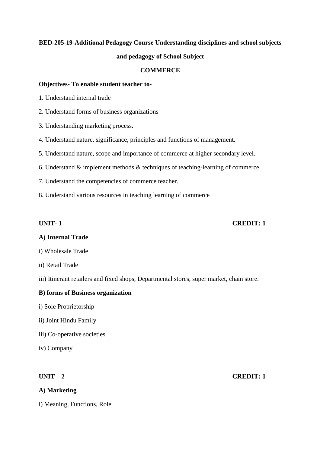# **BED-205-19-Additional Pedagogy Course Understanding disciplines and school subjects and pedagogy of School Subject**

#### **COMMERCE**

#### **Objectives- To enable student teacher to-**

- 1. Understand internal trade
- 2. Understand forms of business organizations
- 3. Understanding marketing process.
- 4. Understand nature, significance, principles and functions of management.
- 5. Understand nature, scope and importance of commerce at higher secondary level.
- 6. Understand & implement methods & techniques of teaching-learning of commerce.
- 7. Understand the competencies of commerce teacher.
- 8. Understand various resources in teaching learning of commerce

#### **UNIT- 1 CREDIT: 1**

### **A) Internal Trade**

- i) Wholesale Trade
- ii) Retail Trade
- iii) Itinerant retailers and fixed shops, Departmental stores, super market, chain store.

#### **B) forms of Business organization**

- i) Sole Proprietorship
- ii) Joint Hindu Family
- iii) Co-operative societies
- iv) Company

### **A) Marketing**

i) Meaning, Functions, Role

# **UNIT – 2 CREDIT: 1**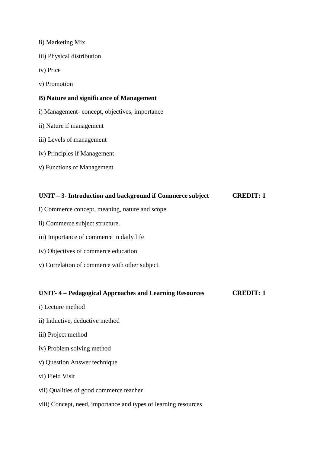- ii) Marketing Mix
- iii) Physical distribution
- iv) Price
- v) Promotion

#### **B) Nature and significance of Management**

- i) Management- concept, objectives, importance
- ii) Nature if management
- iii) Levels of management
- iv) Principles if Management
- v) Functions of Management

# **UNIT – 3- Introduction and background if Commerce subject CREDIT: 1**

- i) Commerce concept, meaning, nature and scope.
- ii) Commerce subject structure.
- iii) Importance of commerce in daily life
- iv) Objectives of commerce education
- v) Correlation of commerce with other subject.

#### **UNIT- 4 – Pedagogical Approaches and Learning Resources CREDIT: 1**

- i) Lecture method
- ii) Inductive, deductive method
- iii) Project method
- iv) Problem solving method
- v) Question Answer technique
- vi) Field Visit
- vii) Qualities of good commerce teacher
- viii) Concept, need, importance and types of learning resources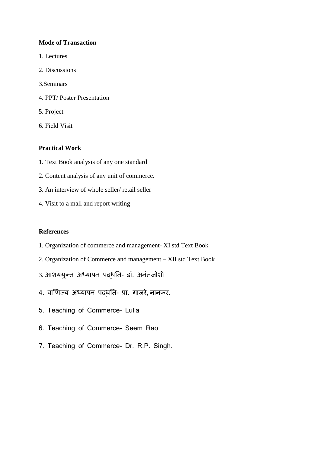#### **Mode of Transaction**

- 1. Lectures
- 2. Discussions
- 3.Seminars
- 4. PPT/ Poster Presentation
- 5. Project
- 6. Field Visit

#### **Practical Work**

- 1. Text Book analysis of any one standard
- 2. Content analysis of any unit of commerce.
- 3. An interview of whole seller/ retail seller
- 4. Visit to a mall and report writing

#### **References**

- 1. Organization of commerce and management- XI std Text Book
- 2. Organization of Commerce and management XII std Text Book
- 3. आशययुक्त अध्यापन पद्धति- डॉ. अनंतजोशी
- 4. वाणिज्य अध्यापन पद्धति- प्रा. गाजरे, नानकर.
- 5. Teaching of Commerce- Lulla
- 6. Teaching of Commerce- Seem Rao
- 7. Teaching of Commerce- Dr. R.P. Singh.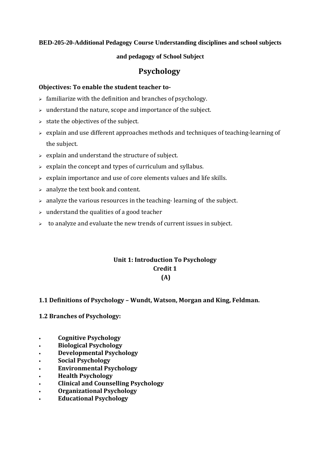### **BED-205-20-Additional Pedagogy Course Understanding disciplines and school subjects**

#### **and pedagogy of School Subject**

# **Psychology**

#### **Objectives: To enable the student teacher to-**

- $\triangleright$  familiarize with the definition and branches of psychology.
- $\triangleright$  understand the nature, scope and importance of the subject.
- $\triangleright$  state the objectives of the subject.
- $\geq$  explain and use different approaches methods and techniques of teaching-learning of the subject.
- $\geq$  explain and understand the structure of subject.
- $\geq$  explain the concept and types of curriculum and syllabus.
- $\triangleright$  explain importance and use of core elements values and life skills.
- $\geq$  analyze the text book and content.
- $\geq$  analyze the various resources in the teaching-learning of the subject.
- $\rightarrow$  understand the qualities of a good teacher
- $\geq$  to analyze and evaluate the new trends of current issues in subject.

## **Unit 1: Introduction To Psychology Credit 1 (A)**

### **1.1 Definitions of Psychology – Wundt, Watson, Morgan and King, Feldman.**

### **1.2 Branches of Psychology:**

- **Cognitive Psychology**
- **Biological Psychology**
- **Developmental Psychology**
- **Social Psychology**
- **Environmental Psychology**
- **Health Psychology**
- **Clinical and Counselling Psychology**
- **Organizational Psychology**
- **Educational Psychology**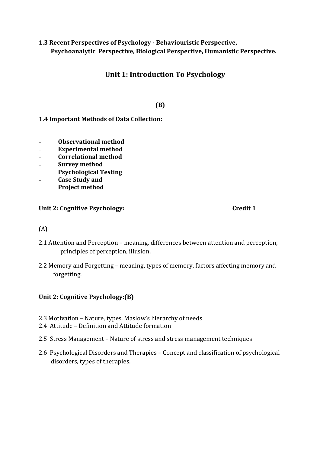# **1.3 Recent Perspectives of Psychology - Behaviouristic Perspective, Psychoanalytic Perspective, Biological Perspective, Humanistic Perspective.**

# **Unit 1: Introduction To Psychology**

# **(B)**

# **1.4 Important Methods of Data Collection:**

- **Observational method**
- **Experimental method**
- **Correlational method**
- **Survey method**
- **Psychological Testing**
- **Case Study and**
- **Project method**

### Unit 2: Cognitive Psychology: Credit 1

## (A)

- 2.1 Attention and Perception meaning, differences between attention and perception, principles of perception, illusion.
- 2.2 Memory and Forgetting meaning, types of memory, factors affecting memory and forgetting.

## **Unit 2: Cognitive Psychology:(B)**

- 2.3 Motivation Nature, types, Maslow's hierarchy of needs
- 2.4 Attitude Definition and Attitude formation
- 2.5 Stress Management Nature of stress and stress management techniques
- 2.6 Psychological Disorders and Therapies Concept and classification of psychological disorders, types of therapies.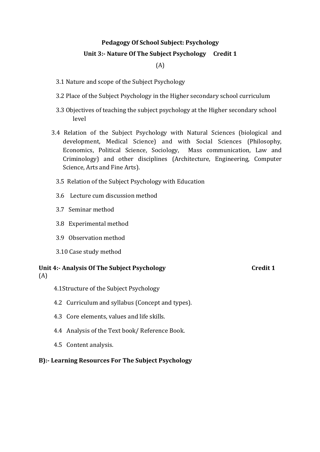# **Pedagogy Of School Subject: Psychology**

# **Unit 3:- Nature Of The Subject Psychology Credit 1**

### (A)

- 3.1 Nature and scope of the Subject Psychology
- 3.2 Place of the Subject Psychology in the Higher secondary school curriculum
- 3.3 Objectives of teaching the subject psychology at the Higher secondary school level
- 3.4 Relation of the Subject Psychology with Natural Sciences (biological and development, Medical Science) and with Social Sciences (Philosophy, Economics, Political Science, Sociology, Mass communication, Law and Criminology) and other disciplines (Architecture, Engineering, Computer Science, Arts and Fine Arts).
	- 3.5 Relation of the Subject Psychology with Education
	- 3.6 Lecture cum discussion method
	- 3.7 Seminar method
	- 3.8 Experimental method
	- 3.9 Observation method
	- 3.10 Case study method

# Unit 4:- Analysis Of The Subject Psychology **Credit 1** Credit 1

- (A)
- 4.1Structure of the Subject Psychology
- 4.2 Curriculum and syllabus (Concept and types).
- 4.3 Core elements, values and life skills.
- 4.4 Analysis of the Text book/ Reference Book.
- 4.5 Content analysis.

#### **B):- Learning Resources For The Subject Psychology**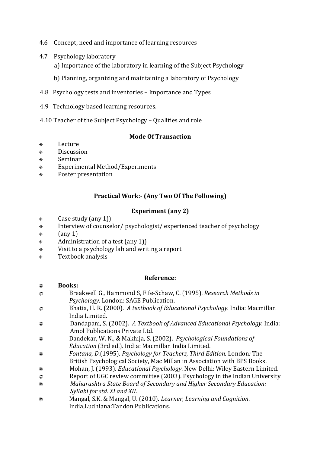- 4.6 Concept, need and importance of learning resources
- 4.7 Psychology laboratory
	- a) Importance of the laboratory in learning of the Subject Psychology
	- b) Planning, organizing and maintaining a laboratory of Psychology
- 4.8 Psychology tests and inventories Importance and Types
- 4.9 Technology based learning resources.
- 4.10 Teacher of the Subject Psychology Qualities and role

### **Mode Of Transaction**

- Lecture
- **◈** Discussion
- Seminar
- Experimental Method/Experiments
- Poster presentation

## **Practical Work:- (Any Two Of The Following)**

## **Experiment (any 2)**

- $\diamondsuit$ Case study (any 1))
- $\hat{\mathbf{\diamond}}$ Interview of counselor/ psychologist/ experienced teacher of psychology
- $\Leftrightarrow$  $\tan y 1$
- $\hat{\mathcal{P}}$ Administration of a test (any 1))
- $\quad \circledast$ Visit to a psychology lab and writing a report
- $\hat{\mathbb{Q}}$ Textbook analysis

### **Reference:**

### **Books:**  Breakwell G., Hammond S, Fife-Schaw, C. (1995). *Research Methods in Psychology.* London: SAGE Publication. Bhatia, H. R. (2000). *A textbook of Educational Psychology.* India: Macmillan India Limited. Dandapani, S. (2002). *A Textbook of Advanced Educational Psychology.* India: Amol Publications Private Ltd. Dandekar, W. N., & Makhija, S. (2002). *Psychological Foundations of Education* (3rd ed.). India: Macmillan India Limited. *Fontana, D*.(1995). *Psychology for Teachers, Third Edition.* London*:* The British Psychological Society, Mac Millan in Association with BPS Books. Mohan, J. (1993). *Educational Psychology*. New Delhi: Wiley Eastern Limited. Report of UGC review committee (2003). Psychology in the Indian University *Maharashtra State Board of Secondary and Higher Secondary Education: Syllabi for std. XI and XII.*  Mangal, S.K. & Mangal, U. (2010). *Learner, Learning and Cognition*. India,Ludhiana:Tandon Publications.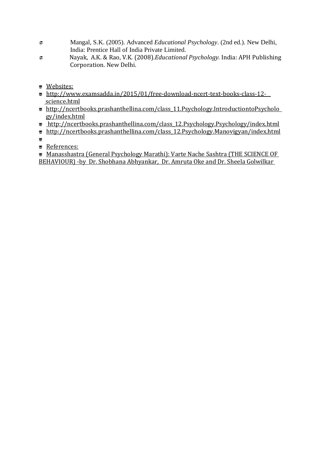- Mangal, S.K. (2005). Advanced *Educational Psychology*. (2nd ed.). New Delhi, India: Prentice Hall of India Private Limited.
- Nayak, A.K. & Rao, V.K. (2008).*Educational Psychology.* India: APH Publishing Corporation. New Delhi.
- <u>Websites:</u>
- http://www.examsadda.in/2015/01/free-download-ncert-text-books-class-12 science.html
- http://ncertbooks.prashanthellina.com/class\_11.Psychology.IntroductiontoPsycholo gy/index.html
- http://ncertbooks.prashanthellina.com/class\_12.Psychology.Psychology/index.html
- http://ncertbooks.prashanthellina.com/class 12.Psychology.Manovigyan/index.html
- -
- **E** References:

■ Manasshastra (General Psychology Marathi): Varte Nache Sashtra (THE SCIENCE OF BEHAVIOUR) -by Dr. Shobhana Abhyankar, Dr. Amruta Oke and Dr. Sheela Golwilkar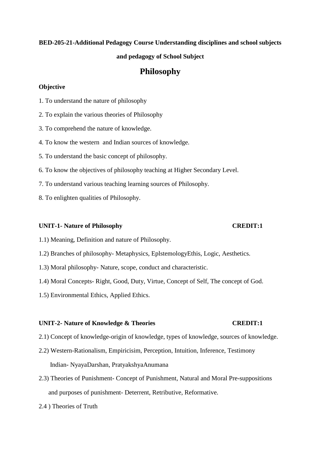# **BED-205-21-Additional Pedagogy Course Understanding disciplines and school subjects**

#### **and pedagogy of School Subject**

# **Philosophy**

#### **Objective**

- 1. To understand the nature of philosophy
- 2. To explain the various theories of Philosophy
- 3. To comprehend the nature of knowledge.
- 4. To know the western and Indian sources of knowledge.
- 5. To understand the basic concept of philosophy.
- 6. To know the objectives of philosophy teaching at Higher Secondary Level.
- 7. To understand various teaching learning sources of Philosophy.
- 8. To enlighten qualities of Philosophy.

#### **UNIT-1- Nature of Philosophy CREDIT:1**

#### 1.1) Meaning, Definition and nature of Philosophy.

- 1.2) Branches of philosophy- Metaphysics, EplstemologyEthis, Logic, Aesthetics.
- 1.3) Moral philosophy- Nature, scope, conduct and characteristic.
- 1.4) Moral Concepts- Right, Good, Duty, Virtue, Concept of Self, The concept of God.
- 1.5) Environmental Ethics, Applied Ethics.

#### **UNIT-2- Nature of Knowledge & Theories CREDIT:1**

- 2.1) Concept of knowledge-origin of knowledge, types of knowledge, sources of knowledge.
- 2.2) Western-Rationalism, Empiricisim, Perception, Intuition, Inference, Testimony Indian- NyayaDarshan, PratyakshyaAnumana
- 2.3) Theories of Punishment- Concept of Punishment, Natural and Moral Pre-suppositions and purposes of punishment- Deterrent, Retributive, Reformative.
- 2.4 ) Theories of Truth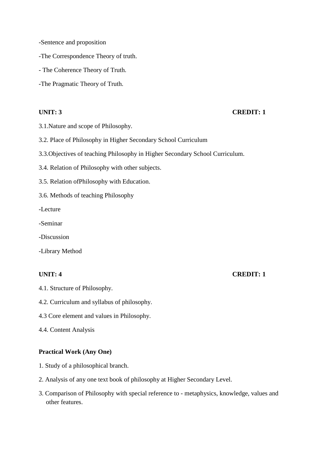- -Sentence and proposition
- -The Correspondence Theory of truth.
- The Coherence Theory of Truth.
- -The Pragmatic Theory of Truth.

#### **UNIT: 3 CREDIT: 1**

- 3.1.Nature and scope of Philosophy.
- 3.2. Place of Philosophy in Higher Secondary School Curriculum
- 3.3.Objectives of teaching Philosophy in Higher Secondary School Curriculum.
- 3.4. Relation of Philosophy with other subjects.
- 3.5. Relation ofPhilosophy with Education.
- 3.6. Methods of teaching Philosophy

-Lecture

- -Seminar
- -Discussion
- -Library Method

- 4.1. Structure of Philosophy.
- 4.2. Curriculum and syllabus of philosophy.
- 4.3 Core element and values in Philosophy.
- 4.4. Content Analysis

#### **Practical Work (Any One)**

- 1. Study of a philosophical branch.
- 2. Analysis of any one text book of philosophy at Higher Secondary Level.
- 3. Comparison of Philosophy with special reference to metaphysics, knowledge, values and other features.

#### **UNIT: 4 CREDIT: 1**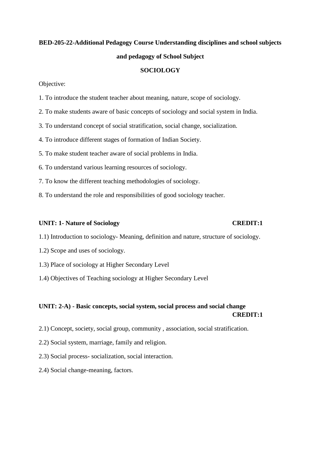# **BED-205-22-Additional Pedagogy Course Understanding disciplines and school subjects and pedagogy of School Subject**

#### **SOCIOLOGY**

Objective:

- 1. To introduce the student teacher about meaning, nature, scope of sociology.
- 2. To make students aware of basic concepts of sociology and social system in India.
- 3. To understand concept of social stratification, social change, socialization.
- 4. To introduce different stages of formation of Indian Society.
- 5. To make student teacher aware of social problems in India.
- 6. To understand various learning resources of sociology.
- 7. To know the different teaching methodologies of sociology.
- 8. To understand the role and responsibilities of good sociology teacher.

#### **UNIT: 1- Nature of Sociology CREDIT:1**

- 1.1) Introduction to sociology- Meaning, definition and nature, structure of sociology.
- 1.2) Scope and uses of sociology.
- 1.3) Place of sociology at Higher Secondary Level
- 1.4) Objectives of Teaching sociology at Higher Secondary Level

## **UNIT: 2-A) - Basic concepts, social system, social process and social change CREDIT:1**

- 2.1) Concept, society, social group, community , association, social stratification.
- 2.2) Social system, marriage, family and religion.
- 2.3) Social process- socialization, social interaction.
- 2.4) Social change-meaning, factors.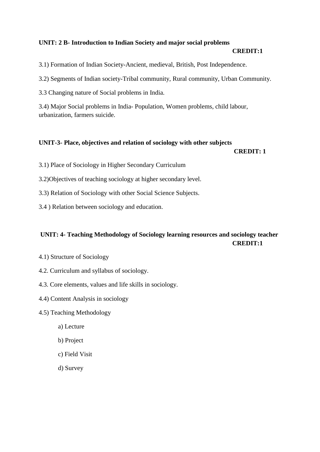### **UNIT: 2 B- Introduction to Indian Society and major social problems**

#### **CREDIT:1**

3.1) Formation of Indian Society-Ancient, medieval, British, Post Independence.

3.2) Segments of Indian society-Tribal community, Rural community, Urban Community.

3.3 Changing nature of Social problems in India.

3.4) Major Social problems in India- Population, Women problems, child labour, urbanization, farmers suicide.

#### **UNIT-3- Place, objectives and relation of sociology with other subjects**

#### **CREDIT: 1**

- 3.1) Place of Sociology in Higher Secondary Curriculum
- 3.2)Objectives of teaching sociology at higher secondary level.
- 3.3) Relation of Sociology with other Social Science Subjects.
- 3.4 ) Relation between sociology and education.

## **UNIT: 4- Teaching Methodology of Sociology learning resources and sociology teacher CREDIT:1**

- 4.1) Structure of Sociology
- 4.2. Curriculum and syllabus of sociology.
- 4.3. Core elements, values and life skills in sociology.
- 4.4) Content Analysis in sociology
- 4.5) Teaching Methodology
	- a) Lecture
	- b) Project
	- c) Field Visit
	- d) Survey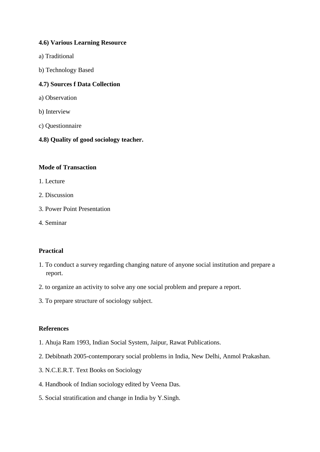### **4.6) Various Learning Resource**

- a) Traditional
- b) Technology Based

#### **4.7) Sources f Data Collection**

- a) Observation
- b) Interview
- c) Questionnaire
- **4.8) Quality of good sociology teacher.**

#### **Mode of Transaction**

- 1. Lecture
- 2. Discussion
- 3. Power Point Presentation
- 4. Seminar

### **Practical**

- 1. To conduct a survey regarding changing nature of anyone social institution and prepare a report.
- 2. to organize an activity to solve any one social problem and prepare a report.
- 3. To prepare structure of sociology subject.

#### **References**

- 1. Ahuja Ram 1993, Indian Social System, Jaipur, Rawat Publications.
- 2. Debibnath 2005-contemporary social problems in India, New Delhi, Anmol Prakashan.
- 3. N.C.E.R.T. Text Books on Sociology
- 4. Handbook of Indian sociology edited by Veena Das.
- 5. Social stratification and change in India by Y.Singh.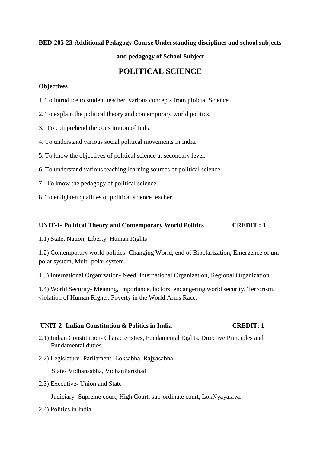#### **BED-205-23-Additional Pedagogy Course Understanding disciplines and school subjects**

### **and pedagogy of School Subject**

# **POLITICAL SCIENCE**

#### **Objectives**

- 1. To introduce to student teacher various concepts from ploictal Science.
- 2. To explain the political theory and contemporary world politics.
- 3. To comprehend the constitution of India
- 4. To understand various social political movements in India.
- 5. To know the objectives of political science at secondary level.
- 6. To understand various teaching learning sources of political science.
- 7. To know the pedagogy of political science.
- 8. To enlighten qualities of political science teacher.

#### **UNIT-1- Political Theory and Contemporary World Politics CREDIT : 1**

1.1) State, Nation, Liberty, Human Rights

1.2) Contemporary world politics- Changing World, end of Bipolarization, Emergence of unipolar system, Multi-polar system.

1.3) International Organization- Need, International Organization, Regional Organization.

1.4) World Security- Meaning, Importance, factors, endangering world security, Terrorism, violation of Human Rights, Poverty in the World.Arms Race.

### **UNIT-2- Indian Constitution & Politics in India CREDIT: 1**

- 2.1) Indian Constitution- Characteristics, Fundamental Rights, Directive Principles and Fundamental duties.
- 2.2) Legislature- Parliament- Loksabha, Rajyasabha.

State- Vidhansabha, VidhanParishad

2.3) Executive- Union and State

Judiciary- Supreme court, High Court, sub-ordinate court, LokNyayalaya.

2.4) Politics in India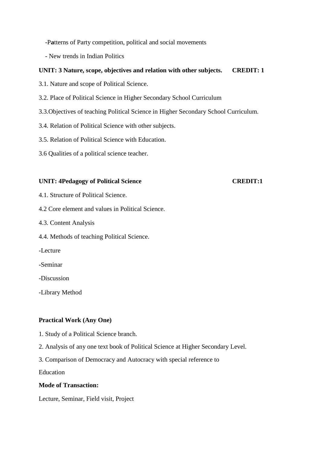-P**a**tterns of Party competition, political and social movements

- New trends in Indian Politics

### **UNIT: 3 Nature, scope, objectives and relation with other subjects. CREDIT: 1**

- 3.1. Nature and scope of Political Science.
- 3.2. Place of Political Science in Higher Secondary School Curriculum
- 3.3.Objectives of teaching Political Science in Higher Secondary School Curriculum.
- 3.4. Relation of Political Science with other subjects.
- 3.5. Relation of Political Science with Education.
- 3.6 Qualities of a political science teacher.

#### **UNIT: 4Pedagogy of Political Science CREDIT:1**

- 4.1. Structure of Political Science.
- 4.2 Core element and values in Political Science.
- 4.3. Content Analysis
- 4.4. Methods of teaching Political Science.
- -Lecture
- -Seminar
- -Discussion
- -Library Method

### **Practical Work (Any One)**

- 1. Study of a Political Science branch.
- 2. Analysis of any one text book of Political Science at Higher Secondary Level.
- 3. Comparison of Democracy and Autocracy with special reference to

Education

#### **Mode of Transaction:**

Lecture, Seminar, Field visit, Project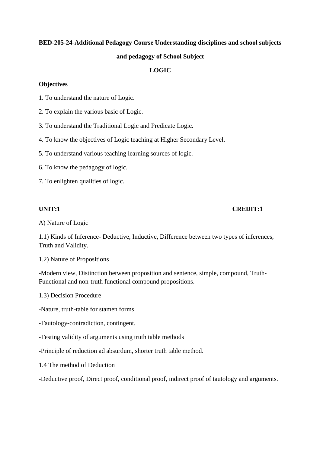# **BED-205-24-Additional Pedagogy Course Understanding disciplines and school subjects and pedagogy of School Subject**

## **LOGIC**

#### **Objectives**

- 1. To understand the nature of Logic.
- 2. To explain the various basic of Logic.
- 3. To understand the Traditional Logic and Predicate Logic.
- 4. To know the objectives of Logic teaching at Higher Secondary Level.
- 5. To understand various teaching learning sources of logic.
- 6. To know the pedagogy of logic.
- 7. To enlighten qualities of logic.

### **UNIT:1 CREDIT:1**

A) Nature of Logic

1.1) Kinds of Inference- Deductive, Inductive, Difference between two types of inferences, Truth and Validity.

1.2) Nature of Propositions

-Modern view, Distinction between proposition and sentence, simple, compound, Truth-Functional and non-truth functional compound propositions.

1.3) Decision Procedure

-Nature, truth-table for stamen forms

- -Tautology-contradiction, contingent.
- -Testing validity of arguments using truth table methods
- -Principle of reduction ad absurdum, shorter truth table method.
- 1.4 The method of Deduction

-Deductive proof, Direct proof, conditional proof, indirect proof of tautology and arguments.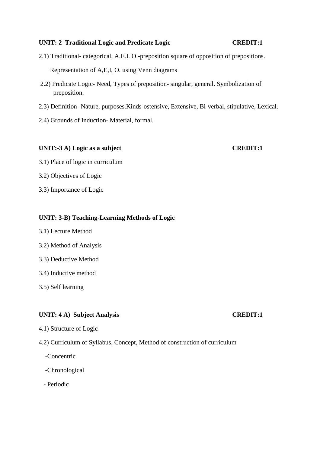#### **UNIT: 2 Traditional Logic and Predicate Logic CREDIT:1**

- 2.1) Traditional- categorical, A.E.I. O.-preposition square of opposition of prepositions. Representation of A,E,I, O. using Venn diagrams
- 2.2) Predicate Logic- Need, Types of preposition- singular, general. Symbolization of preposition.
- 2.3) Definition- Nature, purposes.Kinds-ostensive, Extensive, Bi-verbal, stipulative, Lexical.
- 2.4) Grounds of Induction- Material, formal.

#### UNIT:-3 A) Logic as a subject CREDIT:1

- 3.1) Place of logic in curriculum
- 3.2) Objectives of Logic
- 3.3) Importance of Logic

#### **UNIT: 3-B) Teaching-Learning Methods of Logic**

- 3.1) Lecture Method
- 3.2) Method of Analysis
- 3.3) Deductive Method
- 3.4) Inductive method
- 3.5) Self learning

### **UNIT: 4 A) Subject Analysis CREDIT:1**

4.1) Structure of Logic

### 4.2) Curriculum of Syllabus, Concept, Method of construction of curriculum

- -Concentric
- -Chronological
- Periodic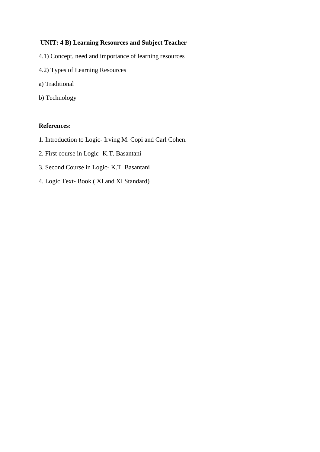#### **UNIT: 4 B) Learning Resources and Subject Teacher**

- 4.1) Concept, need and importance of learning resources
- 4.2) Types of Learning Resources
- a) Traditional
- b) Technology

#### **References:**

- 1. Introduction to Logic- Irving M. Copi and Carl Cohen.
- 2. First course in Logic- K.T. Basantani
- 3. Second Course in Logic- K.T. Basantani
- 4. Logic Text- Book ( XI and XI Standard)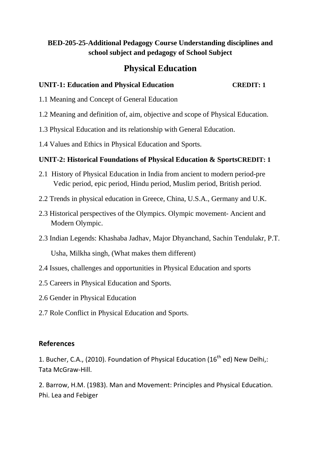# **BED-205-25-Additional Pedagogy Course Understanding disciplines and school subject and pedagogy of School Subject**

# **Physical Education**

# **UNIT-1: Education and Physical Education CREDIT: 1**

- 1.1 Meaning and Concept of General Education
- 1.2 Meaning and definition of, aim, objective and scope of Physical Education.
- 1.3 Physical Education and its relationship with General Education.
- 1.4 Values and Ethics in Physical Education and Sports.

# **UNIT-2: Historical Foundations of Physical Education & SportsCREDIT: 1**

- 2.1 History of Physical Education in India from ancient to modern period-pre Vedic period, epic period, Hindu period, Muslim period, British period.
- 2.2 Trends in physical education in Greece, China, U.S.A., Germany and U.K.
- 2.3 Historical perspectives of the Olympics. Olympic movement- Ancient and Modern Olympic.
- 2.3 Indian Legends: Khashaba Jadhav, Major Dhyanchand, Sachin Tendulakr, P.T.

Usha, Milkha singh, (What makes them different)

- 2.4 Issues, challenges and opportunities in Physical Education and sports
- 2.5 Careers in Physical Education and Sports.
- 2.6 Gender in Physical Education
- 2.7 Role Conflict in Physical Education and Sports.

## **References**

1. Bucher, C.A., (2010). Foundation of Physical Education (16<sup>th</sup> ed) New Delhi,: Tata McGraw-Hill.

2. Barrow, H.M. (1983). Man and Movement: Principles and Physical Education. Phi. Lea and Febiger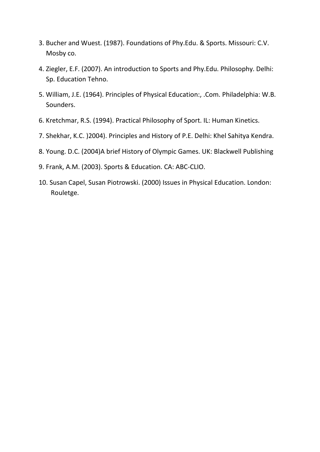- 3. Bucher and Wuest. (1987). Foundations of Phy.Edu. & Sports. Missouri: C.V. Mosby co.
- 4. Ziegler, E.F. (2007). An introduction to Sports and Phy.Edu. Philosophy. Delhi: Sp. Education Tehno.
- 5. William, J.E. (1964). Principles of Physical Education:, .Com. Philadelphia: W.B. Sounders.
- 6. Kretchmar, R.S. (1994). Practical Philosophy of Sport. IL: Human Kinetics.
- 7. Shekhar, K.C. )2004). Principles and History of P.E. Delhi: Khel Sahitya Kendra.
- 8. Young. D.C. (2004)A brief History of Olympic Games. UK: Blackwell Publishing
- 9. Frank, A.M. (2003). Sports & Education. CA: ABC-CLIO.
- 10. Susan Capel, Susan Piotrowski. (2000) Issues in Physical Education. London: Rouletge.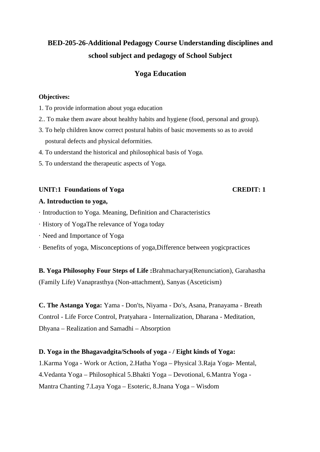# **BED-205-26-Additional Pedagogy Course Understanding disciplines and school subject and pedagogy of School Subject**

# **Yoga Education**

### **Objectives:**

- 1. To provide information about yoga education
- 2.. To make them aware about healthy habits and hygiene (food, personal and group).
- 3. To help children know correct postural habits of basic movements so as to avoid postural defects and physical deformities.
- 4. To understand the historical and philosophical basis of Yoga.
- 5. To understand the therapeutic aspects of Yoga.

#### UNIT:1 Foundations of Yoga CREDIT: 1

#### **A. Introduction to yoga,**

- · Introduction to Yoga. Meaning, Definition and Characteristics
- · History of YogaThe relevance of Yoga today
- · Need and Importance of Yoga
- · Benefits of yoga, Misconceptions of yoga,Difference between yogicpractices

**B. Yoga Philosophy Four Steps of Life :**Brahmacharya(Renunciation), Garahastha (Family Life) Vanaprasthya (Non-attachment), Sanyas (Asceticism)

**C. The Astanga Yoga:** Yama - Don'ts, Niyama - Do's, Asana, Pranayama - Breath Control - Life Force Control, Pratyahara - Internalization, Dharana - Meditation, Dhyana – Realization and Samadhi – Absorption

### **D. Yoga in the Bhagavadgita/Schools of yoga - / Eight kinds of Yoga:**

1.Karma Yoga - Work or Action, 2.Hatha Yoga – Physical 3.Raja Yoga- Mental, 4.Vedanta Yoga – Philosophical 5.Bhakti Yoga – Devotional, 6.Mantra Yoga - Mantra Chanting 7.Laya Yoga – Esoteric, 8.Jnana Yoga – Wisdom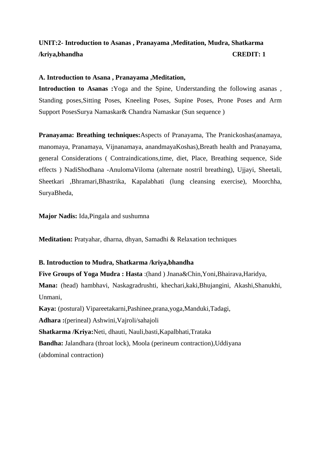# **UNIT:2- Introduction to Asanas , Pranayama ,Meditation, Mudra, Shatkarma /kriya,bhandha CREDIT: 1**

#### **A. Introduction to Asana , Pranayama ,Meditation,**

**Introduction to Asanas :**Yoga and the Spine, Understanding the following asanas , Standing poses,Sitting Poses, Kneeling Poses, Supine Poses, Prone Poses and Arm Support PosesSurya Namaskar& Chandra Namaskar (Sun sequence )

**Pranayama: Breathing techniques:**Aspects of Pranayama, The Pranickoshas(anamaya, manomaya, Pranamaya, Vijnanamaya, anandmayaKoshas),Breath health and Pranayama, general Considerations ( Contraindications,time, diet, Place, Breathing sequence, Side effects ) NadiShodhana -AnulomaViloma (alternate nostril breathing), Ujjayi, Sheetali, Sheetkari ,Bhramari,Bhastrika, Kapalabhati (lung cleansing exercise), Moorchha, SuryaBheda,

**Major Nadis:** Ida,Pingala and sushumna

**Meditation:** Pratyahar, dharna, dhyan, Samadhi & Relaxation techniques

### **B. Introduction to Mudra, Shatkarma /kriya,bhandha**

**Five Groups of Yoga Mudra : Hasta** :(hand ) Jnana&Chin,Yoni,Bhairava,Haridya, **Mana:** (head) hambhavi, Naskagradrushti, khechari,kaki,Bhujangini, Akashi,Shanukhi, Unmani, **Kaya:** (postural) Vipareetakarni,Pashinee,prana,yoga,Manduki,Tadagi, **Adhara :**(perineal) Ashwini,Vajroli/sahajoli **Shatkarma /Kriya:**Neti, dhauti, Nauli,basti,Kapalbhati,Trataka **Bandha:** Jalandhara (throat lock), Moola (perineum contraction),Uddiyana (abdominal contraction)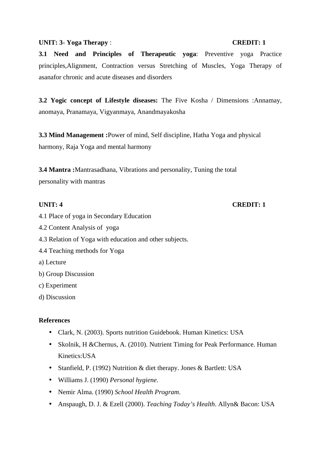#### UNIT: 3- Yoga Therapy : **CREDIT: 1**

**3.1 Need and Principles of Therapeutic yoga**: Preventive yoga Practice principles,Alignment, Contraction versus Stretching of Muscles, Yoga Therapy of asanafor chronic and acute diseases and disorders

**3.2 Yogic concept of Lifestyle diseases:** The Five Kosha / Dimensions :Annamay, anomaya, Pranamaya, Vigyanmaya, Anandmayakosha

**3.3 Mind Management :**Power of mind, Self discipline, Hatha Yoga and physical harmony, Raja Yoga and mental harmony

**3.4 Mantra :**Mantrasadhana, Vibrations and personality, Tuning the total personality with mantras

#### **UNIT: 4 CREDIT: 1**

- 4.1 Place of yoga in Secondary Education
- 4.2 Content Analysis of yoga
- 4.3 Relation of Yoga with education and other subjects.
- 4.4 Teaching methods for Yoga
- a) Lecture
- b) Group Discussion
- c) Experiment
- d) Discussion

#### **References**

- Clark, N. (2003). Sports nutrition Guidebook. Human Kinetics: USA
- Skolnik, H & Chernus, A. (2010). Nutrient Timing for Peak Performance. Human Kinetics:USA
- Stanfield, P. (1992) Nutrition & diet therapy. Jones & Bartlett: USA
- Williams J. (1990) *Personal hygiene*.
- Nemir Alma. (1990) *School Health Program*.
- Anspaugh, D. J. & Ezell (2000). *Teaching Today's Health*. Allyn& Bacon: USA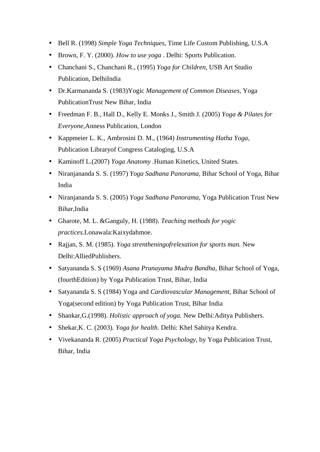- Bell R. (1998) *Simple Yoga Techniques,* Time Life Custom Publishing, U.S.A
- Brown, F. Y. (2000). *How to use yoga* . Delhi: Sports Publication.
- Chanchani S., Chanchani R., (1995) *Yoga for Children,* USB Art Studio Publication, DelhiIndia
- Dr.Karmananda S. (1983)Yogic *Management of Common Diseases,* Yoga PublicationTrust New Bihar, India
- Freedman F. B., Hall D., Kelly E. Monks J., Smith J. (2005) *Yoga & Pilates for Everyone,*Anness Publication, London
- Kappmeier L. K., Ambrosini D. M., (1964) *Instrumenting Hatha Yoga,*  Publication Libraryof Congress Cataloging, U.S.A
- Kaminoff L.(2007) *Yoga Anatomy .*Human Kinetics, United States.
- Niranjananda S. S. (1997) *Yoga Sadhana Panorama,* Bihar School of Yoga, Bihar India
- Niranjananda S. S. (2005) *Yoga Sadhana Panorama,* Yoga Publication Trust New Bihar,India
- Gharote, M. L. &Ganguly, H. (1988). *Teaching methods for yogic practices*.Lonawala:Kaixydahmoe.
- Rajjan, S. M. (1985). *Yoga strentheningofrelexation for sports man.* New Delhi:AlliedPublishers.
- Satyananda S. S (1969) *Asana Pranayama Mudra Bandha*, Bihar School of Yoga, (fourthEdition) by Yoga Publication Trust, Bihar, India
- Satyananda S. S (1984) Yoga and *Cardiovascular Management,* Bihar School of Yoga(second edition) by Yoga Publication Trust, Bihar India
- Shankar, G. (1998). *Holistic approach of yoga*. New Delhi: Aditya Publishers.
- Shekar,K. C. (2003). *Yoga for health*. Delhi: Khel Sahitya Kendra.
- Vivekananda R. (2005) *Practical Yoga Psychology,* by Yoga Publication Trust, Bihar, India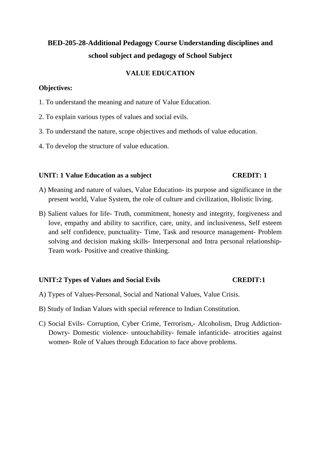# **BED-205-28-Additional Pedagogy Course Understanding disciplines and school subject and pedagogy of School Subject**

# **VALUE EDUCATION**

### **Objectives:**

- 1. To understand the meaning and nature of Value Education.
- 2. To explain various types of values and social evils.
- 3. To understand the nature, scope objectives and methods of value education.
- 4. To develop the structure of value education.

### **UNIT: 1 Value Education as a subject CREDIT: 1**

- A) Meaning and nature of values, Value Education- its purpose and significance in the present world, Value System, the role of culture and civilization, Holistic living.
- B) Salient values for life- Truth, commitment, honesty and integrity, forgiveness and love, empathy and ability to sacrifice, care, unity, and inclusiveness, Self esteem and self confidence, punctuality- Time, Task and resource management- Problem solving and decision making skills- Interpersonal and Intra personal relationship-Team work- Positive and creative thinking.

## UNIT:2 Types of Values and Social Evils **CREDIT:1**

- A) Types of Values-Personal, Social and National Values, Value Crisis.
- B) Study of Indian Values with special reference to Indian Constitution.
- C) Social Evils- Corruption, Cyber Crime, Terrorism,- Alcoholism, Drug Addiction-Dowry- Domestic violence- untouchability- female infanticide- atrocities against women- Role of Values through Education to face above problems.